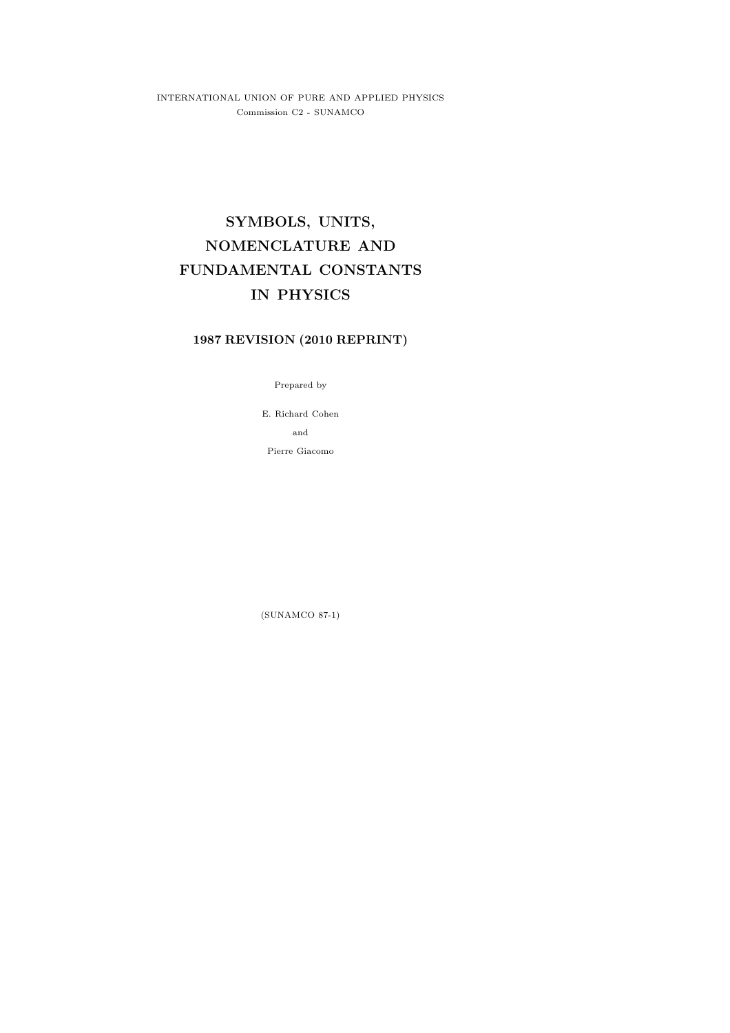INTERNATIONAL UNION OF PURE AND APPLIED PHYSICS Commission C2 - SUNAMCO

# SYMBOLS, UNITS, NOMENCLATURE AND FUNDAMENTAL CONSTANTS IN PHYSICS

# 1987 REVISION (2010 REPRINT)

Prepared by

E. Richard Cohen and Pierre Giacomo

(SUNAMCO 87-1)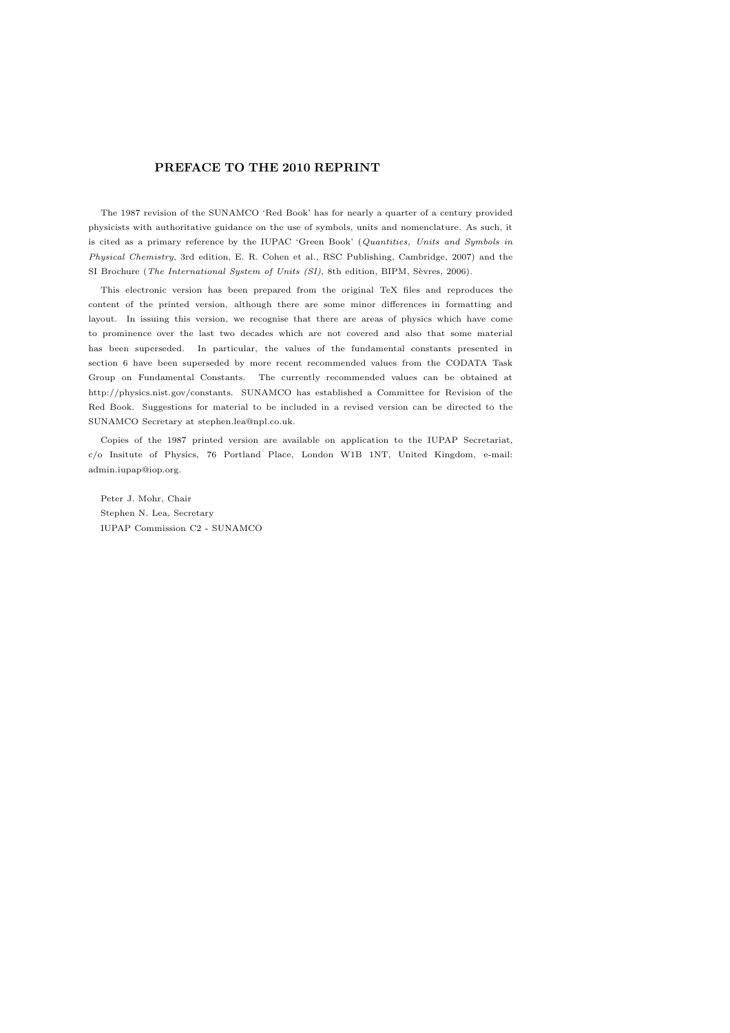# PREFACE TO THE 2010 REPRINT

The 1987 revision of the SUNAMCO 'Red Book' has for nearly a quarter of a century provided physicists with authoritative guidance on the use of symbols, units and nomenclature. As such, it is cited as a primary reference by the IUPAC 'Green Book' (Quantities, Units and Symbols in Physical Chemistry, 3rd edition, E. R. Cohen et al., RSC Publishing, Cambridge, 2007) and the SI Brochure (The International System of Units (SI), 8th edition, BIPM, Sèvres, 2006).

This electronic version has been prepared from the original TeX files and reproduces the content of the printed version, although there are some minor differences in formatting and layout. In issuing this version, we recognise that there are areas of physics which have come to prominence over the last two decades which are not covered and also that some material has been superseded. In particular, the values of the fundamental constants presented in section 6 have been superseded by more recent recommended values from the CODATA Task Group on Fundamental Constants. The currently recommended values can be obtained at http://physics.nist.gov/constants. SUNAMCO has established a Committee for Revision of the Red Book. Suggestions for material to be included in a revised version can be directed to the SUNAMCO Secretary at stephen.lea@npl.co.uk.

Copies of the 1987 printed version are available on application to the IUPAP Secretariat, c/o Insitute of Physics, 76 Portland Place, London W1B 1NT, United Kingdom, e-mail: admin.iupap@iop.org.

Peter J. Mohr, Chair Stephen N. Lea, Secretary IUPAP Commission C2 - SUNAMCO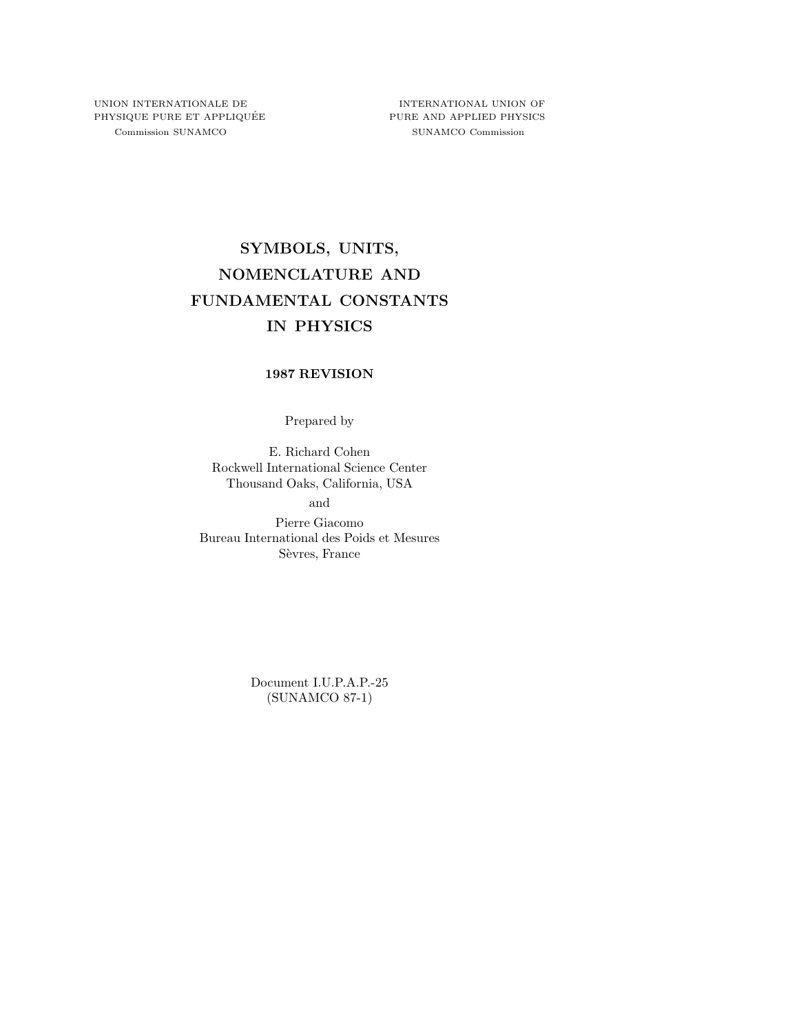UNION INTERNATIONALE DE INTERNATIONAL UNION OF PHYSIQUE PURE ET APPLIQUÉE **PURE AND APPLIED PHYSICS** 

# SYMBOLS, UNITS, NOMENCLATURE AND FUNDAMENTAL CONSTANTS IN PHYSICS

# 1987 REVISION

Prepared by

E. Richard Cohen Rockwell International Science Center Thousand Oaks, California, USA

and

Pierre Giacomo Bureau International des Poids et Mesures Sèvres, France

> Document I.U.P.A.P.-25 (SUNAMCO 87-1)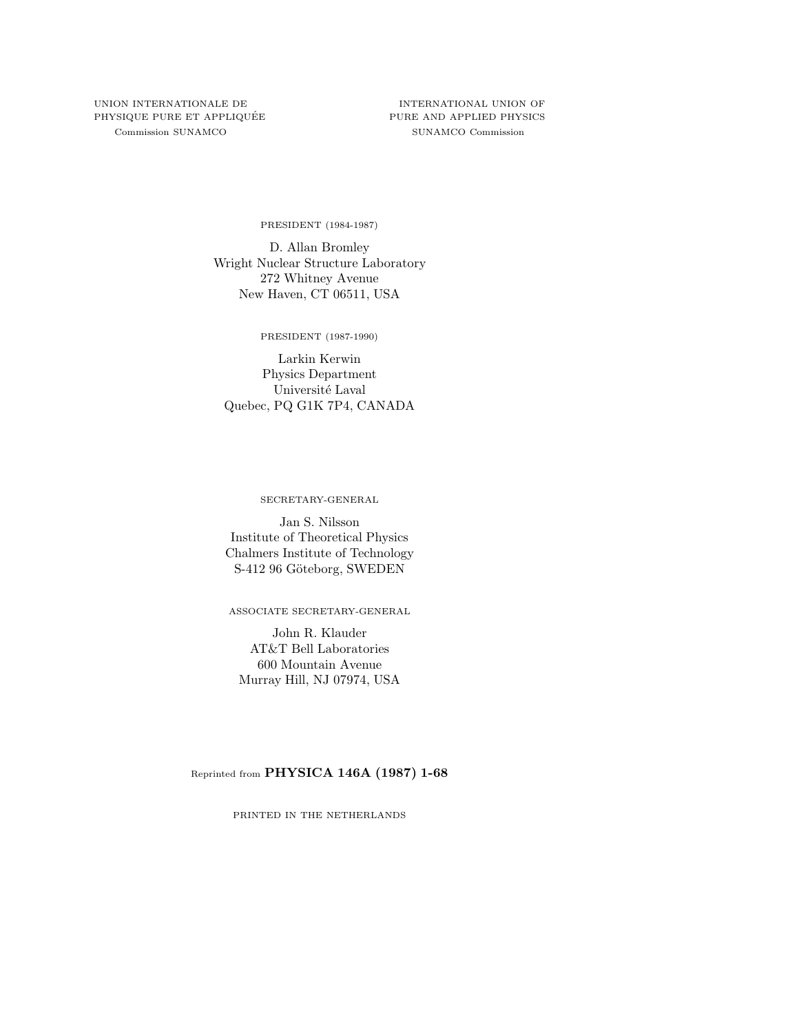UNION INTERNATIONALE DE INTERNATIONAL UNION OF PHYSIQUE PURE ET APPLIQUÉE PURE AND APPLIED PHYSICS Commission SUNAMCO SUNAMCO Commission

PRESIDENT (1984-1987)

D. Allan Bromley Wright Nuclear Structure Laboratory 272 Whitney Avenue New Haven, CT 06511, USA

PRESIDENT (1987-1990)

Larkin Kerwin Physics Department Université Laval Quebec, PQ G1K 7P4, CANADA

SECRETARY-GENERAL

Jan S. Nilsson Institute of Theoretical Physics Chalmers Institute of Technology S-412 96 Göteborg, SWEDEN

ASSOCIATE SECRETARY-GENERAL

John R. Klauder AT&T Bell Laboratories 600 Mountain Avenue Murray Hill, NJ 07974, USA

Reprinted from PHYSICA 146A (1987) 1-68

PRINTED IN THE NETHERLANDS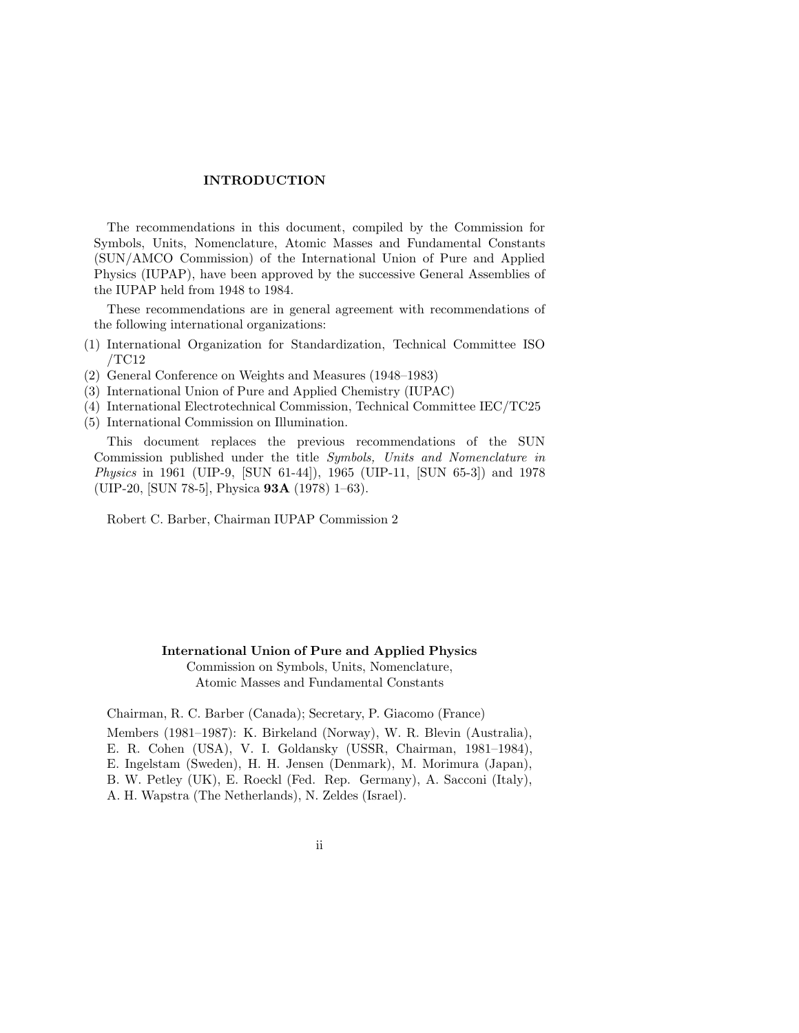# INTRODUCTION

The recommendations in this document, compiled by the Commission for Symbols, Units, Nomenclature, Atomic Masses and Fundamental Constants (SUN/AMCO Commission) of the International Union of Pure and Applied Physics (IUPAP), have been approved by the successive General Assemblies of the IUPAP held from 1948 to 1984.

These recommendations are in general agreement with recommendations of the following international organizations:

- (1) International Organization for Standardization, Technical Committee ISO /TC12
- (2) General Conference on Weights and Measures (1948–1983)
- (3) International Union of Pure and Applied Chemistry (IUPAC)
- (4) International Electrotechnical Commission, Technical Committee IEC/TC25
- (5) International Commission on Illumination.

This document replaces the previous recommendations of the SUN Commission published under the title Symbols, Units and Nomenclature in Physics in 1961 (UIP-9, [SUN 61-44]), 1965 (UIP-11, [SUN 65-3]) and 1978 (UIP-20, [SUN 78-5], Physica 93A (1978) 1–63).

Robert C. Barber, Chairman IUPAP Commission 2

#### International Union of Pure and Applied Physics

Commission on Symbols, Units, Nomenclature, Atomic Masses and Fundamental Constants

Chairman, R. C. Barber (Canada); Secretary, P. Giacomo (France)

Members (1981–1987): K. Birkeland (Norway), W. R. Blevin (Australia), E. R. Cohen (USA), V. I. Goldansky (USSR, Chairman, 1981–1984), E. Ingelstam (Sweden), H. H. Jensen (Denmark), M. Morimura (Japan), B. W. Petley (UK), E. Roeckl (Fed. Rep. Germany), A. Sacconi (Italy), A. H. Wapstra (The Netherlands), N. Zeldes (Israel).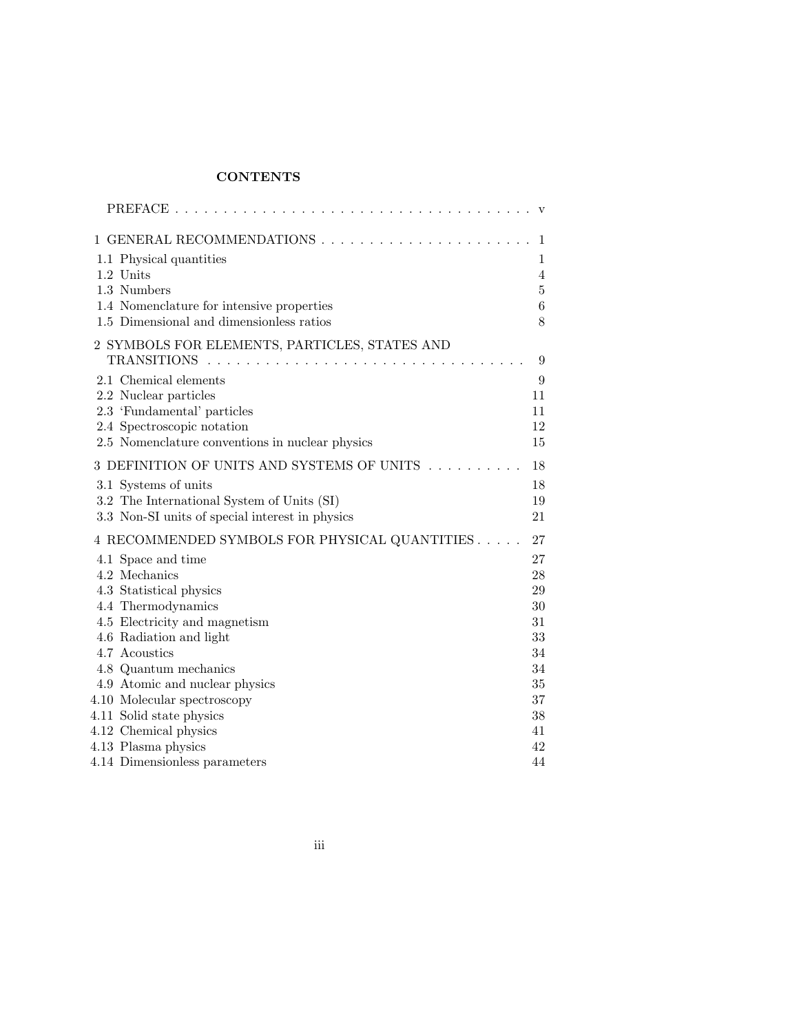# CONTENTS

| PREFACE                                                                                                                                                                                    |                                                 |
|--------------------------------------------------------------------------------------------------------------------------------------------------------------------------------------------|-------------------------------------------------|
| 1 GENERAL RECOMMENDATIONS.<br>$\mathbf{r}$<br>1.1 Physical quantities<br>1.2 Units<br>1.3 Numbers<br>1.4 Nomenclature for intensive properties<br>1.5 Dimensional and dimensionless ratios | 1<br>1<br>4<br>$\bf 5$<br>$\boldsymbol{6}$<br>8 |
| 2 SYMBOLS FOR ELEMENTS, PARTICLES, STATES AND<br><b>TRANSITIONS</b><br>a di alcala di a<br>.                                                                                               | 9                                               |
| 2.1 Chemical elements<br>2.2 Nuclear particles<br>2.3 'Fundamental' particles<br>2.4 Spectroscopic notation<br>2.5 Nomenclature conventions in nuclear physics                             | 9<br>11<br>11<br>12<br>15                       |
| 3 DEFINITION OF UNITS AND SYSTEMS OF UNITS                                                                                                                                                 | 18                                              |
| 3.1 Systems of units<br>3.2 The International System of Units (SI)<br>3.3 Non-SI units of special interest in physics                                                                      | 18<br>19<br>21                                  |
| 4 RECOMMENDED SYMBOLS FOR PHYSICAL QUANTITIES                                                                                                                                              | 27                                              |
| 4.1 Space and time<br>4.2 Mechanics<br>4.3 Statistical physics<br>4.4 Thermodynamics<br>4.5 Electricity and magnetism<br>4.6 Radiation and light<br>4.7 Acoustics                          | 27<br>28<br>29<br>30<br>31<br>33<br>34          |
| 4.8 Quantum mechanics<br>4.9 Atomic and nuclear physics                                                                                                                                    | 34<br>35                                        |
| 4.10 Molecular spectroscopy<br>4.11 Solid state physics<br>4.12 Chemical physics                                                                                                           | 37<br>38<br>41                                  |
| 4.13 Plasma physics<br>4.14 Dimensionless parameters                                                                                                                                       | 42<br>44                                        |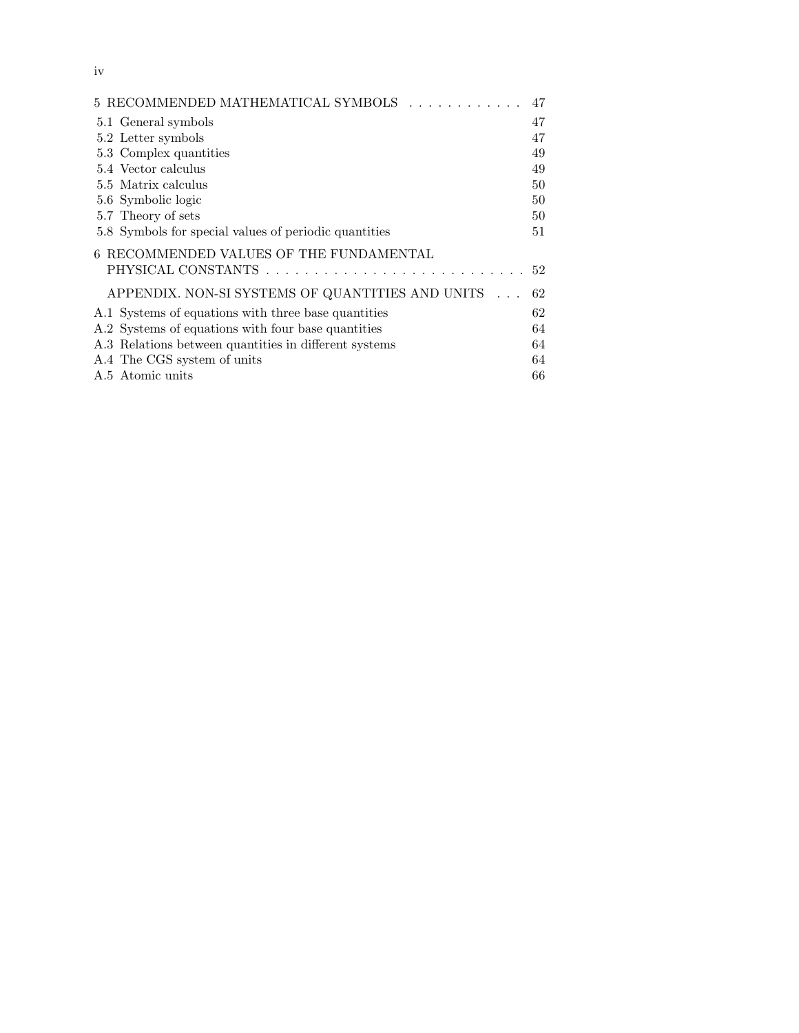| 5 RECOMMENDED MATHEMATICAL SYMBOLS                    | 47 |
|-------------------------------------------------------|----|
| 5.1 General symbols                                   | 47 |
| 5.2 Letter symbols                                    | 47 |
| 5.3 Complex quantities                                | 49 |
| 5.4 Vector calculus                                   | 49 |
| 5.5 Matrix calculus                                   | 50 |
| 5.6 Symbolic logic                                    | 50 |
| 5.7 Theory of sets                                    | 50 |
| 5.8 Symbols for special values of periodic quantities | 51 |
| 6 RECOMMENDED VALUES OF THE FUNDAMENTAL               |    |
|                                                       | 52 |
| APPENDIX. NON-SI SYSTEMS OF QUANTITIES AND UNITS      | 62 |
| A.1 Systems of equations with three base quantities   | 62 |
| A.2 Systems of equations with four base quantities    | 64 |
| A.3 Relations between quantities in different systems | 64 |
| A.4 The CGS system of units                           | 64 |
| A.5 Atomic units                                      | 66 |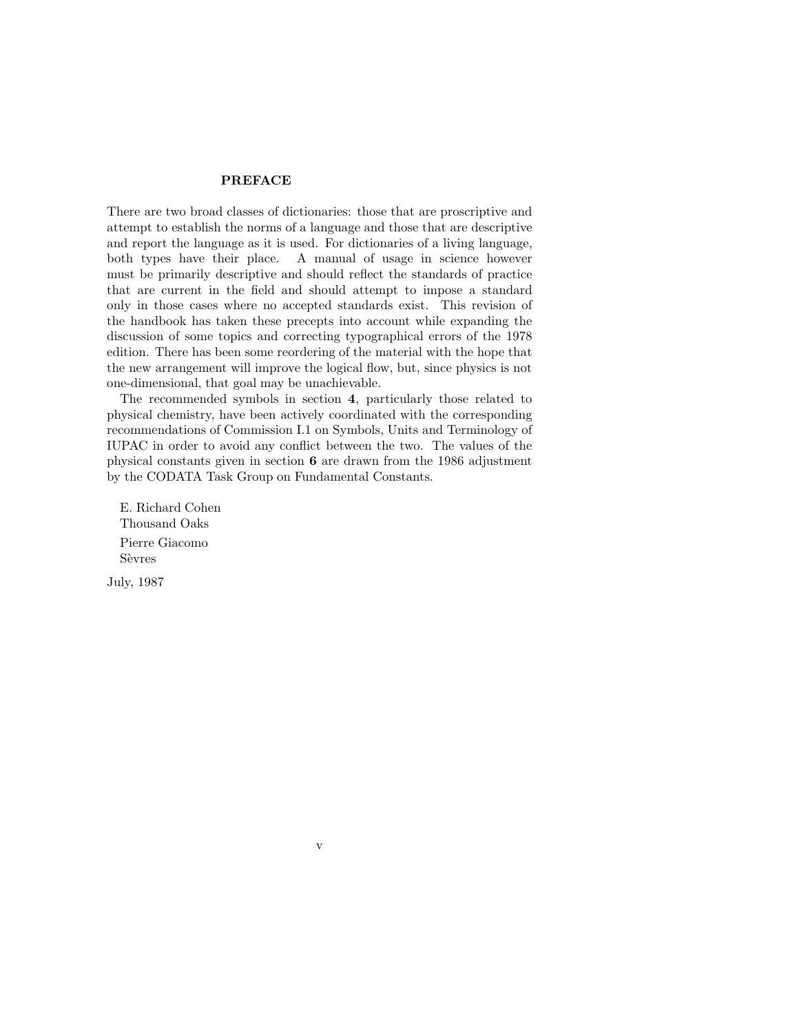# PREFACE

There are two broad classes of dictionaries: those that are proscriptive and attempt to establish the norms of a language and those that are descriptive and report the language as it is used. For dictionaries of a living language, both types have their place. A manual of usage in science however must be primarily descriptive and should reflect the standards of practice that are current in the field and should attempt to impose a standard only in those cases where no accepted standards exist. This revision of the handbook has taken these precepts into account while expanding the discussion of some topics and correcting typographical errors of the 1978 edition. There has been some reordering of the material with the hope that the new arrangement will improve the logical flow, but, since physics is not one-dimensional, that goal may be unachievable.

The recommended symbols in section 4, particularly those related to physical chemistry, have been actively coordinated with the corresponding recommendations of Commission I.1 on Symbols, Units and Terminology of IUPAC in order to avoid any conflict between the two. The values of the physical constants given in section 6 are drawn from the 1986 adjustment by the CODATA Task Group on Fundamental Constants.

E. Richard Cohen Thousand Oaks Pierre Giacomo Sèvres

July, 1987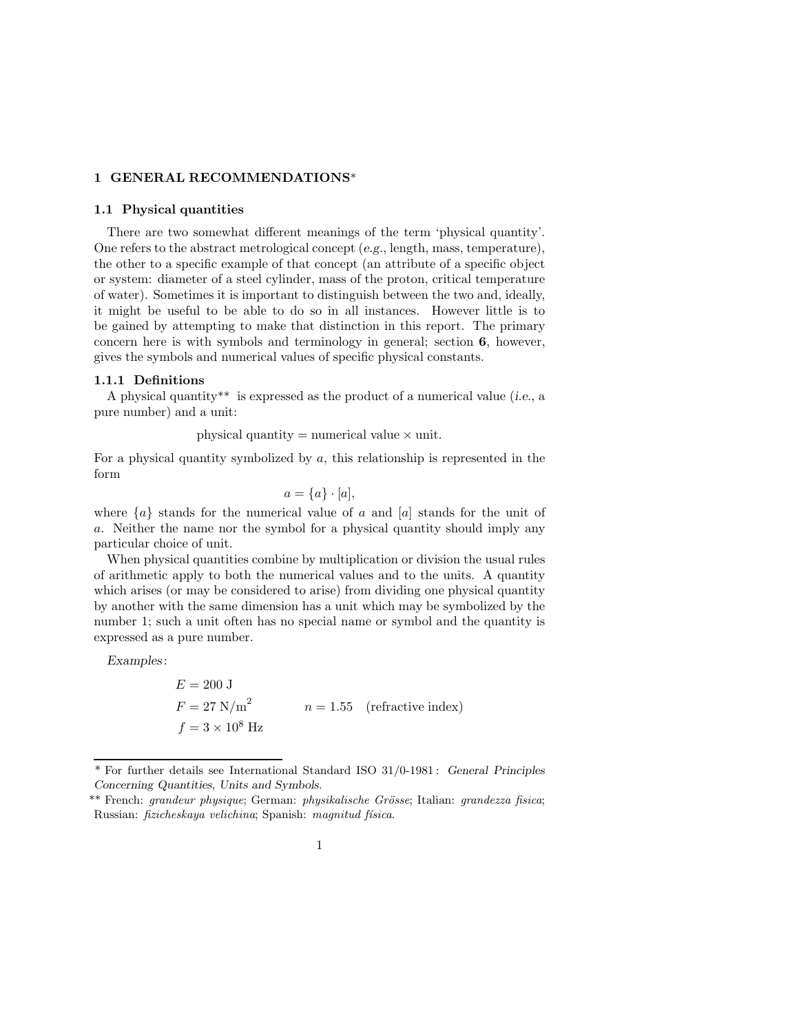#### 1 GENERAL RECOMMENDATIONS\*

#### 1.1 Physical quantities

There are two somewhat different meanings of the term 'physical quantity'. One refers to the abstract metrological concept  $(e.g., length, mass, temperature)$ , the other to a specific example of that concept (an attribute of a specific object or system: diameter of a steel cylinder, mass of the proton, critical temperature of water). Sometimes it is important to distinguish between the two and, ideally, it might be useful to be able to do so in all instances. However little is to be gained by attempting to make that distinction in this report. The primary concern here is with symbols and terminology in general; section 6, however, gives the symbols and numerical values of specific physical constants.

#### 1.1.1 Definitions

A physical quantity\*\* is expressed as the product of a numerical value (i.e., a pure number) and a unit:

physical quantity  $=$  numerical value  $\times$  unit.

For a physical quantity symbolized by  $a$ , this relationship is represented in the form

$$
a = \{a\} \cdot [a],
$$

where  ${a}$  stands for the numerical value of a and [a] stands for the unit of a. Neither the name nor the symbol for a physical quantity should imply any particular choice of unit.

When physical quantities combine by multiplication or division the usual rules of arithmetic apply to both the numerical values and to the units. A quantity which arises (or may be considered to arise) from dividing one physical quantity by another with the same dimension has a unit which may be symbolized by the number 1; such a unit often has no special name or symbol and the quantity is expressed as a pure number.

$$
E = 200 \text{ J}
$$
  
\n
$$
F = 27 \text{ N/m}^2
$$
  
\n
$$
n = 1.55 \text{ (refractive index)}
$$
  
\n
$$
f = 3 \times 10^8 \text{ Hz}
$$

<sup>\*</sup> For further details see International Standard ISO 31/0-1981 : General Principles Concerning Quantities, Units and Symbols.

<sup>\*\*</sup> French: grandeur physique; German: physikalische Grösse; Italian: grandezza fisica; Russian: *fizicheskaya velichina*; Spanish: *magnitud física*.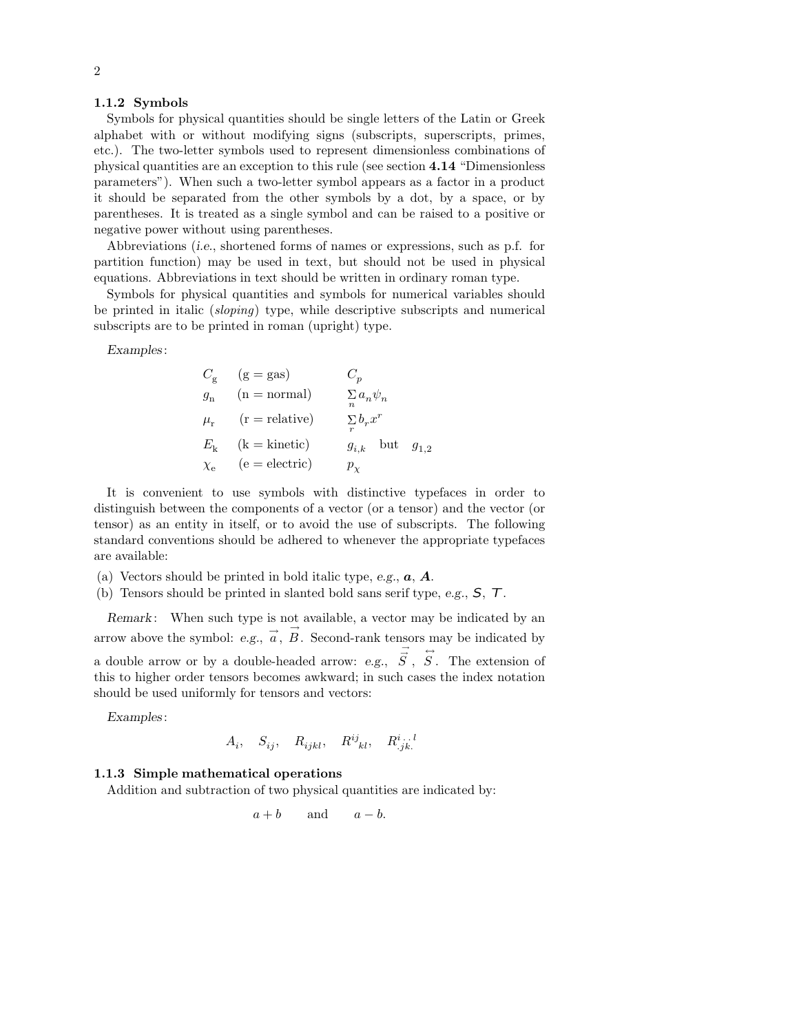#### 1.1.2 Symbols

Symbols for physical quantities should be single letters of the Latin or Greek alphabet with or without modifying signs (subscripts, superscripts, primes, etc.). The two-letter symbols used to represent dimensionless combinations of physical quantities are an exception to this rule (see section 4.14 "Dimensionless parameters"). When such a two-letter symbol appears as a factor in a product it should be separated from the other symbols by a dot, by a space, or by parentheses. It is treated as a single symbol and can be raised to a positive or negative power without using parentheses.

Abbreviations (i.e., shortened forms of names or expressions, such as p.f. for partition function) may be used in text, but should not be used in physical equations. Abbreviations in text should be written in ordinary roman type.

Symbols for physical quantities and symbols for numerical variables should be printed in italic (sloping) type, while descriptive subscripts and numerical subscripts are to be printed in roman (upright) type.

Examples:

$$
\begin{array}{llll} C_{\rm g} & ({\rm g = gas}) & C_p \\ g_{\rm n} & ({\rm n = normal}) & \sum\limits_n a_n \psi_n \\ \mu_{\rm r} & ({\rm r = relative}) & \sum\limits_r b_r x^r \\ E_{\rm k} & ({\rm k = kinetic}) & g_{i,k} \hspace{2mm} {\rm but} \hspace{2mm} g_{1,2} \\ \chi_{\rm e} & ({\rm e = electric}) & p_{\chi} \end{array}
$$

It is convenient to use symbols with distinctive typefaces in order to distinguish between the components of a vector (or a tensor) and the vector (or tensor) as an entity in itself, or to avoid the use of subscripts. The following standard conventions should be adhered to whenever the appropriate typefaces are available:

- (a) Vectors should be printed in bold italic type, e.g.,  $\boldsymbol{a}$ ,  $\boldsymbol{A}$ .
- (b) Tensors should be printed in slanted bold sans serif type, e.g.,  $S$ ,  $T$ .

Remark: When such type is not available, a vector may be indicated by an arrow above the symbol: e.g.,  $\vec{a}$ ,  $\vec{B}$ . Second-rank tensors may be indicated by a double arrow or by a double-headed arrow: e.g.,  $\vec{S}$  $\vec{\vec{S}}$ ,  $\vec{S}$ . The extension of this to higher order tensors becomes awkward; in such cases the index notation should be used uniformly for tensors and vectors:

Examples:

 $A_i, \quad S_{ij}, \quad R_{ijkl}, \quad R^{ij}_{kl}, \quad R^{i...l}_{jk}$ 

# 1.1.3 Simple mathematical operations

Addition and subtraction of two physical quantities are indicated by:

 $a + b$  and  $a - b$ .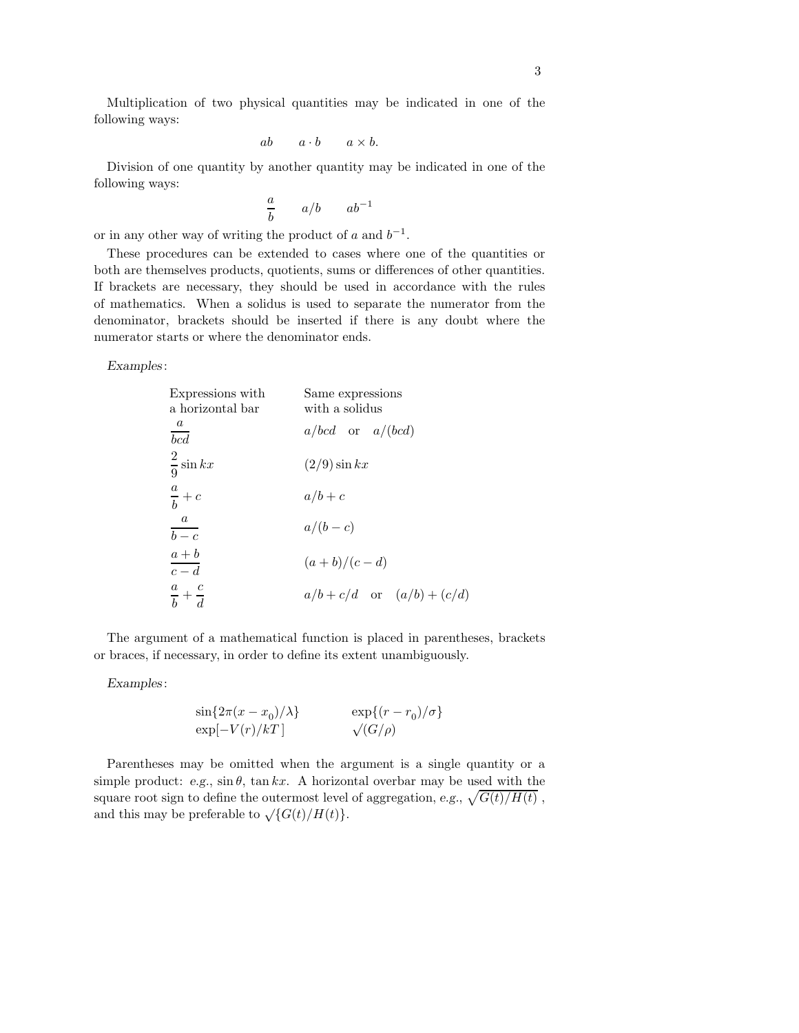$$
ab \qquad a \cdot b \qquad a \times b.
$$

Division of one quantity by another quantity may be indicated in one of the following ways:

$$
\frac{a}{b} \qquad a/b \qquad ab^{-1}
$$

or in any other way of writing the product of a and  $b^{-1}$ .

These procedures can be extended to cases where one of the quantities or both are themselves products, quotients, sums or differences of other quantities. If brackets are necessary, they should be used in accordance with the rules of mathematics. When a solidus is used to separate the numerator from the denominator, brackets should be inserted if there is any doubt where the numerator starts or where the denominator ends.

Examples:

| Expressions with                     | Same expressions               |
|--------------------------------------|--------------------------------|
| a horizontal bar                     | with a solidus                 |
| $\boldsymbol{a}$<br>$\overline{bcd}$ | $a/bcd$ or $a/(bcd)$           |
| $rac{2}{9}$ sin kx                   | $(2/9)\sin kx$                 |
| $\frac{a}{b} + c$                    | $a/b+c$                        |
| $\frac{a}{b-c}$                      | $a/(b-c)$                      |
| $\frac{a+b}{c-d}$                    | $(a+b)/(c-d)$                  |
| $rac{a}{b} + \frac{c}{d}$            | $a/b + c/d$ or $(a/b) + (c/d)$ |

The argument of a mathematical function is placed in parentheses, brackets or braces, if necessary, in order to define its extent unambiguously.

Examples:

$$
\begin{aligned}\n\sin\{2\pi(x-x_0)/\lambda\} & \exp\{(r-r_0)/\sigma\} \\
\exp[-V(r)/kT] & \sqrt{(G/\rho)}\n\end{aligned}
$$

Parentheses may be omitted when the argument is a single quantity or a simple product: e.g.,  $\sin \theta$ ,  $\tan kx$ . A horizontal overbar may be used with the square root sign to define the outermost level of aggregation, e.g.,  $\sqrt{G(t)/H(t)}$ , and this may be preferable to  $\sqrt{\{G(t)/H(t)\}}$ .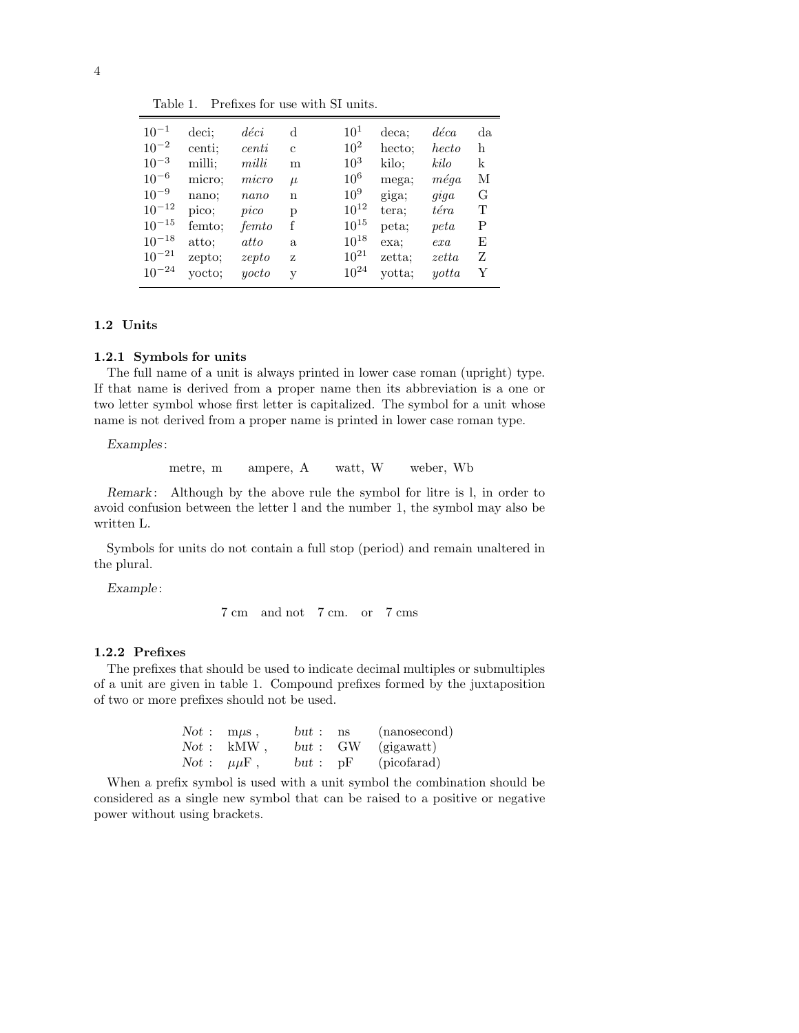| $10^{-1}$<br>$10^{-2}$ | deci:<br>centi: | $d{\'e}ci$<br>centi | d<br>$\mathbf{c}$ | $10^{1}$<br>$10^{2}$ | deca:<br>hecto: | $d\acute{e}ca$<br>hecto | da<br>h |
|------------------------|-----------------|---------------------|-------------------|----------------------|-----------------|-------------------------|---------|
| $10^{-3}$              | milli;          | milli               | m                 | 10 <sup>3</sup>      | kilo;           | kilo                    | k       |
| $10^{-6}$<br>$10^{-9}$ | micro:          | micro               | $\mu$             | $10^6$<br>$10^9$     | mega:           | $m$ éga                 | М<br>G  |
| $10^{-12}$             | nano:<br>pico:  | nano<br>pico        | n<br>p            | $10^{12}$            | giga;<br>tera:  | qiqa<br>$t$ éra         | Т       |
| $10^{-15}$             | femto:          | femto               | f                 | $10^{15}$            | peta:           | peta                    | Ρ       |
| $10^{-18}$             | atto:           | atto                | a                 | $10^{18}$            | exa:            | exa                     | E       |
| $10^{-21}$             | zepto:          | zepto               | z                 | $10^{21}$            | zetta:          | zetta                   | Z       |
| $10^{-24}$             | vocto:          | yocto               | V                 | $10^{24}$            | votta:          | yotta                   | Y       |

Table 1. Prefixes for use with SI units.

### 1.2 Units

#### 1.2.1 Symbols for units

The full name of a unit is always printed in lower case roman (upright) type. If that name is derived from a proper name then its abbreviation is a one or two letter symbol whose first letter is capitalized. The symbol for a unit whose name is not derived from a proper name is printed in lower case roman type.

Examples:

metre, m ampere, A watt, W weber, Wb

Remark: Although by the above rule the symbol for litre is l, in order to avoid confusion between the letter l and the number 1, the symbol may also be written L.

Symbols for units do not contain a full stop (period) and remain unaltered in the plural.

Example :

7 cm and not 7 cm. or 7 cms

# 1.2.2 Prefixes

The prefixes that should be used to indicate decimal multiples or submultiples of a unit are given in table 1. Compound prefixes formed by the juxtaposition of two or more prefixes should not be used.

| $Not: \ \ m\mu s$ , | $but:$ ns | (nanosecond) |
|---------------------|-----------|--------------|
| $Not: \t kMW.$      | but: GW   | (gigawatt)   |
| Not: $\mu\mu F$ ,   | but: pF   | (picofarad)  |

When a prefix symbol is used with a unit symbol the combination should be considered as a single new symbol that can be raised to a positive or negative power without using brackets.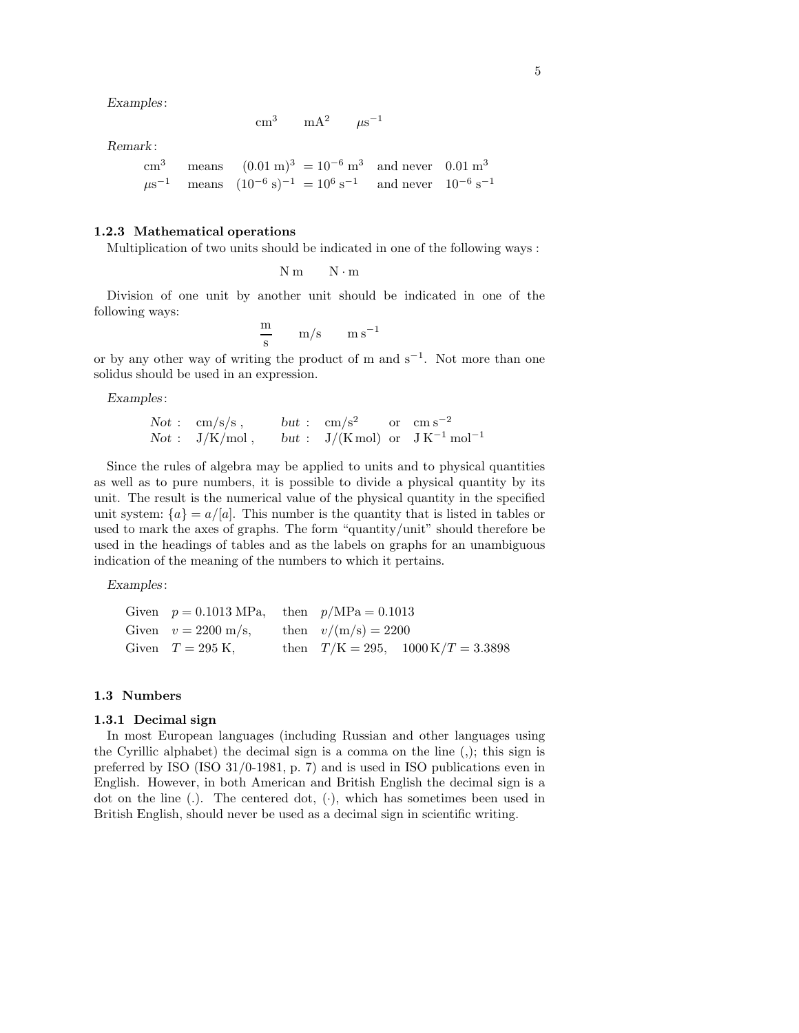Examples:

$$
\text{cm}^3 \qquad \text{mA}^2 \qquad \mu \text{s}^{-1}
$$

Remark :

$$
\text{cm}^3
$$
 means  $(0.01 \text{ m})^3 = 10^{-6} \text{ m}^3$  and never  $0.01 \text{ m}^3$   
\n $\mu \text{s}^{-1}$  means  $(10^{-6} \text{ s})^{-1} = 10^6 \text{ s}^{-1}$  and never  $10^{-6} \text{ s}^{-1}$ 

# 1.2.3 Mathematical operations

Multiplication of two units should be indicated in one of the following ways :

$$
N m \qquad N \cdot m
$$

Division of one unit by another unit should be indicated in one of the following ways:

$$
\frac{m}{s} \qquad m/s \qquad m\,s^{-1}
$$

or by any other way of writing the product of m and s<sup>-1</sup>. Not more than one solidus should be used in an expression.

Examples:

Not: 
$$
cm/s/s
$$
, but:  $cm/s^2$  or  $cm s^{-2}$   
Not:  $J/K/mol$ , but:  $J/(K mol)$  or  $J K^{-1} mol^{-1}$ 

Since the rules of algebra may be applied to units and to physical quantities as well as to pure numbers, it is possible to divide a physical quantity by its unit. The result is the numerical value of the physical quantity in the specified unit system:  ${a} = a/|a|$ . This number is the quantity that is listed in tables or used to mark the axes of graphs. The form "quantity/unit" should therefore be used in the headings of tables and as the labels on graphs for an unambiguous indication of the meaning of the numbers to which it pertains.

Examples:

Given 
$$
p = 0.1013 \text{ MPa}
$$
, then  $p/\text{MPa} = 0.1013$   
\nGiven  $v = 2200 \text{ m/s}$ , then  $v/(m/s) = 2200$   
\nGiven  $T = 295 \text{ K}$ , then  $T/\text{K} = 295$ ,  $1000 \text{ K}/T = 3.3898$ 

# 1.3 Numbers

### 1.3.1 Decimal sign

In most European languages (including Russian and other languages using the Cyrillic alphabet) the decimal sign is a comma on the line (,); this sign is preferred by ISO (ISO 31/0-1981, p. 7) and is used in ISO publications even in English. However, in both American and British English the decimal sign is a dot on the line  $(.)$ . The centered dot,  $(.)$ , which has sometimes been used in British English, should never be used as a decimal sign in scientific writing.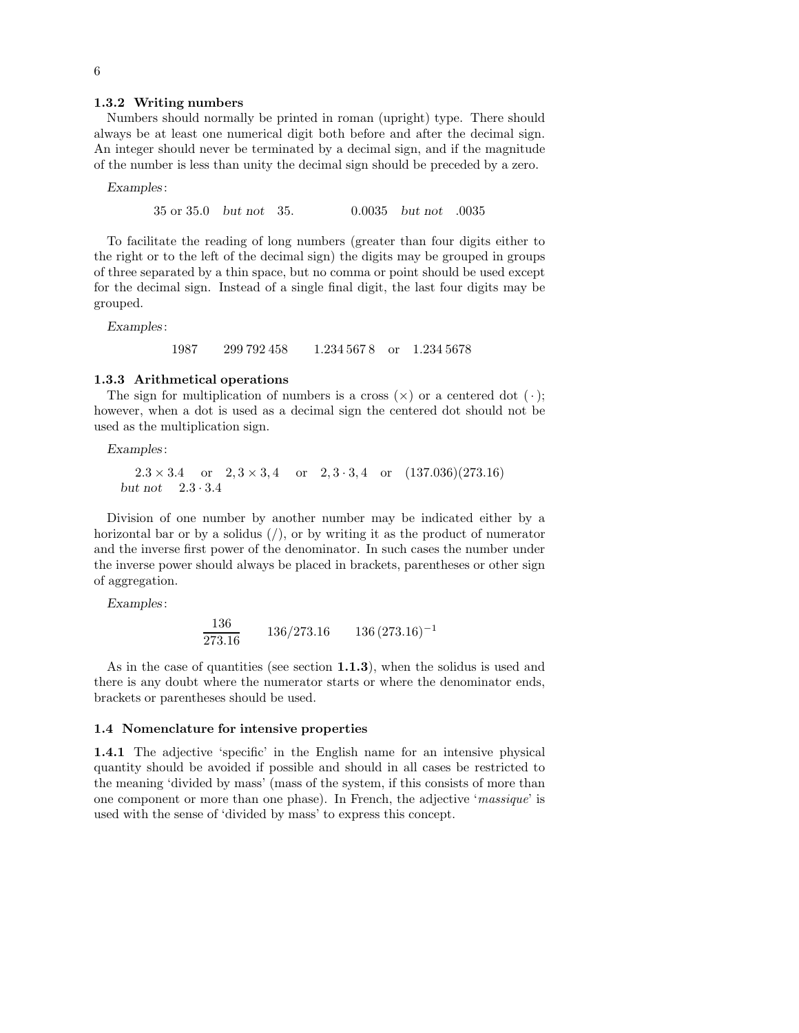#### 1.3.2 Writing numbers

Numbers should normally be printed in roman (upright) type. There should always be at least one numerical digit both before and after the decimal sign. An integer should never be terminated by a decimal sign, and if the magnitude of the number is less than unity the decimal sign should be preceded by a zero.

Examples:

35 or 35.0 but not 35. 0.0035 but not .0035

To facilitate the reading of long numbers (greater than four digits either to the right or to the left of the decimal sign) the digits may be grouped in groups of three separated by a thin space, but no comma or point should be used except for the decimal sign. Instead of a single final digit, the last four digits may be grouped.

Examples:

1987 299 792 458 1.234 567 8 or 1.234 5678

#### 1.3.3 Arithmetical operations

The sign for multiplication of numbers is a cross  $(\times)$  or a centered dot ( $\cdot$ ); however, when a dot is used as a decimal sign the centered dot should not be used as the multiplication sign.

Examples:

 $2.3 \times 3.4$  or  $2, 3 \times 3, 4$  or  $2, 3 \cdot 3, 4$  or  $(137.036)(273.16)$ <br>but not  $2.3 \cdot 3.4$  $2.3 \cdot 3.4$ 

Division of one number by another number may be indicated either by a horizontal bar or by a solidus  $($ , or by writing it as the product of numerator and the inverse first power of the denominator. In such cases the number under the inverse power should always be placed in brackets, parentheses or other sign of aggregation.

Examples:

$$
\frac{136}{273.16} \qquad 136/273.16 \qquad 136 (273.16)^{-1}
$$

As in the case of quantities (see section 1.1.3), when the solidus is used and there is any doubt where the numerator starts or where the denominator ends, brackets or parentheses should be used.

#### 1.4 Nomenclature for intensive properties

1.4.1 The adjective 'specific' in the English name for an intensive physical quantity should be avoided if possible and should in all cases be restricted to the meaning 'divided by mass' (mass of the system, if this consists of more than one component or more than one phase). In French, the adjective 'massique' is used with the sense of 'divided by mass' to express this concept.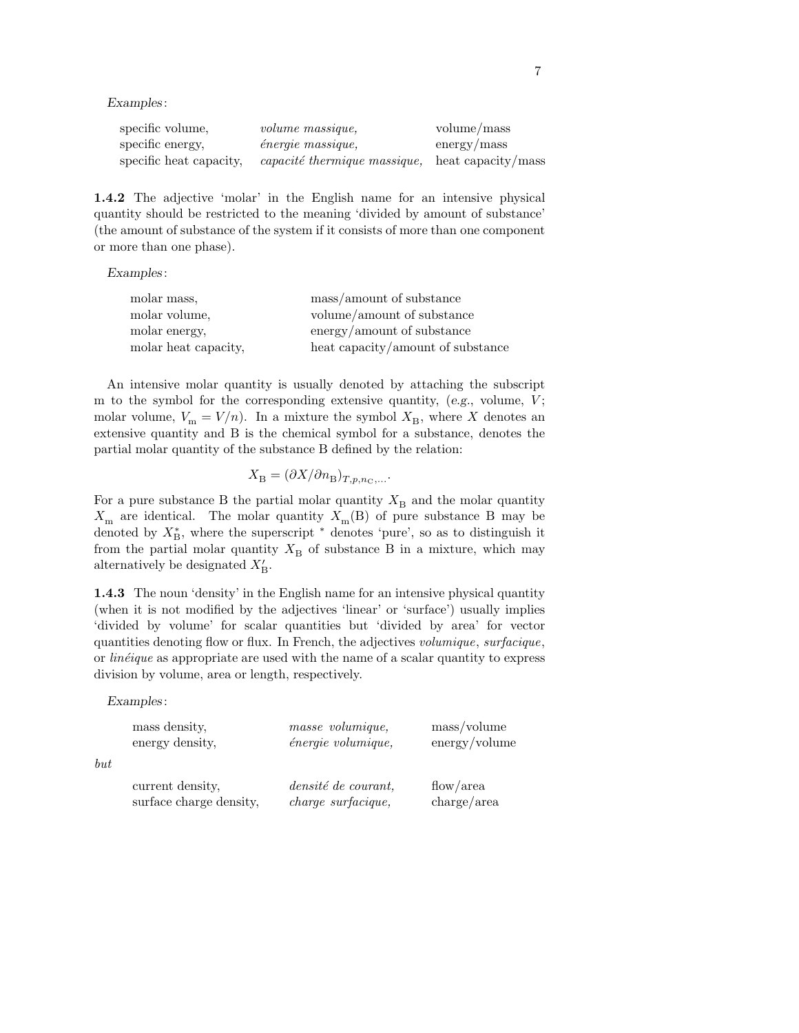Examples:

| specific volume,        | <i>volume massique.</i>             | volume/mass        |
|-------------------------|-------------------------------------|--------------------|
| specific energy,        | <i>énergie massique,</i>            | energy/mass        |
| specific heat capacity, | <i>capacité thermique massique,</i> | heat capacity/mass |

1.4.2 The adjective 'molar' in the English name for an intensive physical quantity should be restricted to the meaning 'divided by amount of substance' (the amount of substance of the system if it consists of more than one component or more than one phase).

Examples:

| molar mass,          | mass/amount of substance                   |
|----------------------|--------------------------------------------|
| molar volume.        | volume/amount of substance                 |
| molar energy,        | $\text{energy}/\text{amount}$ of substance |
| molar heat capacity. | heat capacity/amount of substance          |

An intensive molar quantity is usually denoted by attaching the subscript m to the symbol for the corresponding extensive quantity, (e.g., volume,  $V$ ; molar volume,  $V_m = V/n$ . In a mixture the symbol  $X_B$ , where X denotes an extensive quantity and B is the chemical symbol for a substance, denotes the partial molar quantity of the substance B defined by the relation:

$$
X_{\mathcal{B}} = (\partial X/\partial n_{\mathcal{B}})_{T,p,n_{\mathcal{C}},...}.
$$

For a pure substance B the partial molar quantity  $X_{\text{B}}$  and the molar quantity  $X_{\rm m}$  are identical. The molar quantity  $X_{\rm m}(\text{B})$  of pure substance B may be denoted by  $X_{\text{B}}^{*}$ , where the superscript  $*$  denotes 'pure', so as to distinguish it from the partial molar quantity  $X_B$  of substance B in a mixture, which may alternatively be designated  $X'_{\text{B}}$ .

1.4.3 The noun 'density' in the English name for an intensive physical quantity (when it is not modified by the adjectives 'linear' or 'surface') usually implies 'divided by volume' for scalar quantities but 'divided by area' for vector quantities denoting flow or flux. In French, the adjectives volumique, surfacique, or  $linéique$  as appropriate are used with the name of a scalar quantity to express division by volume, area or length, respectively.

|     | mass density,           | masse volumique,    | mass/volume   |
|-----|-------------------------|---------------------|---------------|
|     | energy density,         | énergie volumique,  | energy/volume |
| but |                         |                     |               |
|     | current density,        | densité de courant, | flow/area     |
|     | surface charge density, | charge surfacique,  | charge/area   |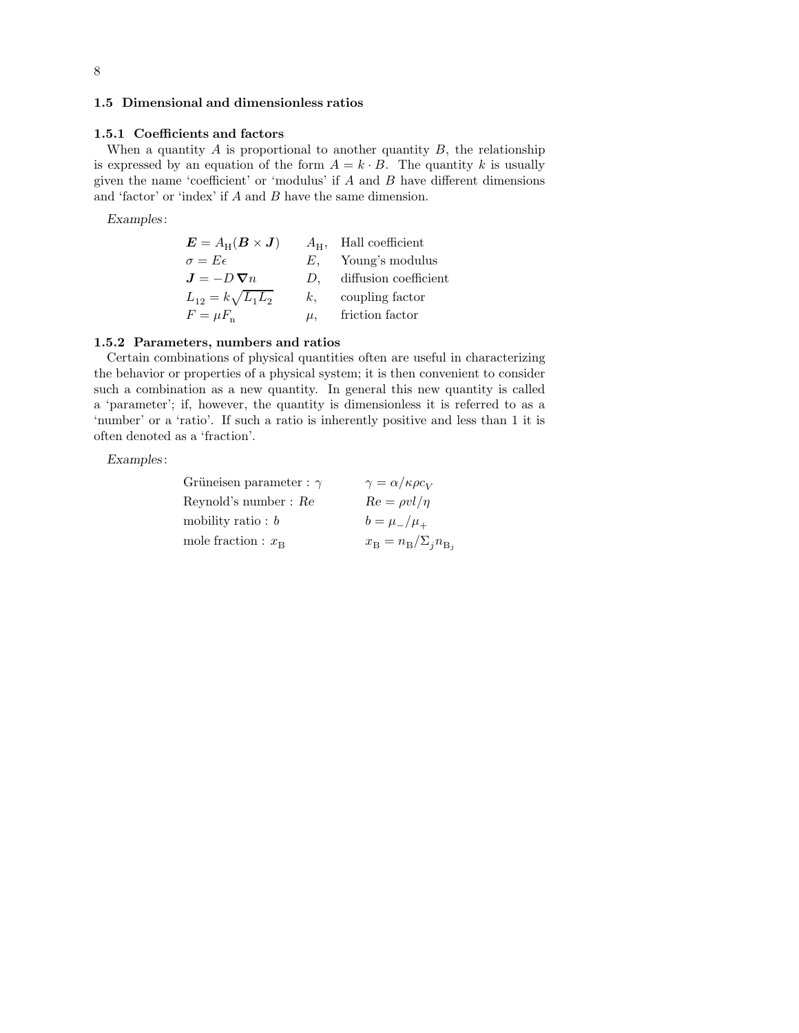# 1.5 Dimensional and dimensionless ratios

#### 1.5.1 Coefficients and factors

When a quantity  $A$  is proportional to another quantity  $B$ , the relationship is expressed by an equation of the form  $A = k \cdot B$ . The quantity k is usually given the name 'coefficient' or 'modulus' if  $A$  and  $B$  have different dimensions and 'factor' or 'index' if A and B have the same dimension.

Examples:

| $\boldsymbol{E}=A_{\textrm{H}}(\boldsymbol{B}\times\boldsymbol{J})$ | $A_{\rm H}$ , | Hall coefficient      |
|---------------------------------------------------------------------|---------------|-----------------------|
| $\sigma = E\epsilon$                                                | E.            | Young's modulus       |
| $J = -D \nabla n$                                                   | $D_{\tau}$    | diffusion coefficient |
| $L_{12} = k\sqrt{L_1L_2}$                                           | $k_{\cdot}$   | coupling factor       |
| $F = \mu F_n$                                                       | μ,            | friction factor       |

#### 1.5.2 Parameters, numbers and ratios

Certain combinations of physical quantities often are useful in characterizing the behavior or properties of a physical system; it is then convenient to consider such a combination as a new quantity. In general this new quantity is called a 'parameter'; if, however, the quantity is dimensionless it is referred to as a 'number' or a 'ratio'. If such a ratio is inherently positive and less than 1 it is often denoted as a 'fraction'.

| Grüneisen parameter : $\gamma$ | $\gamma = \alpha/\kappa \rho c_V$            |
|--------------------------------|----------------------------------------------|
| Reynold's number : Re          | $Re = \rho v l / \eta$                       |
| mobility ratio : $b$           | $b = \mu_{-}/\mu_{+}$                        |
| mole fraction : $x_{\rm B}$    | $x_{\rm B} = n_{\rm B}/\Sigma_j n_{\rm B_i}$ |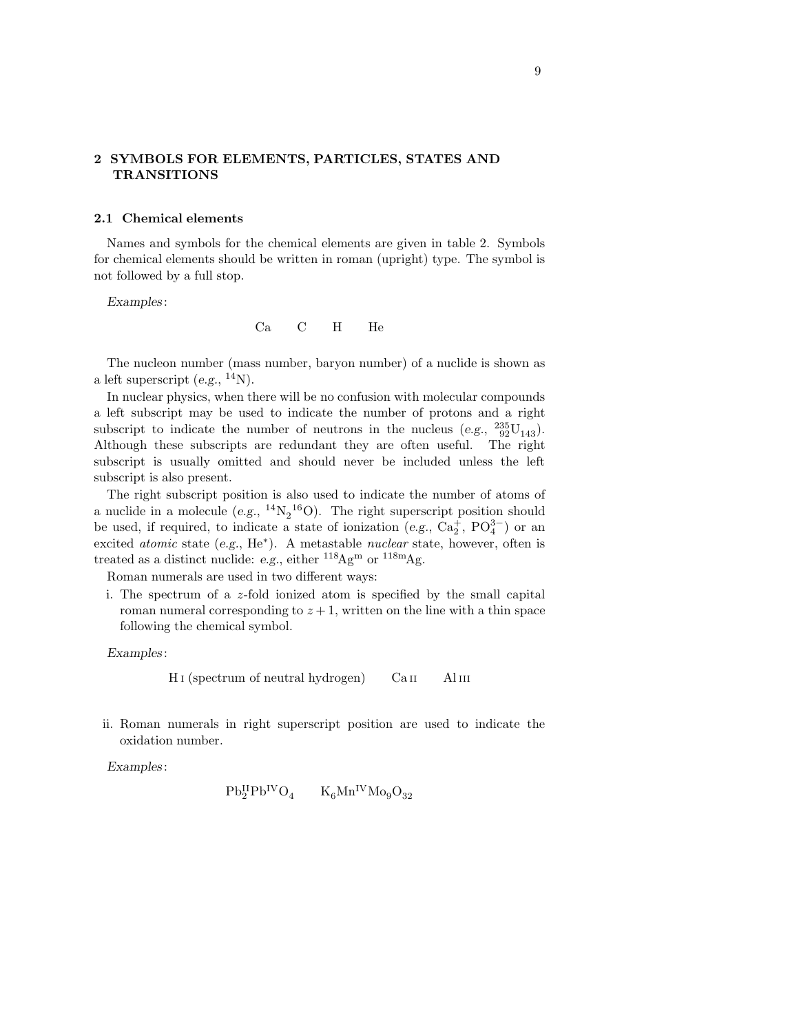# 2 SYMBOLS FOR ELEMENTS, PARTICLES, STATES AND TRANSITIONS

# 2.1 Chemical elements

Names and symbols for the chemical elements are given in table 2. Symbols for chemical elements should be written in roman (upright) type. The symbol is not followed by a full stop.

Examples:

$$
Ca \t C \t H \t He
$$

The nucleon number (mass number, baryon number) of a nuclide is shown as a left superscript  $(e.g., {}^{14}N)$ .

In nuclear physics, when there will be no confusion with molecular compounds a left subscript may be used to indicate the number of protons and a right subscript to indicate the number of neutrons in the nucleus  $(e.g., \frac{235}{92}U_{143})$ . Although these subscripts are redundant they are often useful. The right subscript is usually omitted and should never be included unless the left subscript is also present.

The right subscript position is also used to indicate the number of atoms of a nuclide in a molecule (e.g.,  ${}^{14}N_2{}^{16}O$ ). The right superscript position should be used, if required, to indicate a state of ionization  $(e.g., Ca<sub>2</sub><sup>+</sup>, PO<sub>4</sub><sup>3-</sup>)$  or an excited *atomic* state  $(e.g., He^*)$ . A metastable *nuclear* state, however, often is treated as a distinct nuclide: e.g., either  $^{118}$ Ag<sup>m</sup> or  $^{118}$ mAg.

Roman numerals are used in two different ways:

i. The spectrum of a z-fold ionized atom is specified by the small capital roman numeral corresponding to  $z + 1$ , written on the line with a thin space following the chemical symbol.

Examples:

```
H I (spectrum of neutral hydrogen) Ca II Al III
```
ii. Roman numerals in right superscript position are used to indicate the oxidation number.

$$
\mathrm{Pb_2^{II}Pb^{IV}O_4} \qquad \mathrm{K_6Mn^{IV}Mo_9O_{32}}
$$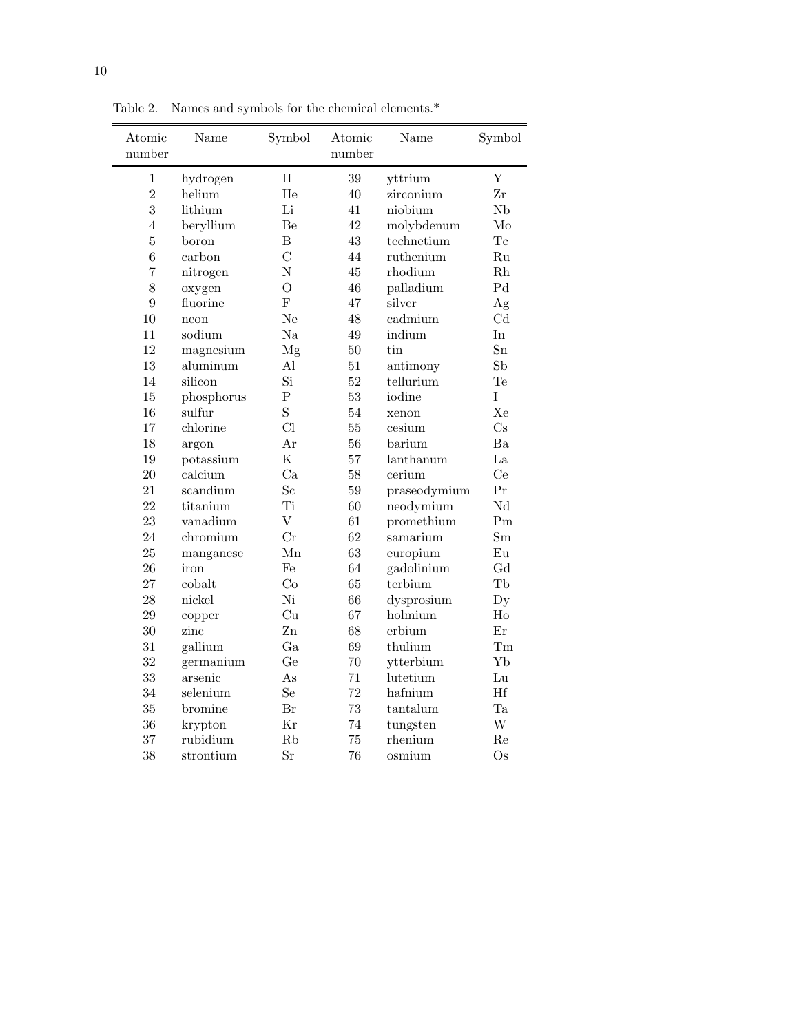| Atomic<br>number | Name       | Symbol                  | Atomic<br>number | Name         | Symbol         |
|------------------|------------|-------------------------|------------------|--------------|----------------|
| 1                | hydrogen   | H                       | 39               | yttrium      | Y              |
| $\overline{2}$   | helium     | He                      | 40               | zirconium    | Zr             |
| 3                | lithium    | Li                      | 41               | niobium      | Nb             |
| 4                | beryllium  | Be                      | 42               | molybdenum   | Mo             |
| $\overline{5}$   | boron      | B                       | 43               | technetium   | Тc             |
| 6                | carbon     | $\overline{C}$          | 44               | ruthenium    | Ru             |
| $\overline{7}$   | nitrogen   | ${\bf N}$               | 45               | rhodium      | Rh             |
| 8                | oxygen     | $\overline{O}$          | 46               | palladium    | P <sub>d</sub> |
| 9                | fluorine   | $\overline{\mathrm{F}}$ | 47               | silver       | Ag             |
| 10               | neon       | Ne                      | 48               | cadmium      | Cd             |
| 11               | sodium     | Na                      | 49               | indium       | In             |
| 12               | magnesium  | Mg                      | 50               | tin          | $S_{n}$        |
| 13               | aluminum   | Al                      | 51               | antimony     | S <sub>b</sub> |
| 14               | silicon    | Si                      | 52               | tellurium    | Te             |
| 15               | phosphorus | ${\bf P}$               | 53               | iodine       | T              |
| 16               | sulfur     | $\mathbf S$             | 54               | xenon        | Xe             |
| 17               | chlorine   | Cl                      | 55               | cesium       | $\mathrm{Cs}$  |
| 18               | argon      | Ar                      | 56               | barium       | B <sub>a</sub> |
| 19               | potassium  | ${\bf K}$               | 57               | lanthanum    | La             |
| 20               | calcium    | Ca                      | 58               | cerium       | Ce             |
| 21               | scandium   | Sc                      | 59               | praseodymium | Pr             |
| 22               | titanium   | Ti                      | 60               | neodymium    | Nd             |
| 23               | vanadium   | V                       | 61               | promethium   | ${\rm Pm}$     |
| 24               | chromium   | Cr                      | 62               | samarium     | Sm             |
| 25               | manganese  | Mn                      | 63               | europium     | Eu             |
| 26               | iron       | Fe                      | 64               | gadolinium   | Gd             |
| 27               | cobalt     | Co                      | 65               | terbium      | Tb             |
| 28               | nickel     | Ni                      | 66               | dysprosium   | Dy             |
| 29               | copper     | Cu                      | 67               | holmium      | Ho             |
| 30               | zinc       | $\mathbf{Z}$ n          | 68               | erbium       | Er             |
| 31               | gallium    | Ga                      | 69               | thulium      | Tm             |
| 32               | germanium  | Ge                      | 70               | ytterbium    | Yb             |
| 33               | arsenic    | As                      | 71               | lutetium     | Lu             |
| 34               | selenium   | <b>Se</b>               | 72               | hafnium      | Hf             |
| 35               | bromine    | Br                      | 73               | tantulum     | Ta             |
| 36               | krypton    | Κr                      | 74               | tungsten     | W              |
| 37               | rubidium   | Rb                      | 75               | rhenium      | Re             |
| 38               | strontium  | Sr                      | 76               | osmium       | Os             |

Table 2. Names and symbols for the chemical elements.<sup>\*</sup>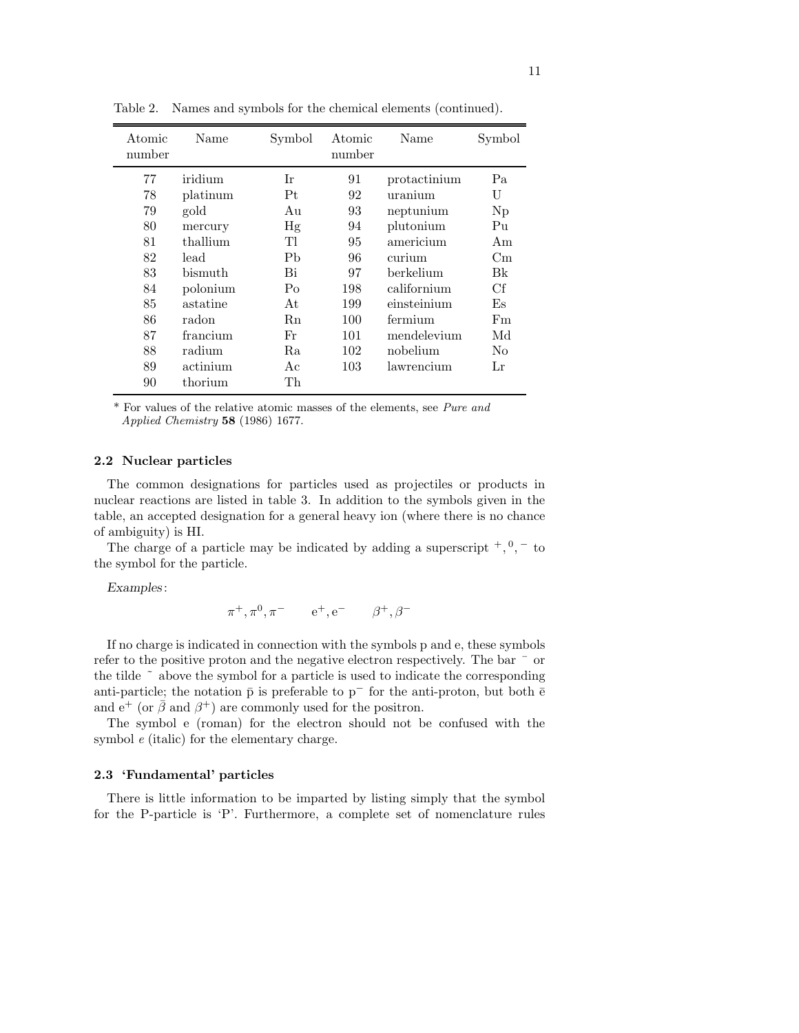| Atomic<br>number                                                                 | Name                                                                                                                                                      | Symbol                                                                            | Atomic<br>number                                                                 | Name                                                                                                                                                                    | Symbol                                                                                            |
|----------------------------------------------------------------------------------|-----------------------------------------------------------------------------------------------------------------------------------------------------------|-----------------------------------------------------------------------------------|----------------------------------------------------------------------------------|-------------------------------------------------------------------------------------------------------------------------------------------------------------------------|---------------------------------------------------------------------------------------------------|
| 77<br>78<br>79<br>80<br>81<br>82<br>83<br>84<br>85<br>86<br>87<br>88<br>89<br>90 | iridium<br>platinum<br>gold<br>mercury<br>thallium<br>lead<br>bismuth<br>polonium<br>astatine<br>radon<br>francium<br>radium<br>actinium<br>$\frac{1}{2}$ | Ir<br>Pt.<br>Αu<br>Hg<br>Tl<br>Pb<br>Bi<br>Po<br>At<br>Rn<br>Fr<br>Ra<br>Aс<br>Th | 91<br>92<br>93<br>94<br>95<br>96<br>97<br>198<br>199<br>100<br>101<br>102<br>103 | protactinium<br>uranium<br>neptunium<br>plutonium<br>americium<br>curium<br>berkelium<br>californium<br>einsteinium<br>fermium<br>mendelevium<br>nobelium<br>lawrencium | P <sub>a</sub><br>U<br>Np<br>Pu<br>Am<br>Cm<br>Bk<br>Cf<br>Es<br>F <sub>m</sub><br>Md<br>No<br>Lr |

Table 2. Names and symbols for the chemical elements (continued).

\* For values of the relative atomic masses of the elements, see Pure and Applied Chemistry 58 (1986) 1677.

#### 2.2 Nuclear particles

The common designations for particles used as projectiles or products in nuclear reactions are listed in table 3. In addition to the symbols given in the table, an accepted designation for a general heavy ion (where there is no chance of ambiguity) is HI.

The charge of a particle may be indicated by adding a superscript  $+, 0, -$  to the symbol for the particle.

Examples:

$$
\pi^+, \pi^0, \pi^ e^+, e^ \beta^+, \beta^-
$$

If no charge is indicated in connection with the symbols p and e, these symbols refer to the positive proton and the negative electron respectively. The bar ¯ or the tilde ˜ above the symbol for a particle is used to indicate the corresponding anti-particle; the notation  $\bar{p}$  is preferable to p<sup>−</sup> for the anti-proton, but both  $\bar{e}$ and  $e^+$  (or  $\bar{\beta}$  and  $\beta^+$ ) are commonly used for the positron.

The symbol e (roman) for the electron should not be confused with the symbol e (italic) for the elementary charge.

#### 2.3 'Fundamental' particles

There is little information to be imparted by listing simply that the symbol for the P-particle is 'P'. Furthermore, a complete set of nomenclature rules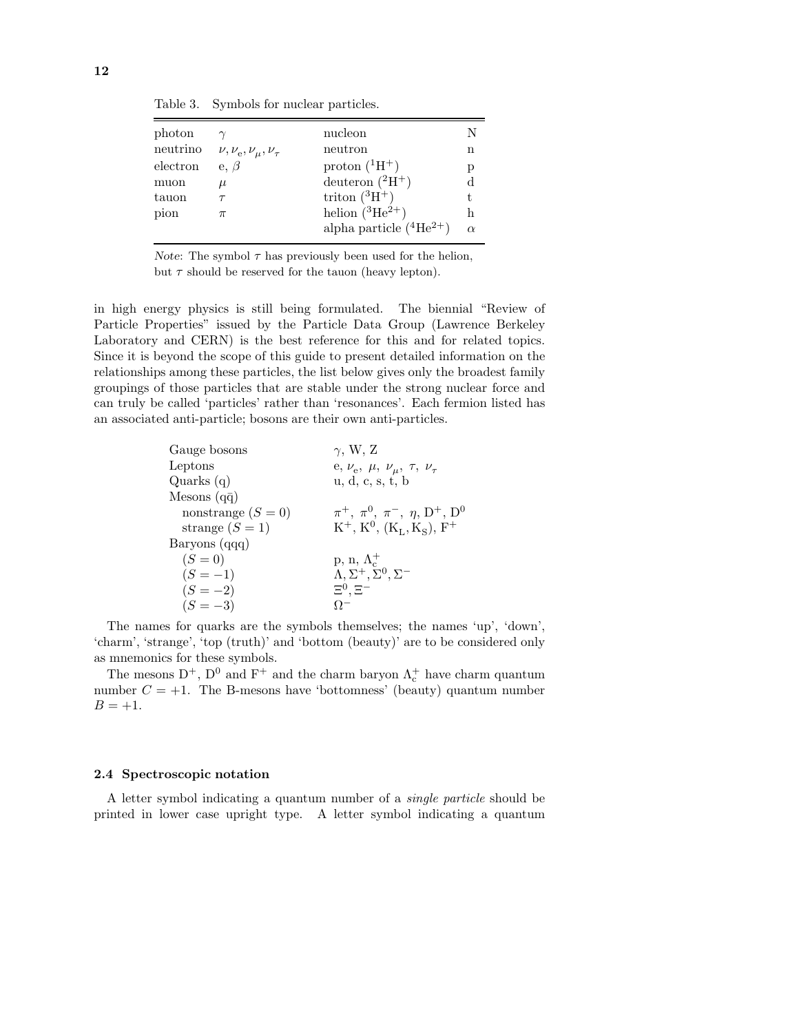| photon   |                                           | nucleon                               |          |
|----------|-------------------------------------------|---------------------------------------|----------|
| neutrino | $\nu, \nu_{\rm e}, \nu_{\mu}, \nu_{\tau}$ | neutron                               | n        |
| electron | e, $\beta$                                | proton $(^1H^+)$                      |          |
| muon     | $\mu$                                     | deuteron $(^{2}H^{+})$                |          |
| tauon    |                                           | triton $(^3H^+)$                      | t.       |
| pion     |                                           | helion $(^3\text{He}^{2+})$           | h        |
|          |                                           | alpha particle $(^{4}\text{He}^{2+})$ | $\alpha$ |

Table 3. Symbols for nuclear particles.

Note: The symbol  $\tau$  has previously been used for the helion, but  $\tau$  should be reserved for the tauon (heavy lepton).

in high energy physics is still being formulated. The biennial "Review of Particle Properties" issued by the Particle Data Group (Lawrence Berkeley Laboratory and CERN) is the best reference for this and for related topics. Since it is beyond the scope of this guide to present detailed information on the relationships among these particles, the list below gives only the broadest family groupings of those particles that are stable under the strong nuclear force and can truly be called 'particles' rather than 'resonances'. Each fermion listed has an associated anti-particle; bosons are their own anti-particles.

| $\gamma$ , W, Z                                                        |
|------------------------------------------------------------------------|
| e, $\nu_e$ , $\mu$ , $\nu_{\mu}$ , $\tau$ , $\nu_{\tau}$               |
| u, d, c, s, t, b                                                       |
|                                                                        |
| $\pi^+$ , $\pi^0$ , $\pi^-$ , $\eta$ , D <sup>+</sup> , D <sup>0</sup> |
| $K^+$ , $K^0$ , $(K_L, K_S)$ , $F^+$                                   |
|                                                                        |
| p, n, $\Lambda_c^+$                                                    |
| $\Lambda, \Sigma^+, \Sigma^0, \Sigma^-$                                |
| $\Xi^0, \Xi^-$                                                         |
| $(2 -$                                                                 |
|                                                                        |

The names for quarks are the symbols themselves; the names 'up', 'down', 'charm', 'strange', 'top (truth)' and 'bottom (beauty)' are to be considered only as mnemonics for these symbols.

The mesons  $D^+$ ,  $D^0$  and  $F^+$  and the charm baryon  $\Lambda_c^+$  have charm quantum number  $C = +1$ . The B-mesons have 'bottomness' (beauty) quantum number  $B = +1.$ 

#### 2.4 Spectroscopic notation

A letter symbol indicating a quantum number of a single particle should be printed in lower case upright type. A letter symbol indicating a quantum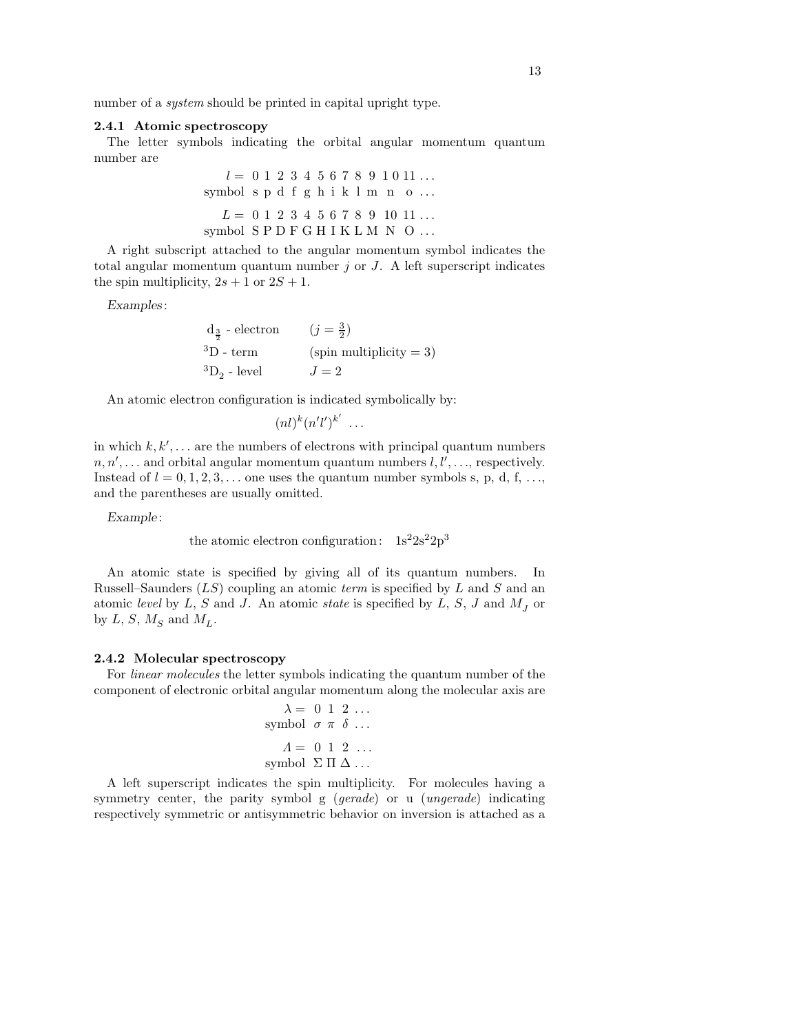#### 2.4.1 Atomic spectroscopy

The letter symbols indicating the orbital angular momentum quantum number are

> $l = 0 1 2 3 4 5 6 7 8 9 1 0 11 ...$ symbol s p d f g h i k l m n o . . .  $L = \ 0 \ 1 \ 2 \ 3 \ 4 \ 5 \ 6 \ 7 \ 8 \ 9 \ 10 \ 11 \ldots$ symbol  $S$  P D F G H I K L M N O ...

A right subscript attached to the angular momentum symbol indicates the total angular momentum quantum number  $j$  or  $J$ . A left superscript indicates the spin multiplicity,  $2s + 1$  or  $2S + 1$ .

Examples:

| $d_3$ - electron  | $(j=\frac{3}{2})$          |
|-------------------|----------------------------|
| $\rm ^3D$ - term  | (spin multiplicity $= 3$ ) |
| ${}^3D_2$ - level | $J=2$                      |

An atomic electron configuration is indicated symbolically by:

$$
(nl)^k (n'l')^{k'} \ldots
$$

in which  $k, k', \ldots$  are the numbers of electrons with principal quantum numbers  $n, n', \ldots$  and orbital angular momentum quantum numbers  $l, l', \ldots$ , respectively. Instead of  $l = 0, 1, 2, 3, \ldots$  one uses the quantum number symbols s, p, d, f, ..., and the parentheses are usually omitted.

Example :

the atomic electron configuration:  $1s^22s^22p^3$ 

An atomic state is specified by giving all of its quantum numbers. In Russell–Saunders  $(LS)$  coupling an atomic term is specified by  $L$  and  $S$  and an atomic level by L, S and J. An atomic state is specified by L, S, J and  $M_J$  or by  $L, S, M_S$  and  $M_L$ .

#### 2.4.2 Molecular spectroscopy

For linear molecules the letter symbols indicating the quantum number of the component of electronic orbital angular momentum along the molecular axis are

> $\lambda = 0$  1 2 ... symbol  $\sigma \pi \delta \ldots$  $\varLambda =~0~1~2~\ldots$ symbol ΣΠ $Δ$ ...

A left superscript indicates the spin multiplicity. For molecules having a symmetry center, the parity symbol g (*gerade*) or u (*ungerade*) indicating respectively symmetric or antisymmetric behavior on inversion is attached as a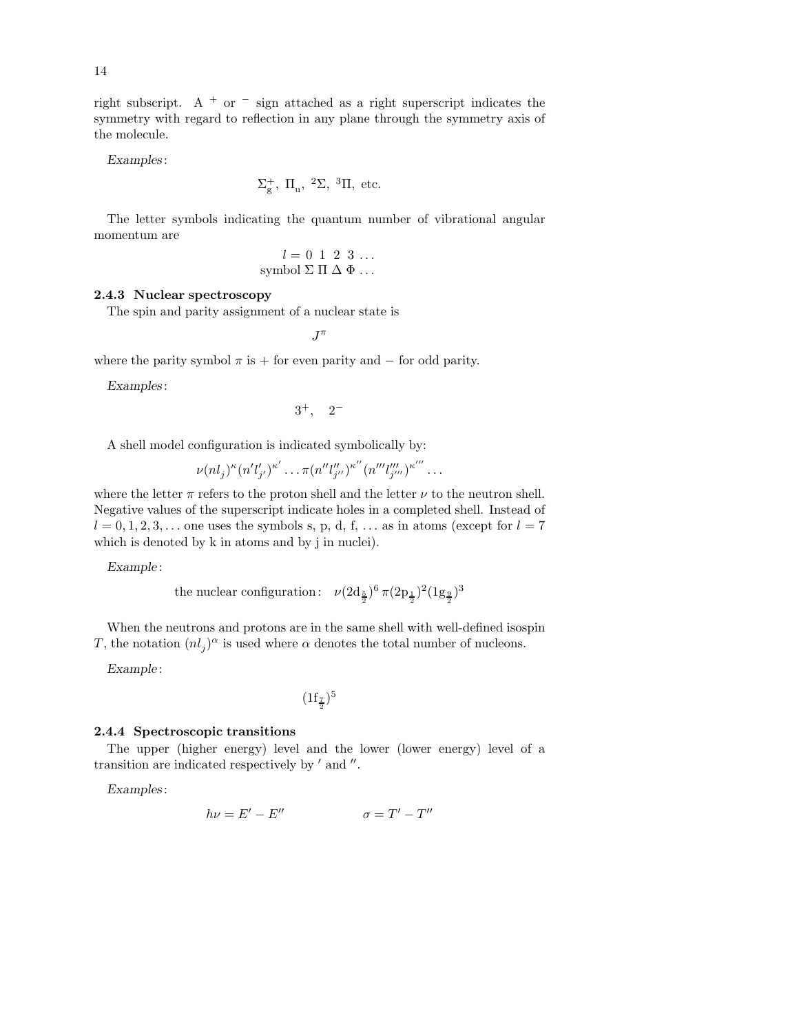right subscript. A + or  $-$  sign attached as a right superscript indicates the symmetry with regard to reflection in any plane through the symmetry axis of the molecule.

Examples:

$$
\Sigma_{\rm g}^{+}
$$
,  $\Pi_{\rm u}$ ,  $^2\Sigma$ ,  $^3\Pi$ , etc.

The letter symbols indicating the quantum number of vibrational angular momentum are

$$
l = 0 \quad 1 \quad 2 \quad 3 \quad \dots
$$
  
symbol 
$$
\Sigma \Pi \Delta \Phi \dots
$$

#### 2.4.3 Nuclear spectroscopy

The spin and parity assignment of a nuclear state is

 $J^{\pi}$ 

where the parity symbol  $\pi$  is + for even parity and – for odd parity.

Examples:

 $3^+$ ,  $2^-$ 

A shell model configuration is indicated symbolically by:

$$
\nu(nl_j)^{\kappa}(n'l'_{j'})^{\kappa'}\ldots \pi(n''l''_{j''})^{\kappa''}(n''''l'''_{j'''})^{\kappa'''}\ldots
$$

where the letter  $\pi$  refers to the proton shell and the letter  $\nu$  to the neutron shell. Negative values of the superscript indicate holes in a completed shell. Instead of  $l = 0, 1, 2, 3, \ldots$  one uses the symbols s, p, d, f,  $\ldots$  as in atoms (except for  $l = 7$ which is denoted by k in atoms and by j in nuclei).

Example :

the nuclear configuration: 
$$
\nu(2d_{\frac{5}{2}})^6 \pi(2p_{\frac{1}{2}})^2(1g_{\frac{9}{2}})^3
$$

When the neutrons and protons are in the same shell with well-defined isospin T, the notation  $(n l_j)^{\alpha}$  is used where  $\alpha$  denotes the total number of nucleons.

Example :

$$
(1f_{\frac{7}{2}})^5
$$

# 2.4.4 Spectroscopic transitions

The upper (higher energy) level and the lower (lower energy) level of a transition are indicated respectively by ' and ".

$$
h\nu = E' - E'' \qquad \qquad \sigma = T' - T''
$$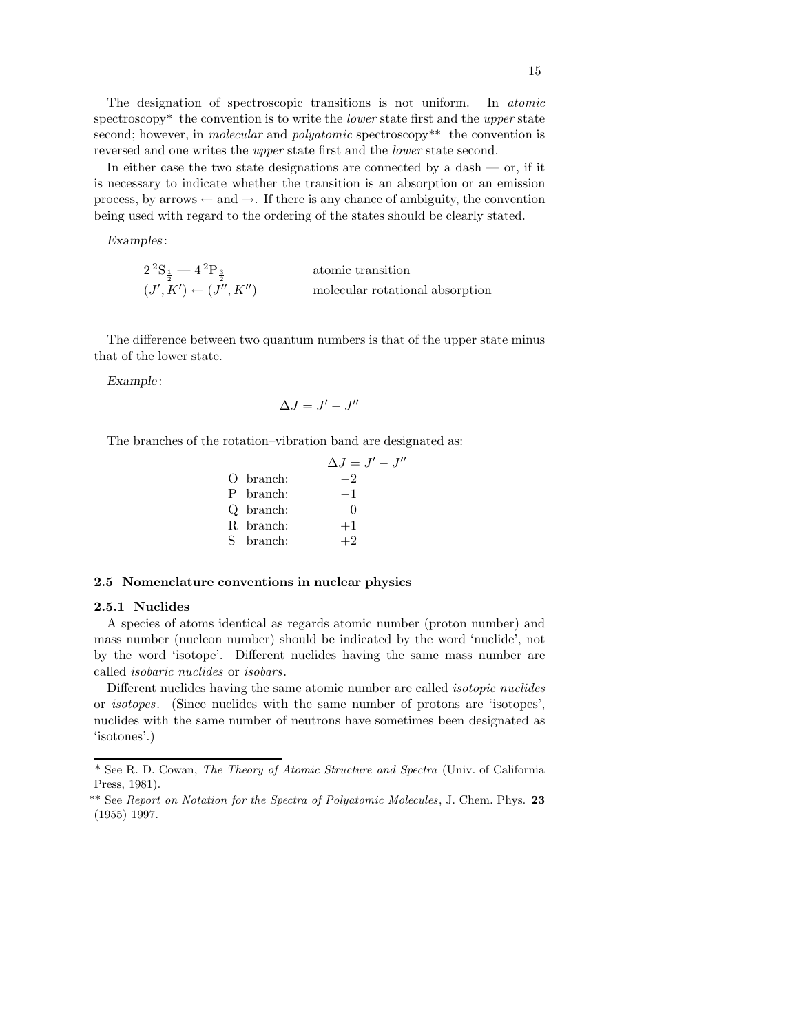The designation of spectroscopic transitions is not uniform. In atomic spectroscopy<sup>\*</sup> the convention is to write the *lower* state first and the *upper* state second; however, in *molecular* and *polyatomic* spectroscopy\*\* the convention is reversed and one writes the upper state first and the lower state second.

In either case the two state designations are connected by a dash  $-$  or, if it is necessary to indicate whether the transition is an absorption or an emission process, by arrows  $\leftarrow$  and  $\rightarrow$ . If there is any chance of ambiguity, the convention being used with regard to the ordering of the states should be clearly stated.

Examples:

$$
\begin{array}{lll} 2\,{}^{2}\mathrm{S}_{\frac{1}{2}}-4\,{}^{2}\mathrm{P}_{\frac{3}{2}} & \qquad \qquad \text{atomic transition}\\ (J',K') \leftarrow (J'',K'') & \qquad \qquad \text{molecular rotational absorption} \end{array}
$$

The difference between two quantum numbers is that of the upper state minus that of the lower state.

Example :

$$
\Delta J = J' - J''
$$

The branches of the rotation–vibration band are designated as:

|           | $\Delta J = J' - J''$ |
|-----------|-----------------------|
| O branch: | $-2$                  |
| P branch: | $-1$                  |
| Q branch: | $\Omega$              |
| R branch: | $+1$                  |
| S branch: | $+2$                  |

# 2.5 Nomenclature conventions in nuclear physics

#### 2.5.1 Nuclides

A species of atoms identical as regards atomic number (proton number) and mass number (nucleon number) should be indicated by the word 'nuclide', not by the word 'isotope'. Different nuclides having the same mass number are called isobaric nuclides or isobars.

Different nuclides having the same atomic number are called isotopic nuclides or isotopes. (Since nuclides with the same number of protons are 'isotopes', nuclides with the same number of neutrons have sometimes been designated as 'isotones'.)

<sup>\*</sup> See R. D. Cowan, The Theory of Atomic Structure and Spectra (Univ. of California Press, 1981).

<sup>\*\*</sup> See Report on Notation for the Spectra of Polyatomic Molecules, J. Chem. Phys. 23 (1955) 1997.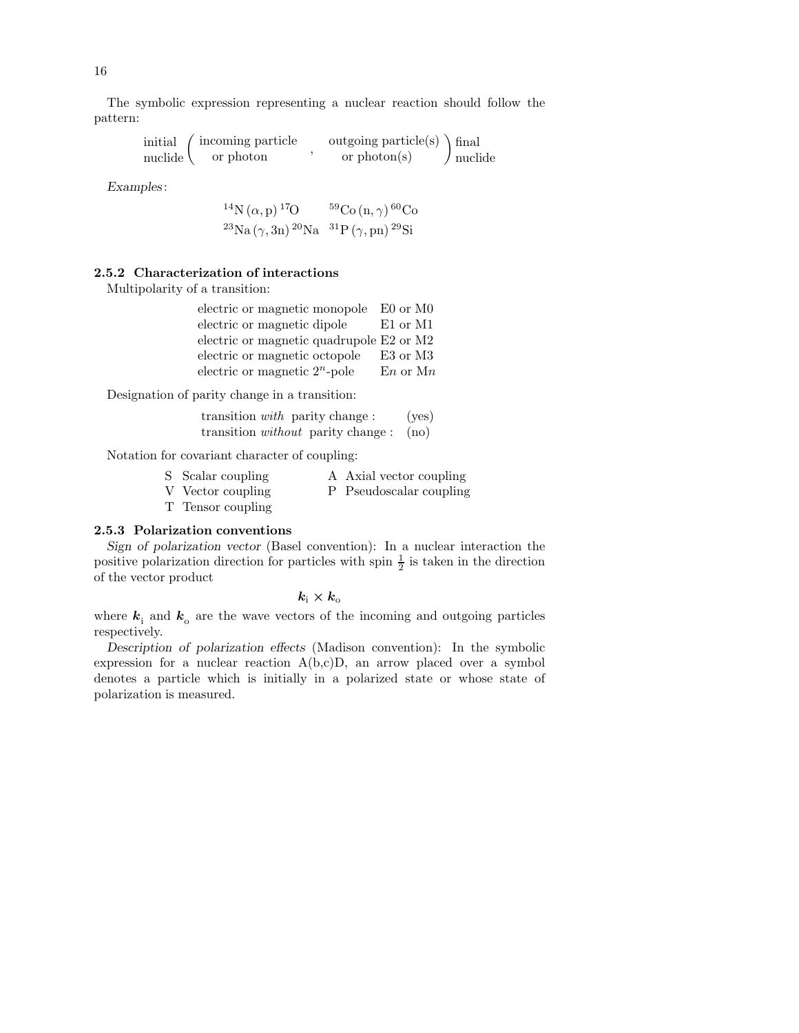The symbolic expression representing a nuclear reaction should follow the pattern:

 $\text{initial} \left( \begin{array}{c} \text{incoming particle} \ \text{or photon} \end{array} \right), \qquad \text{outgoing particle(s)} \left( \begin{array}{c} \text{final} \ \text{or photon(s)} \end{array} \right) \text{final}$ nuclide

Examples:

<sup>14</sup>N (α, p) <sup>17</sup>O <sup>59</sup>Co (n, γ) <sup>60</sup>Co <sup>23</sup>Na (γ, 3n) <sup>20</sup>Na <sup>31</sup>P (γ, pn) <sup>29</sup>Si

# 2.5.2 Characterization of interactions

Multipolarity of a transition:

| electric or magnetic monopole            | E0 or M0                         |
|------------------------------------------|----------------------------------|
| electric or magnetic dipole              | E <sub>1</sub> or M <sub>1</sub> |
| electric or magnetic quadrupole E2 or M2 |                                  |
| electric or magnetic octopole            | E3 or M3                         |
| electric or magnetic $2^n$ -pole         | $En$ or $Mn$                     |

Designation of parity change in a transition:

| transition <i>with</i> parity change :    | (yes) |  |
|-------------------------------------------|-------|--|
| transition <i>without</i> parity change : | (no)  |  |

Notation for covariant character of coupling:

|  |  | S Scalar coupling |  |  |  | A Axial vector coupling |
|--|--|-------------------|--|--|--|-------------------------|
|--|--|-------------------|--|--|--|-------------------------|

- V Vector coupling P Pseudoscalar coupling
- T Tensor coupling

# 2.5.3 Polarization conventions

Sign of polarization vector (Basel convention): In a nuclear interaction the positive polarization direction for particles with spin  $\frac{1}{2}$  is taken in the direction of the vector product

# $\boldsymbol{k}_\text{i} \times \boldsymbol{k}_\text{o}$

where  $k_i$  and  $k_o$  are the wave vectors of the incoming and outgoing particles respectively.

Description of polarization effects (Madison convention): In the symbolic expression for a nuclear reaction  $A(b,c)D$ , an arrow placed over a symbol denotes a particle which is initially in a polarized state or whose state of polarization is measured.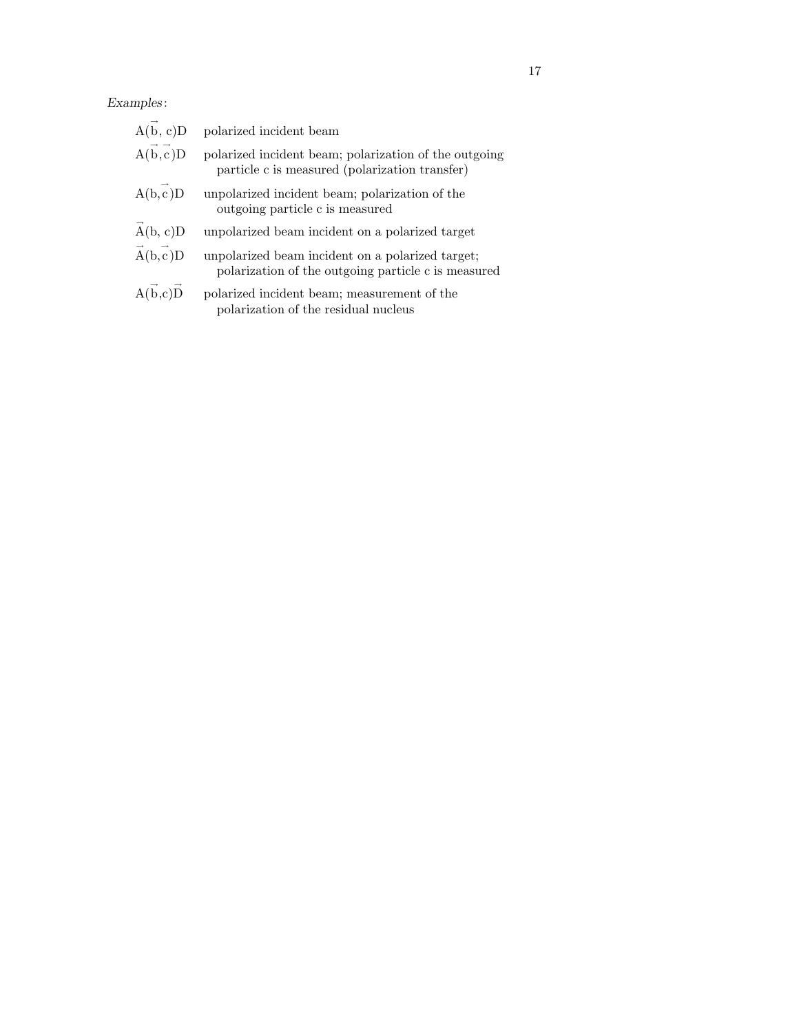| $A(\vec{b}, c)D$       | polarized incident beam                                                                                 |
|------------------------|---------------------------------------------------------------------------------------------------------|
| $A(\vec{b}, \vec{c})D$ | polarized incident beam; polarization of the outgoing<br>particle c is measured (polarization transfer) |
| $A(b,\vec{c})D$        | unpolarized incident beam; polarization of the<br>outgoing particle c is measured                       |
| $\overline{A}(b, c)D$  | unpolarized beam incident on a polarized target                                                         |
| $\vec{A}(b,\vec{c})D$  | unpolarized beam incident on a polarized target;<br>polarization of the outgoing particle c is measured |
| $A(\vec{b},c)\vec{D}$  | polarized incident beam; measurement of the<br>polarization of the residual nucleus                     |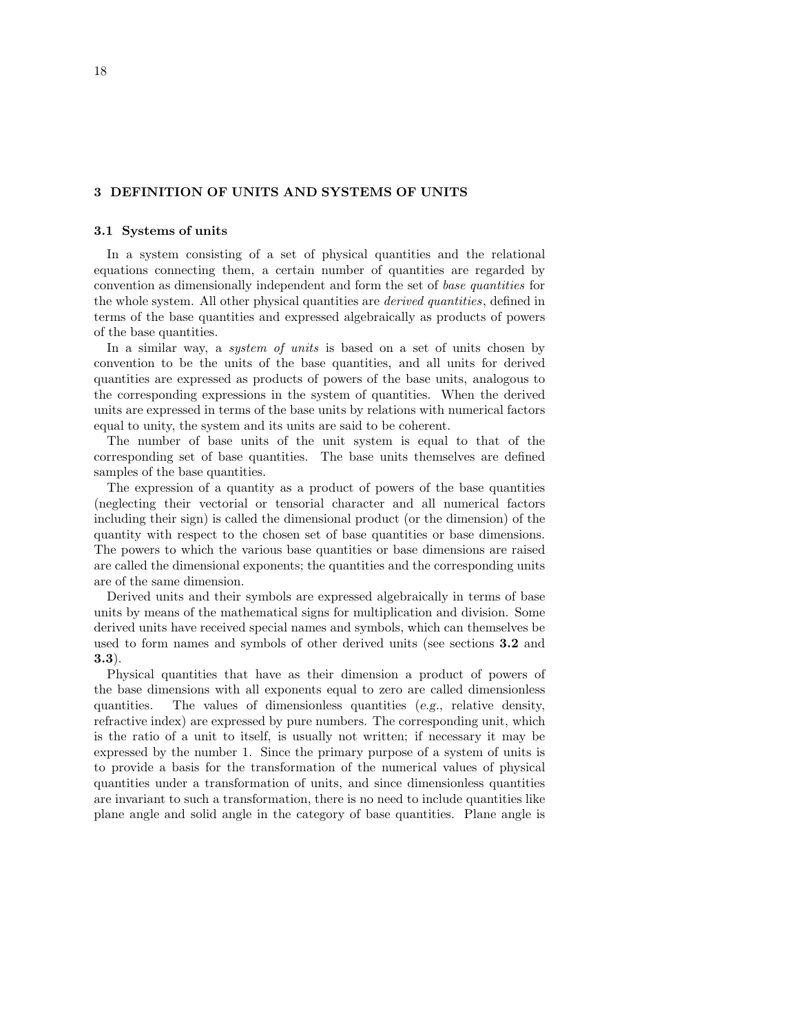#### 3 DEFINITION OF UNITS AND SYSTEMS OF UNITS

#### 3.1 Systems of units

In a system consisting of a set of physical quantities and the relational equations connecting them, a certain number of quantities are regarded by convention as dimensionally independent and form the set of base quantities for the whole system. All other physical quantities are derived quantities, defined in terms of the base quantities and expressed algebraically as products of powers of the base quantities.

In a similar way, a *system of units* is based on a set of units chosen by convention to be the units of the base quantities, and all units for derived quantities are expressed as products of powers of the base units, analogous to the corresponding expressions in the system of quantities. When the derived units are expressed in terms of the base units by relations with numerical factors equal to unity, the system and its units are said to be coherent.

The number of base units of the unit system is equal to that of the corresponding set of base quantities. The base units themselves are defined samples of the base quantities.

The expression of a quantity as a product of powers of the base quantities (neglecting their vectorial or tensorial character and all numerical factors including their sign) is called the dimensional product (or the dimension) of the quantity with respect to the chosen set of base quantities or base dimensions. The powers to which the various base quantities or base dimensions are raised are called the dimensional exponents; the quantities and the corresponding units are of the same dimension.

Derived units and their symbols are expressed algebraically in terms of base units by means of the mathematical signs for multiplication and division. Some derived units have received special names and symbols, which can themselves be used to form names and symbols of other derived units (see sections 3.2 and 3.3).

Physical quantities that have as their dimension a product of powers of the base dimensions with all exponents equal to zero are called dimensionless quantities. The values of dimensionless quantities (e.g., relative density, refractive index) are expressed by pure numbers. The corresponding unit, which is the ratio of a unit to itself, is usually not written; if necessary it may be expressed by the number 1. Since the primary purpose of a system of units is to provide a basis for the transformation of the numerical values of physical quantities under a transformation of units, and since dimensionless quantities are invariant to such a transformation, there is no need to include quantities like plane angle and solid angle in the category of base quantities. Plane angle is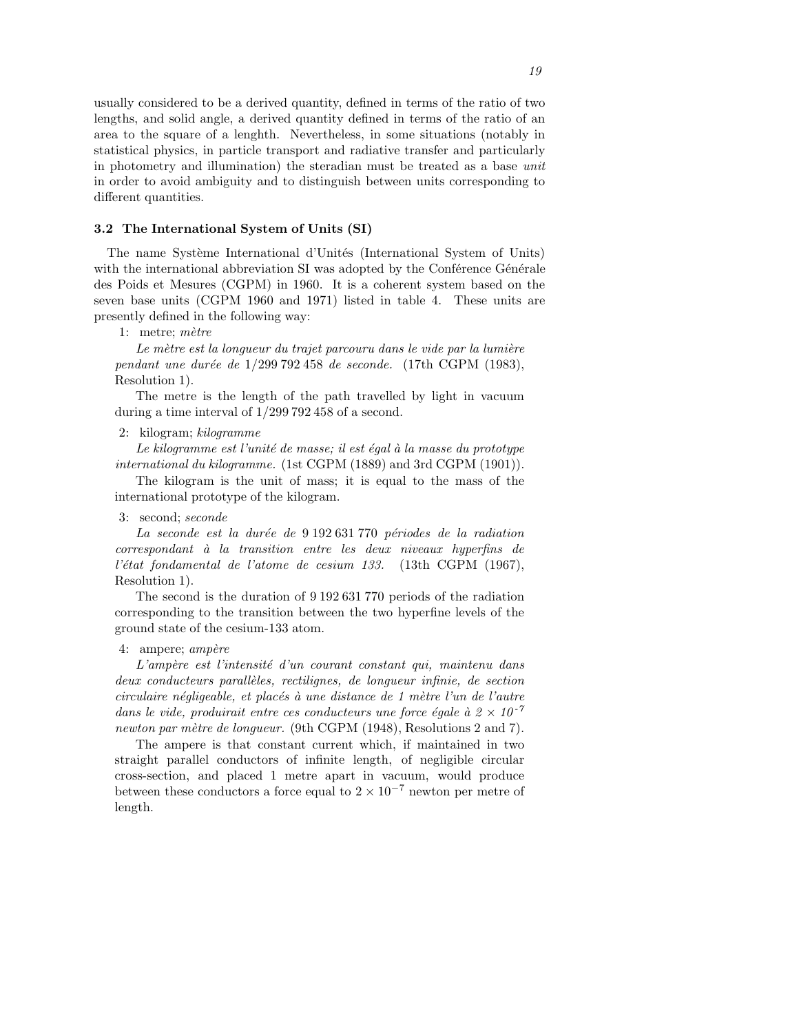usually considered to be a derived quantity, defined in terms of the ratio of two lengths, and solid angle, a derived quantity defined in terms of the ratio of an area to the square of a lenghth. Nevertheless, in some situations (notably in statistical physics, in particle transport and radiative transfer and particularly in photometry and illumination) the steradian must be treated as a base unit in order to avoid ambiguity and to distinguish between units corresponding to different quantities.

#### 3.2 The International System of Units (SI)

The name Système International d'Unités (International System of Units) with the international abbreviation SI was adopted by the Conference Générale des Poids et Mesures (CGPM) in 1960. It is a coherent system based on the seven base units (CGPM 1960 and 1971) listed in table 4. These units are presently defined in the following way:

1: metre;  $m\grave{e}tre$ 

Le mètre est la longueur du trajet parcouru dans le vide par la lumière pendant une durée de  $1/299 792 458$  de seconde. (17th CGPM (1983), Resolution 1).

The metre is the length of the path travelled by light in vacuum during a time interval of 1/299 792 458 of a second.

#### 2: kilogram; kilogramme

Le kilogramme est l'unité de masse; il est égal à la masse du prototype international du kilogramme. (1st CGPM (1889) and 3rd CGPM (1901)).

The kilogram is the unit of mass; it is equal to the mass of the international prototype of the kilogram.

#### 3: second; seconde

La seconde est la durée de 9 192 631 770 périodes de la radiation  $correspondant$   $\hat{a}$  la transition entre les deux niveaux hyperfins de l'état fondamental de l'atome de cesium 133. (13th CGPM (1967), Resolution 1).

The second is the duration of 9 192 631 770 periods of the radiation corresponding to the transition between the two hyperfine levels of the ground state of the cesium-133 atom.

#### 4: ampere; ampère

 $L'amp\acute{e}re$  est l'intensité d'un courant constant qui, maintenu dans deux conducteurs parallèles, rectilignes, de longueur infinie, de section circulaire négligeable, et placés à une distance de 1 mètre l'un de l'autre dans le vide, produirait entre ces conducteurs une force égale à  $2 \times 10^{-7}$ newton par mètre de longueur. (9th CGPM (1948), Resolutions 2 and 7).

The ampere is that constant current which, if maintained in two straight parallel conductors of infinite length, of negligible circular cross-section, and placed 1 metre apart in vacuum, would produce between these conductors a force equal to  $2 \times 10^{-7}$  newton per metre of length.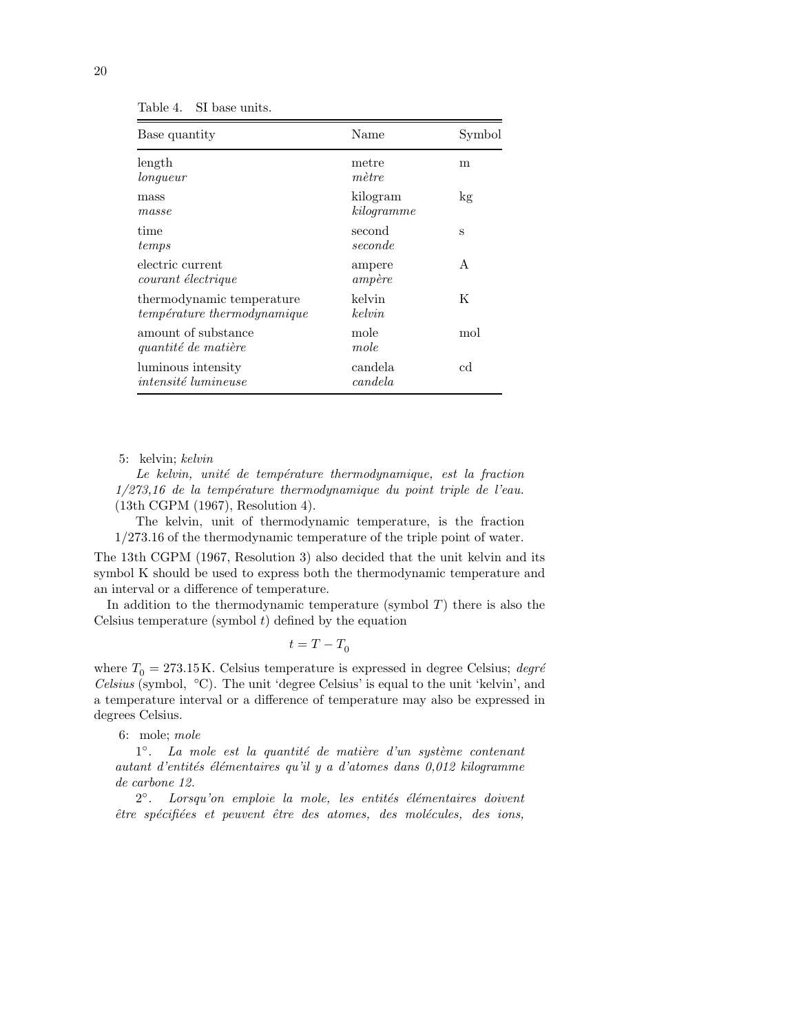| Base quantity                                                   | Name                   | Symbol       |
|-----------------------------------------------------------------|------------------------|--------------|
| length<br>longueur                                              | metre<br>mètre         | m            |
| mass<br>masse                                                   | kilogram<br>kilogramme | kg           |
| time<br>temps                                                   | second<br>seconde      | S            |
| electric current<br>courant électrique                          | ampere<br>ampère       | $\mathsf{A}$ |
| thermodynamic temperature<br><i>température thermodynamique</i> | kelvin<br>kelvin       | K            |
| amount of substance<br>quantité de matière                      | mole<br>mole           | mol          |
| luminous intensity<br><i>intensité lumineuse</i>                | candela<br>candela     | cd           |

Table 4. SI base units.

# 5: kelvin; kelvin

Le kelvin, unité de température thermodynamique, est la fraction  $1/273,16$  de la température thermodynamique du point triple de l'eau. (13th CGPM (1967), Resolution 4).

The kelvin, unit of thermodynamic temperature, is the fraction 1/273.16 of the thermodynamic temperature of the triple point of water.

The 13th CGPM (1967, Resolution 3) also decided that the unit kelvin and its symbol K should be used to express both the thermodynamic temperature and an interval or a difference of temperature.

In addition to the thermodynamic temperature (symbol  $T$ ) there is also the Celsius temperature (symbol  $t$ ) defined by the equation

 $t = T - T_0$ 

where  $T_0 = 273.15 \text{ K}$ . Celsius temperature is expressed in degree Celsius; *degré* Celsius (symbol, ◦C). The unit 'degree Celsius' is equal to the unit 'kelvin', and a temperature interval or a difference of temperature may also be expressed in degrees Celsius.

6: mole; mole

1°. La mole est la quantité de matière d'un système contenant autant d'entités élémentaires qu'il y a d'atomes dans  $0.012$  kilogramme de carbone 12.

 $2^{\circ}$ Lorsqu'on emploie la mole, les entités élémentaires doivent être spécifiées et peuvent être des atomes, des molécules, des ions,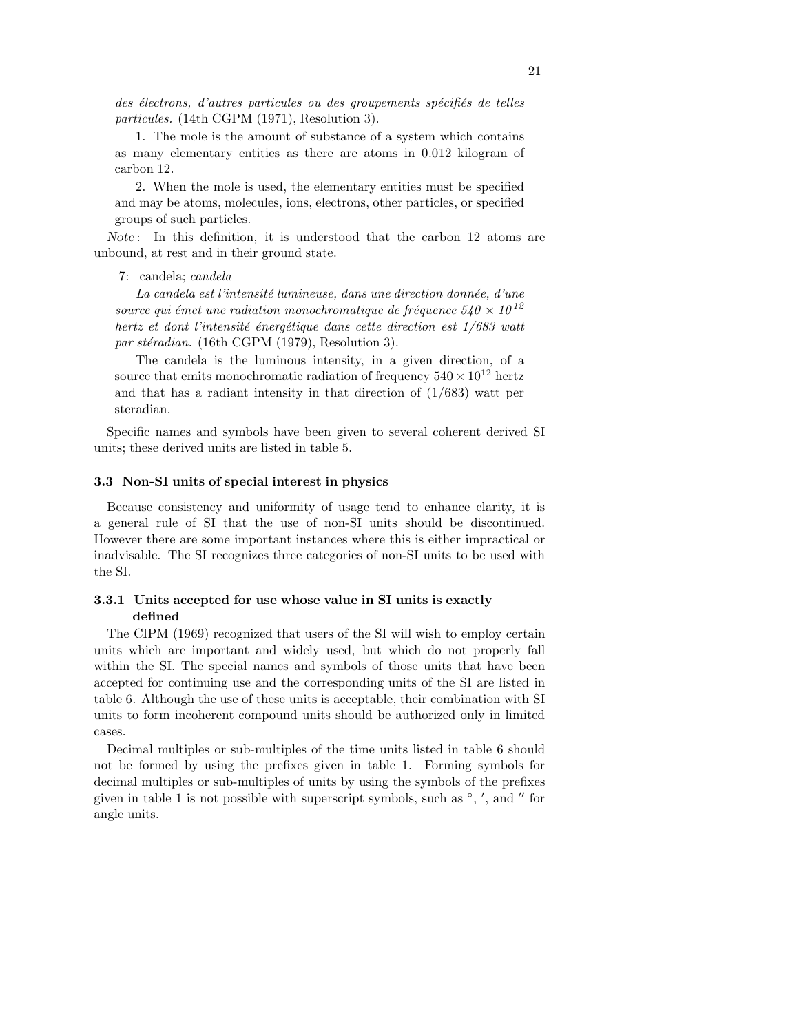des électrons, d'autres particules ou des groupements spécifiés de telles particules. (14th CGPM (1971), Resolution 3).

1. The mole is the amount of substance of a system which contains as many elementary entities as there are atoms in 0.012 kilogram of carbon 12.

2. When the mole is used, the elementary entities must be specified and may be atoms, molecules, ions, electrons, other particles, or specified groups of such particles.

Note : In this definition, it is understood that the carbon 12 atoms are unbound, at rest and in their ground state.

#### 7: candela; candela

La candela est l'intensité lumineuse, dans une direction donnée, d'une source qui émet une radiation monochromatique de fréquence  $540 \times 10^{12}$ hertz et dont l'intensité énergétique dans cette direction est  $1/683$  watt par stéradian. (16th CGPM (1979), Resolution 3).

The candela is the luminous intensity, in a given direction, of a source that emits monochromatic radiation of frequency  $540\times 10^{12}$  hertz and that has a radiant intensity in that direction of  $(1/683)$  watt per steradian.

Specific names and symbols have been given to several coherent derived SI units; these derived units are listed in table 5.

#### 3.3 Non-SI units of special interest in physics

Because consistency and uniformity of usage tend to enhance clarity, it is a general rule of SI that the use of non-SI units should be discontinued. However there are some important instances where this is either impractical or inadvisable. The SI recognizes three categories of non-SI units to be used with the SI.

# 3.3.1 Units accepted for use whose value in SI units is exactly defined

The CIPM (1969) recognized that users of the SI will wish to employ certain units which are important and widely used, but which do not properly fall within the SI. The special names and symbols of those units that have been accepted for continuing use and the corresponding units of the SI are listed in table 6. Although the use of these units is acceptable, their combination with SI units to form incoherent compound units should be authorized only in limited cases.

Decimal multiples or sub-multiples of the time units listed in table 6 should not be formed by using the prefixes given in table 1. Forming symbols for decimal multiples or sub-multiples of units by using the symbols of the prefixes given in table 1 is not possible with superscript symbols, such as  $\degree$ , ', and " for angle units.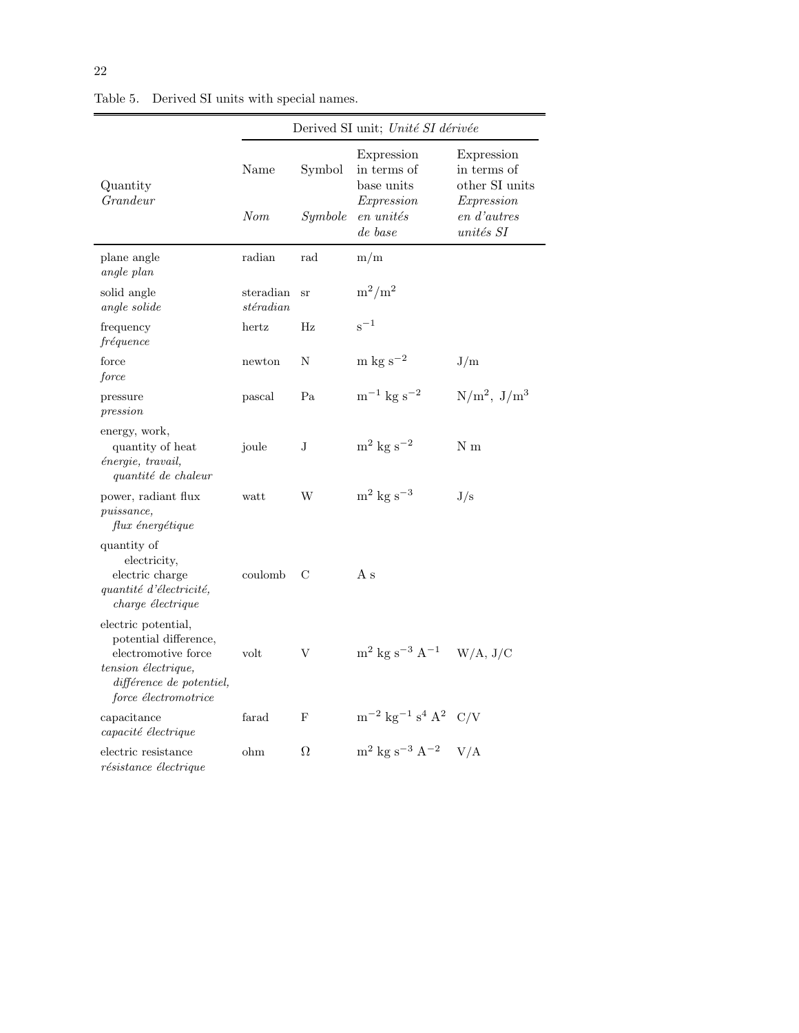|                                                                                                                                                | Derived SI unit; Unité SI dérivée |                   |                                                                               |                                                                                       |
|------------------------------------------------------------------------------------------------------------------------------------------------|-----------------------------------|-------------------|-------------------------------------------------------------------------------|---------------------------------------------------------------------------------------|
| Quantity<br>Grandeur                                                                                                                           | Name<br><b>Nom</b>                | Symbol<br>Symbole | Expression<br>in terms of<br>base units<br>Expression<br>en unités<br>de base | Expression<br>in terms of<br>other SI units<br>Expression<br>en d'autres<br>unités SI |
| plane angle<br>angle plan                                                                                                                      | radian                            | rad               | m/m                                                                           |                                                                                       |
| solid angle<br>angle solide                                                                                                                    | steradian<br>stéradian            | <b>sr</b>         | $m^2/m^2$                                                                     |                                                                                       |
| frequency<br>fréquence                                                                                                                         | hertz                             | Hz                | $s^{-1}$                                                                      |                                                                                       |
| force<br>force                                                                                                                                 | newton                            | N                 | $\rm m$ kg s <sup>-2</sup>                                                    | J/m                                                                                   |
| pressure<br>pression                                                                                                                           | pascal                            | Pa                | $\rm m^{-1}$ kg s <sup>-2</sup>                                               | $N/m^2$ , $J/m^3$                                                                     |
| energy, work,<br>quantity of heat<br>énergie, travail,<br>quantité de chaleur                                                                  | joule                             | J                 | $m^2$ kg s <sup>-2</sup>                                                      | N m                                                                                   |
| power, radiant flux<br>puissance,<br>flux énergétique                                                                                          | watt                              | W                 | $\mathrm{m}^2$ kg s <sup>-3</sup>                                             | J/s                                                                                   |
| quantity of<br>electricity,<br>electric charge<br>quantité d'électricité,<br>charge électrique                                                 | coulomb                           | $\mathcal{C}$     | Αs                                                                            |                                                                                       |
| electric potential,<br>potential difference,<br>electromotive force<br>tension électrique,<br>différence de potentiel,<br>force électromotrice | volt                              | V                 | $m^2$ kg s <sup>-3</sup> A <sup>-1</sup> W/A, J/C                             |                                                                                       |
| capacitance<br>capacité électrique                                                                                                             | farad                             | F                 | $m^{-2}$ kg <sup>-1</sup> s <sup>4</sup> A <sup>2</sup> C/V                   |                                                                                       |
| electric resistance<br>résistance électrique                                                                                                   | ohm                               | Ω                 | $\rm m^2$ kg s <sup>-3</sup> A <sup>-2</sup>                                  | V/A                                                                                   |

ı

Table 5. Derived SI units with special names.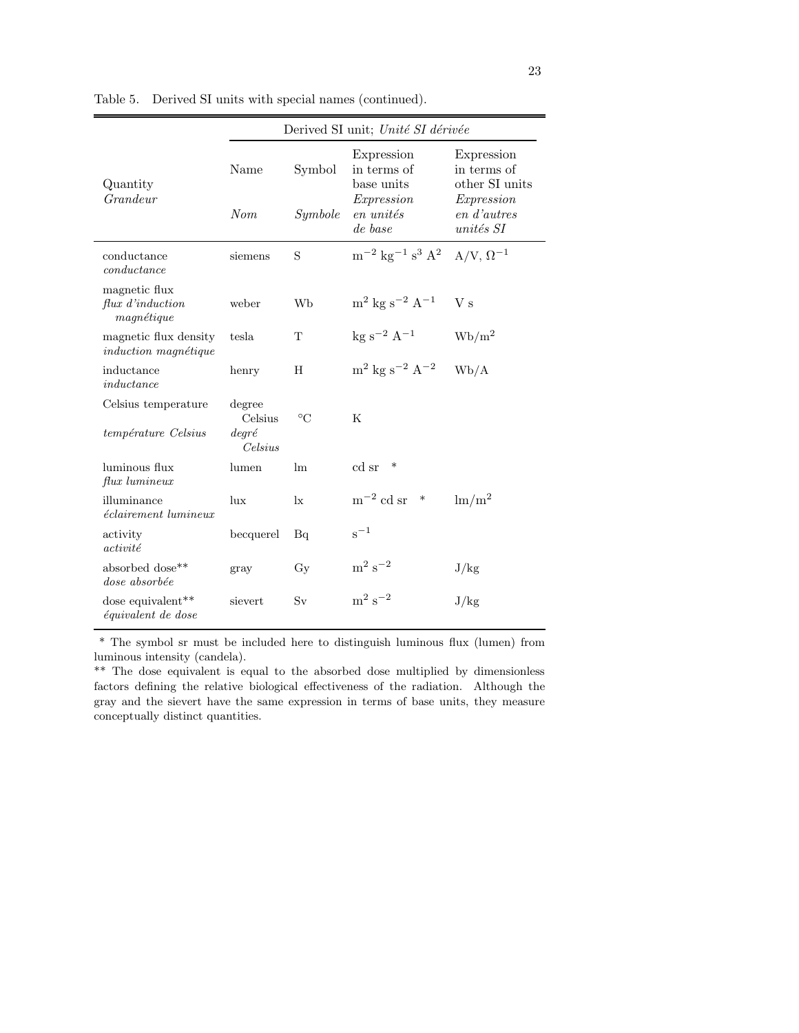|                                                                             | Derived SI unit; Unité SI dérivée      |              |                                                                            |                                                           |
|-----------------------------------------------------------------------------|----------------------------------------|--------------|----------------------------------------------------------------------------|-----------------------------------------------------------|
| Quantity<br>Grandeur                                                        | Name                                   | Symbol       | Expression<br>in terms of<br>base units<br>Expression                      | Expression<br>in terms of<br>other SI units<br>Expression |
|                                                                             | <b>Nom</b>                             | Symbole      | en unités<br>de base                                                       | en d'autres<br>unités SI                                  |
| conductance<br>conductance                                                  | siemens                                | S            | $m^{-2}$ kg <sup>-1</sup> s <sup>3</sup> A <sup>2</sup> A/V, $\Omega^{-1}$ |                                                           |
| magnetic flux<br>flux d'induction<br>magnétique                             | weber                                  | Wb           | $\rm m^2$ kg s <sup>-2</sup> A <sup>-1</sup>                               | V <sub>s</sub>                                            |
| magnetic flux density<br><i>induction magnétique</i>                        | tesla                                  | T            | $kg s^{-2} A^{-1}$                                                         | $\rm Wb/m^2$                                              |
| inductance<br>inductance                                                    | henry                                  | H            | $\rm m^2$ kg s <sup>-2</sup> A <sup>-2</sup>                               | Wb/A                                                      |
| Celsius temperature<br>température Celsius                                  | degree<br>Celsius<br>degree<br>Celsius | $^{\circ}C$  | K                                                                          |                                                           |
| luminous flux<br>flux lumineux                                              | lumen                                  | $\ln$        | $\ast$<br>cd sr                                                            |                                                           |
| illuminance<br>éclairement lumineux                                         | $_{\text{lux}}$                        | $\mathbf{I}$ | $\mathrm{m}^{-2}$ cd sr<br>$\ast$                                          | $\rm{lm/m^2}$                                             |
| activity<br>$\alpha \text{c} \text{t} \text{iv} \text{t} \text{t} \text{c}$ | becquerel                              | Bq           | $s^{-1}$                                                                   |                                                           |
| absorbed dose**<br>dose absorbée                                            | gray                                   | Gу           | $\mathrm{m^{2}\;s^{-2}}$                                                   | J/kg                                                      |
| dose equivalent**<br>équivalent de dose                                     | sievert                                | Sv           | $\mathrm{m^{2}\ s^{-2}}$                                                   | J/kg                                                      |

Table 5. Derived SI units with special names (continued).

\* The symbol sr must be included here to distinguish luminous flux (lumen) from luminous intensity (candela).

\*\* The dose equivalent is equal to the absorbed dose multiplied by dimensionless factors defining the relative biological effectiveness of the radiation. Although the gray and the sievert have the same expression in terms of base units, they measure conceptually distinct quantities.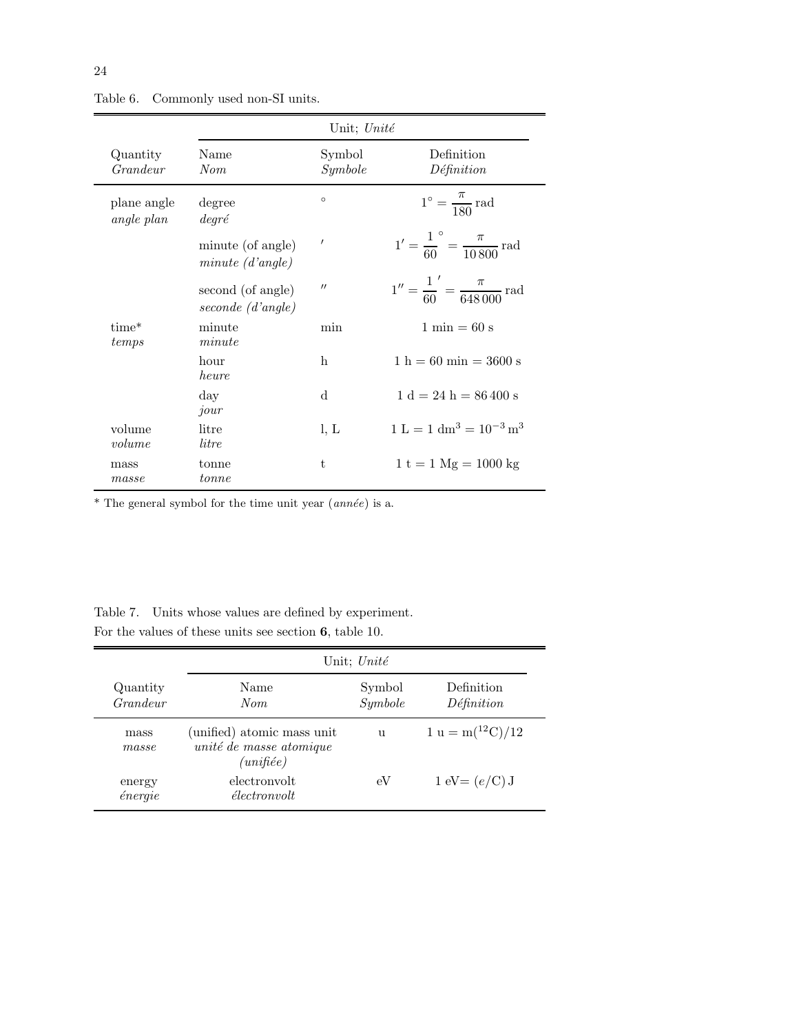|                           | Unit; Unité                            |                   |                                                      |
|---------------------------|----------------------------------------|-------------------|------------------------------------------------------|
| Quantity<br>Grandeur      | Name<br>Norm                           | Symbol<br>Symbole | Definition<br>Définition                             |
| plane angle<br>angle plan | degree<br>degree                       | $\circ$           | $1^\circ = \frac{\pi}{180}$ rad                      |
|                           | minute (of angle)<br>minute (d'angle)  | $\prime$          | $1' = \frac{1}{60}^{\circ} = \frac{\pi}{10,800}$ rad |
|                           | second (of angle)<br>seconde (d'angle) | $^{\prime\prime}$ | $1'' = \frac{1}{60}' = \frac{\pi}{648,000}$ rad      |
| time*<br>temps            | minute<br>minute                       | min               | $1 \text{ min} = 60 \text{ s}$                       |
|                           | hour<br>heure                          | h                 | $1 h = 60 min = 3600 s$                              |
|                           | day<br>jour                            | d                 | $1 d = 24 h = 86400 s$                               |
| volume<br>volume          | litre<br><i>litre</i>                  | l, L              | $1 L = 1 dm3 = 10-3 m3$                              |
| mass<br>masse             | tonne<br>tonne                         | t                 | $1 t = 1 Mg = 1000 kg$                               |

Table 6. Commonly used non-SI units.

\* The general symbol for the time unit year  $(ann\acute{e}e)$  is a.

| Table 7. Units whose values are defined by experiment.    |
|-----------------------------------------------------------|
| For the values of these units see section $6$ , table 10. |

|                      | Unit; $Unité$                                                               |                   |                          |  |
|----------------------|-----------------------------------------------------------------------------|-------------------|--------------------------|--|
| Quantity<br>Grandeur | Name<br>$N \circ m$                                                         | Symbol<br>Symbole | Definition<br>Définition |  |
| mass<br>masse        | (unified) atomic mass unit<br>unité de masse atomique<br>$(unif\acute{e}e)$ | u                 | $1 u = m(^{12}C)/12$     |  |
| energy<br>énergie    | electronyolt<br>électronvolt                                                | eV                | 1 eV = $(e/C)$ J         |  |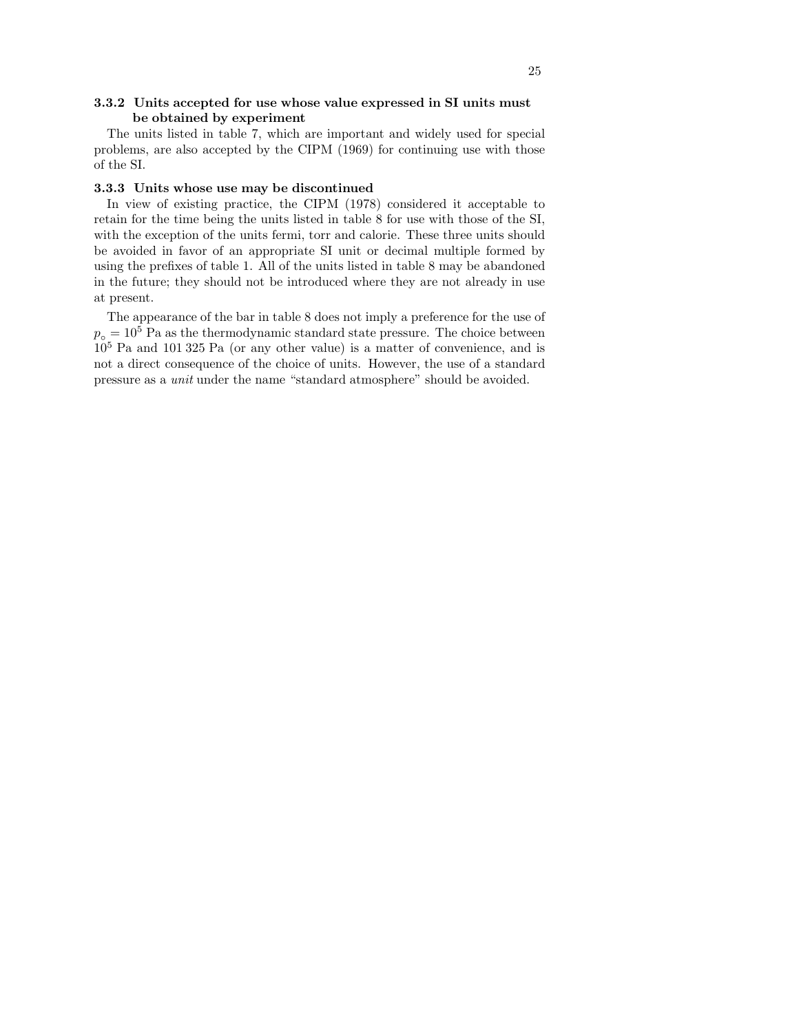# 3.3.2 Units accepted for use whose value expressed in SI units must be obtained by experiment

The units listed in table 7, which are important and widely used for special problems, are also accepted by the CIPM (1969) for continuing use with those of the SI.

#### 3.3.3 Units whose use may be discontinued

In view of existing practice, the CIPM (1978) considered it acceptable to retain for the time being the units listed in table 8 for use with those of the SI, with the exception of the units fermi, torr and calorie. These three units should be avoided in favor of an appropriate SI unit or decimal multiple formed by using the prefixes of table 1. All of the units listed in table 8 may be abandoned in the future; they should not be introduced where they are not already in use at present.

The appearance of the bar in table 8 does not imply a preference for the use of  $p_{\alpha} = 10^5$  Pa as the thermodynamic standard state pressure. The choice between  $10<sup>5</sup>$  Pa and 101 325 Pa (or any other value) is a matter of convenience, and is not a direct consequence of the choice of units. However, the use of a standard pressure as a unit under the name "standard atmosphere" should be avoided.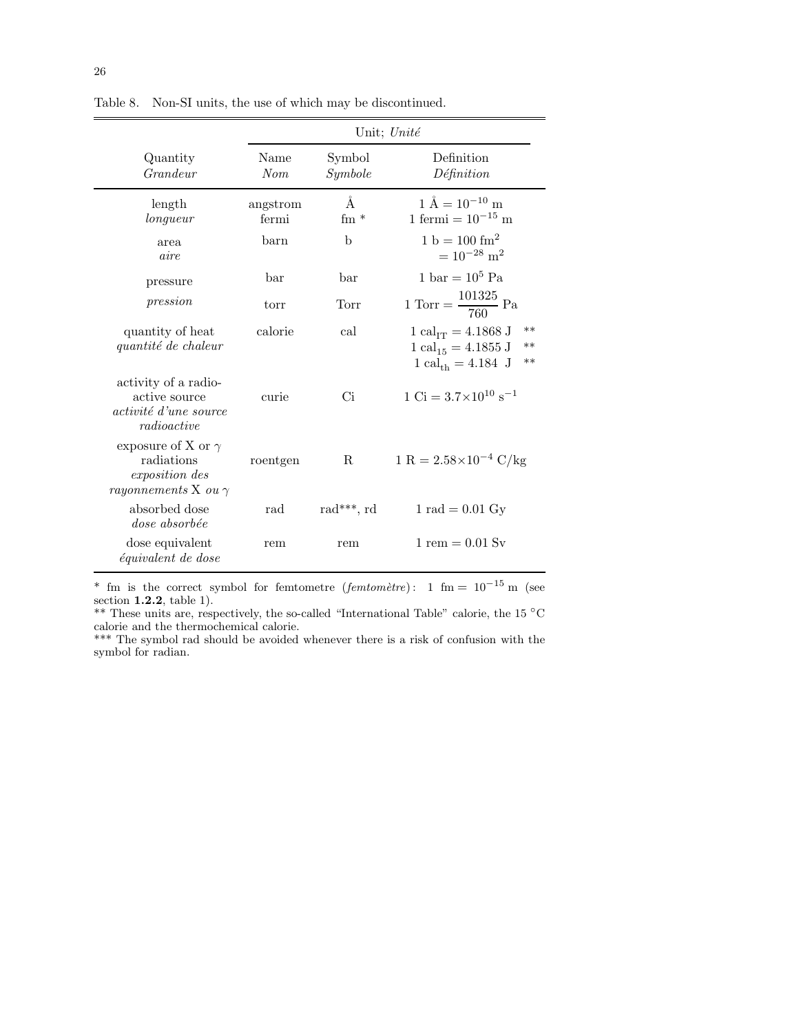|                                                                                         | Unit; Unité         |                   |                                                                                                                                    |
|-----------------------------------------------------------------------------------------|---------------------|-------------------|------------------------------------------------------------------------------------------------------------------------------------|
| Quantity<br>Grandeur                                                                    | Name<br>$N \circ m$ | Symbol<br>Symbole | Definition<br>Définition                                                                                                           |
| length<br>longueur                                                                      | angstrom<br>fermi   | Å<br>$fm *$       | $1 \text{ Å} = 10^{-10} \text{ m}$<br>$1$ fermi $=10^{-15}$ m                                                                      |
| area<br><i>aire</i>                                                                     | barn                | b                 | $1 b = 100 fm2$<br>$= 10^{-28}$ m <sup>2</sup>                                                                                     |
| pressure                                                                                | bar                 | bar               | 1 bar = $10^5$ Pa                                                                                                                  |
| pression                                                                                | torr                | Torr              | 1 Torr = $\frac{101325}{760}$ Pa                                                                                                   |
| quantity of heat<br>quantité de chaleur                                                 | calorie             | cal               | $**$<br>1 cal <sub>IT</sub> = 4.1868 J<br>$1 \text{ cal}_{15} = 4.1855 \text{ J}$<br>$**$<br>$**$<br>1 cal <sub>th</sub> = 4.184 J |
| activity of a radio-<br>active source<br><i>activité d'une source</i><br>radioactive    | curie               | Ci                | $1 \text{ Ci} = 3.7 \times 10^{10} \text{ s}^{-1}$                                                                                 |
| exposure of X or $\gamma$<br>radiations<br>exposition des<br>rayonnements X ou $\gamma$ | roentgen            | R                 | $1 R = 2.58 \times 10^{-4} C/kg$                                                                                                   |
| absorbed dose<br>dose absorbée                                                          | rad                 | rad***, $rd$      | $1 \text{ rad} = 0.01 \text{ Gy}$                                                                                                  |
| dose equivalent<br>équivalent de dose                                                   | rem                 | rem               | $1 \text{ rem} = 0.01 \text{ Sv}$                                                                                                  |

Table 8. Non-SI units, the use of which may be discontinued.

<sup>\*</sup> fm is the correct symbol for femtometre (*femtomètre*): 1 fm =  $10^{-15}$  m (see

section 1.2.2, table 1).<br>\*\* These units are, respectively, the so-called "International Table" calorie, the 15  $^{\circ}$ C calorie and the thermochemical calorie.

\*\*\* The symbol rad should be avoided whenever there is a risk of confusion with the symbol for radian.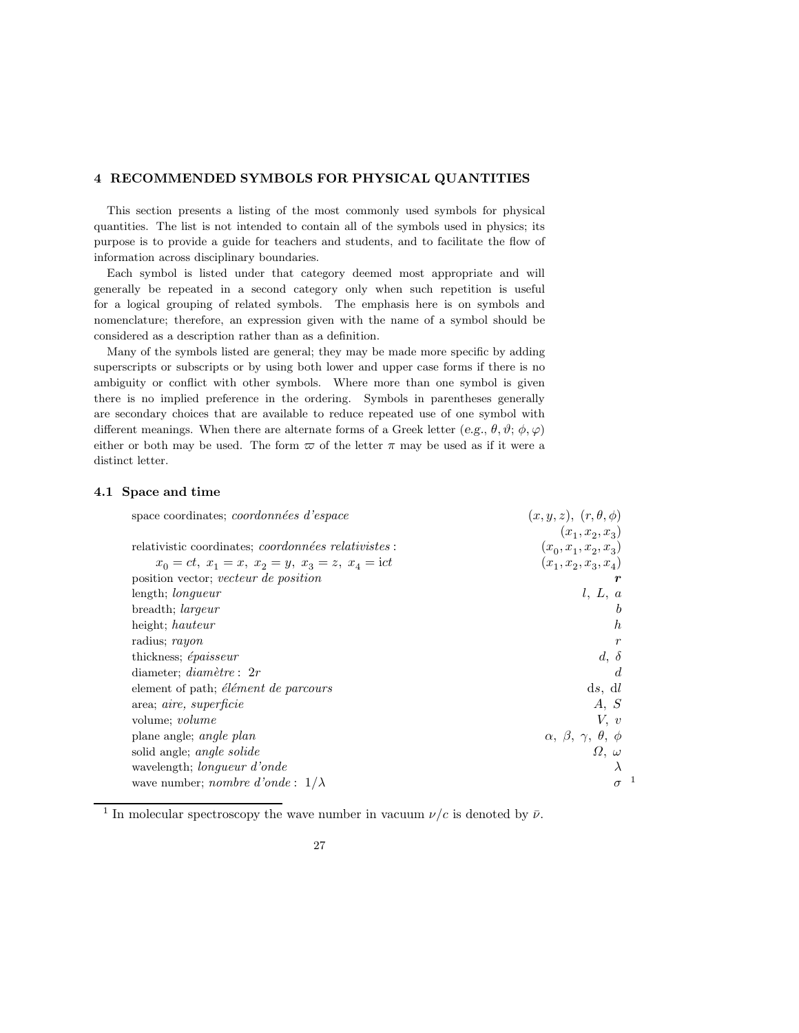#### 4 RECOMMENDED SYMBOLS FOR PHYSICAL QUANTITIES

This section presents a listing of the most commonly used symbols for physical quantities. The list is not intended to contain all of the symbols used in physics; its purpose is to provide a guide for teachers and students, and to facilitate the flow of information across disciplinary boundaries.

Each symbol is listed under that category deemed most appropriate and will generally be repeated in a second category only when such repetition is useful for a logical grouping of related symbols. The emphasis here is on symbols and nomenclature; therefore, an expression given with the name of a symbol should be considered as a description rather than as a definition.

Many of the symbols listed are general; they may be made more specific by adding superscripts or subscripts or by using both lower and upper case forms if there is no ambiguity or conflict with other symbols. Where more than one symbol is given there is no implied preference in the ordering. Symbols in parentheses generally are secondary choices that are available to reduce repeated use of one symbol with different meanings. When there are alternate forms of a Greek letter  $(e.g., \theta, \vartheta, \phi, \varphi)$ either or both may be used. The form  $\varpi$  of the letter  $\pi$  may be used as if it were a distinct letter.

#### 4.1 Space and time

| space coordinates; <i>coordonnées</i> d'espace              | $(x, y, z), (r, \theta, \phi)$        |
|-------------------------------------------------------------|---------------------------------------|
|                                                             | $(x_1, x_2, x_3)$                     |
| relativistic coordinates; <i>coordonnées relativistes</i> : | $(x_0, x_1, x_2, x_3)$                |
| $x_0 = ct, x_1 = x, x_2 = y, x_3 = z, x_4 = ict$            | $(x_1, x_2, x_3, x_4)$                |
| position vector; vecteur de position                        |                                       |
| length; <i>longueur</i>                                     | l, L, a                               |
| breadth; <i>largeur</i>                                     |                                       |
| height; hauteur                                             | $\hbar$                               |
| radius; rayon                                               | $\boldsymbol{r}$                      |
| thickness; épaisseur                                        | $d, \delta$                           |
| diameter; $diam\`{e}$ : $2r$                                |                                       |
| element of path; élément de parcours                        | ds, dl                                |
| area; <i>aire</i> , <i>superficie</i>                       | A, S                                  |
| volume; <i>volume</i>                                       | V, v                                  |
| plane angle; angle plan                                     | $\alpha, \beta, \gamma, \theta, \phi$ |
| solid angle; angle solide                                   | $\Omega$ , $\omega$                   |
| wavelength; <i>longueur</i> d'onde                          |                                       |
| wave number; <i>nombre d'onde</i> : $1/\lambda$             | $\sigma$                              |
|                                                             |                                       |

1

<sup>1</sup> In molecular spectroscopy the wave number in vacuum  $\nu/c$  is denoted by  $\bar{\nu}$ .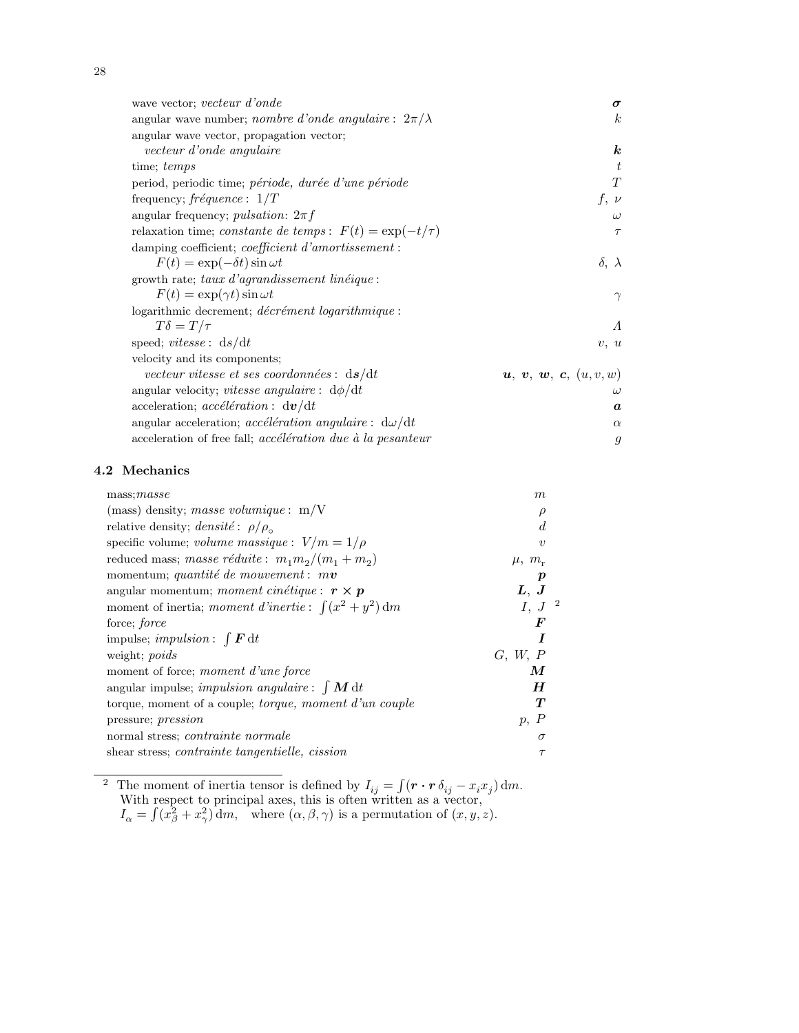| wave vector; vecteur d'onde                                        | $\sigma$              |
|--------------------------------------------------------------------|-----------------------|
| angular wave number; nombre d'onde angulaire : $2\pi/\lambda$      | $\boldsymbol{k}$      |
| angular wave vector, propagation vector;                           |                       |
| vecteur d'onde angulaire                                           | $\boldsymbol{k}$      |
| time; temps                                                        | t                     |
| period, periodic time; <i>période</i> , <i>durée d'une période</i> | T                     |
| frequency; fréquence : $1/T$                                       | $f, \nu$              |
| angular frequency; pulsation: $2\pi f$                             | $\omega$              |
| relaxation time; constante de temps: $F(t) = \exp(-t/\tau)$        | $\tau$                |
| damping coefficient; coefficient d'amortissement :                 |                       |
| $F(t) = \exp(-\delta t) \sin \omega t$                             | $\delta$ , $\lambda$  |
| growth rate; taux d'agrandissement linéique :                      |                       |
| $F(t) = \exp(\gamma t) \sin \omega t$                              | $\gamma$              |
| logarithmic decrement; décrément logarithmique :                   |                       |
| $T\delta = T/\tau$                                                 | $\varLambda$          |
| speed; vitesse: $ds/dt$                                            | v, u                  |
| velocity and its components;                                       |                       |
| vecteur vitesse et ses coordonnées : $ds/dt$                       | u, v, w, c, (u, v, w) |
| angular velocity; vitesse angulaire : $d\phi/dt$                   | $\omega$              |
| acceleration; $\alpha$ <i>ccélération</i> : $d\boldsymbol{v}/dt$   | $\boldsymbol{a}$      |
| angular acceleration; acceleration angulaire : $d\omega/dt$        | $\alpha$              |
| acceleration of free fall; <i>accélération due à la pesanteur</i>  | 9                     |

# 4.2 Mechanics

| mass; mass                                                         | $\,m$                            |
|--------------------------------------------------------------------|----------------------------------|
| (mass) density; masse volumique: $m/V$                             |                                  |
| relative density; densité : $\rho/\rho_{\rm o}$                    | d.                               |
| specific volume; <i>volume massique</i> : $V/m = 1/\rho$           | $\eta$                           |
| reduced mass; masse réduite : $m_1 m_2/(m_1 + m_2)$                | $\mu, m_{r}$                     |
| momentum; quantité de mouvement : $m\mathbf{v}$                    | $\boldsymbol{p}$                 |
| angular momentum; moment cinétique : $r \times p$                  | $\boldsymbol{L},~\boldsymbol{J}$ |
| moment of inertia; moment d'inertie : $\int (x^2 + y^2) dm$        | $I, J^2$                         |
| force; force                                                       | F                                |
| impulse; <i>impulsion</i> : $\int \mathbf{F} dt$                   |                                  |
| weight; <i>poids</i>                                               | G, W, P                          |
| moment of force; moment d'une force                                | M                                |
| angular impulse; <i>impulsion angulaire</i> : $\int \mathbf{M} dt$ | H                                |
| torque, moment of a couple; torque, moment d'un couple             | Т                                |
| pressure; <i>pression</i>                                          | p, P                             |
| normal stress; <i>contrainte normale</i>                           | $\sigma$                         |
| shear stress; <i>contrainte tangentielle, cission</i>              | $\tau$                           |

<sup>2</sup> The moment of inertia tensor is defined by  $I_{ij} = \int (\mathbf{r} \cdot \mathbf{r} \, \delta_{ij} - x_i x_j) \, \mathrm{d}m$ . With respect to principal axes, this is often written as a vector,  $I_{\alpha} = \int (x_{\beta}^2 + x_{\gamma}^2) dm$ , where  $(\alpha, \beta, \gamma)$  is a permutation of  $(x, y, z)$ .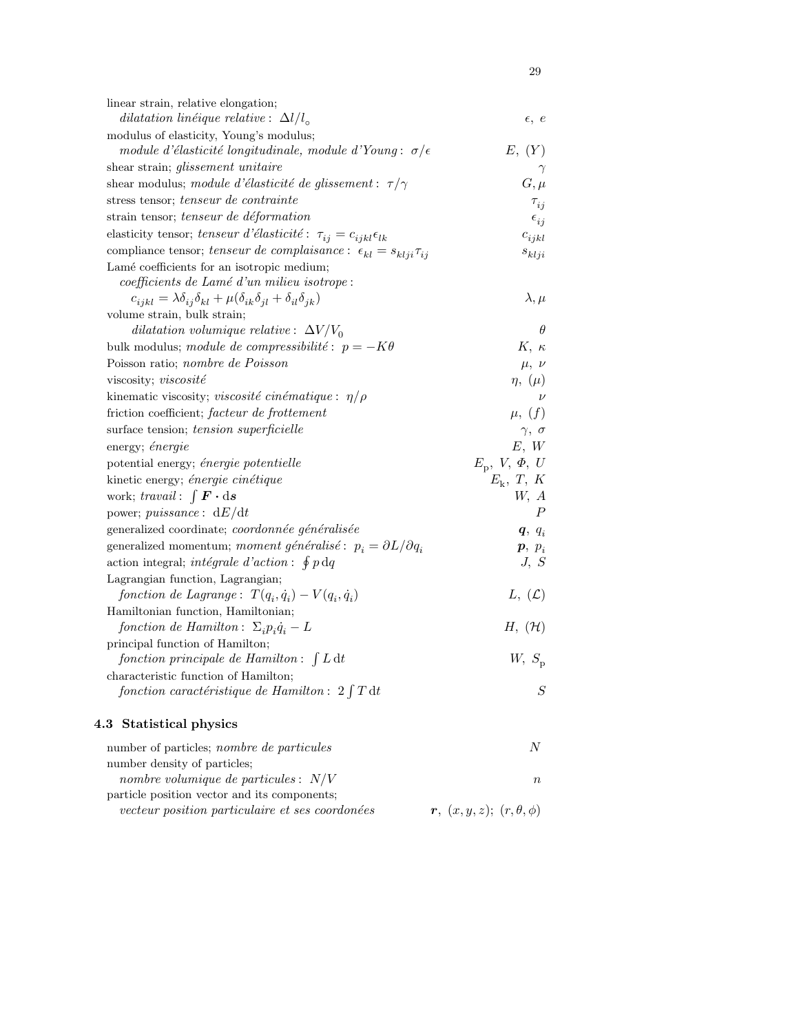| linear strain, relative elongation;                                                                    |                                  |
|--------------------------------------------------------------------------------------------------------|----------------------------------|
| dilatation linéique relative : $\Delta l/l_{\circ}$<br>modulus of elasticity, Young's modulus;         | $\epsilon$ , $e$                 |
| module d'élasticité longitudinale, module d'Young: $\sigma/\epsilon$                                   | E, (Y)                           |
| shear strain; glissement unitaire                                                                      |                                  |
| shear modulus; module d'élasticité de glissement : $\tau/\gamma$                                       | $\gamma$<br>$G,\mu$              |
| stress tensor; <i>tenseur de contrainte</i>                                                            |                                  |
| strain tensor; tenseur de déformation                                                                  | $\tau_{ij}$                      |
|                                                                                                        | $\epsilon_{ij}$                  |
| elasticity tensor; tenseur d'élasticité : $\tau_{ij} = c_{ijkl} \epsilon_{lk}$                         | $c_{ijkl}$                       |
| compliance tensor; tenseur de complaisance : $\epsilon_{kl} = s_{kli} \tau_{ij}$                       | $\boldsymbol{s}_{klji}$          |
| Lamé coefficients for an isotropic medium;<br>coefficients de Lamé d'un milieu isotrope :              |                                  |
| $c_{ijkl} = \lambda \delta_{ij} \delta_{kl} + \mu (\delta_{ik} \delta_{jl} + \delta_{il} \delta_{jk})$ | $\lambda,\mu$                    |
| volume strain, bulk strain;                                                                            |                                  |
| dilatation volumique relative : $\Delta V/V_0$                                                         | $\theta$                         |
| bulk modulus; module de compressibilité : $p = -K\theta$                                               | $K, \kappa$                      |
| Poisson ratio; <i>nombre de Poisson</i>                                                                | $\mu, \nu$                       |
| viscosity; viscosité                                                                                   |                                  |
| kinematic viscosity; viscosité cinématique: $\eta/\rho$                                                | $\eta, \; (\mu)$<br>$\nu$        |
| friction coefficient; facteur de frottement                                                            | $\mu, (f)$                       |
| surface tension; tension superficielle                                                                 |                                  |
| energy; énergie                                                                                        | $\gamma, \sigma$<br>E, W         |
|                                                                                                        |                                  |
| potential energy; énergie potentielle                                                                  | $E_{\rm p}$ , $V$ , $\Phi$ , $U$ |
| kinetic energy; énergie cinétique                                                                      | $E_{\rm k}$ , T, K               |
| work; travail: $\int \mathbf{F} \cdot d\mathbf{s}$                                                     | W, A<br>$\boldsymbol{P}$         |
| power; <i>puissance</i> : $dE/dt$                                                                      |                                  |
| generalized coordinate; coordonnée généralisée                                                         | $q, q_i$                         |
| generalized momentum; moment généralisé : $p_i = \partial L / \partial q_i$                            | $\boldsymbol{p}, p_i$            |
| action integral; <i>intégrale d'action</i> : $\oint p dq$                                              | J, S                             |
| Lagrangian function, Lagrangian;                                                                       |                                  |
| fonction de Lagrange: $T(q_i, \dot{q}_i) - V(q_i, \dot{q}_i)$                                          | $L, (\mathcal{L})$               |
| Hamiltonian function, Hamiltonian;                                                                     |                                  |
| fonction de Hamilton: $\Sigma_i p_i \dot{q}_i - L$                                                     | $H, (\mathcal{H})$               |
| principal function of Hamilton;                                                                        |                                  |
| fonction principale de Hamilton: $\int L dt$                                                           | $W, S_{\rm p}$                   |
| characteristic function of Hamilton;                                                                   | S                                |
| fonction caractéristique de Hamilton : $2 \int T dt$                                                   |                                  |
| 4.3 Statistical physics                                                                                |                                  |
| number of particles; nombre de particules                                                              | N                                |
|                                                                                                        |                                  |

| $\sqrt{ }$                             |
|----------------------------------------|
|                                        |
| $\eta$                                 |
|                                        |
| $\bm{r}, (x, y, z); (r, \theta, \phi)$ |
|                                        |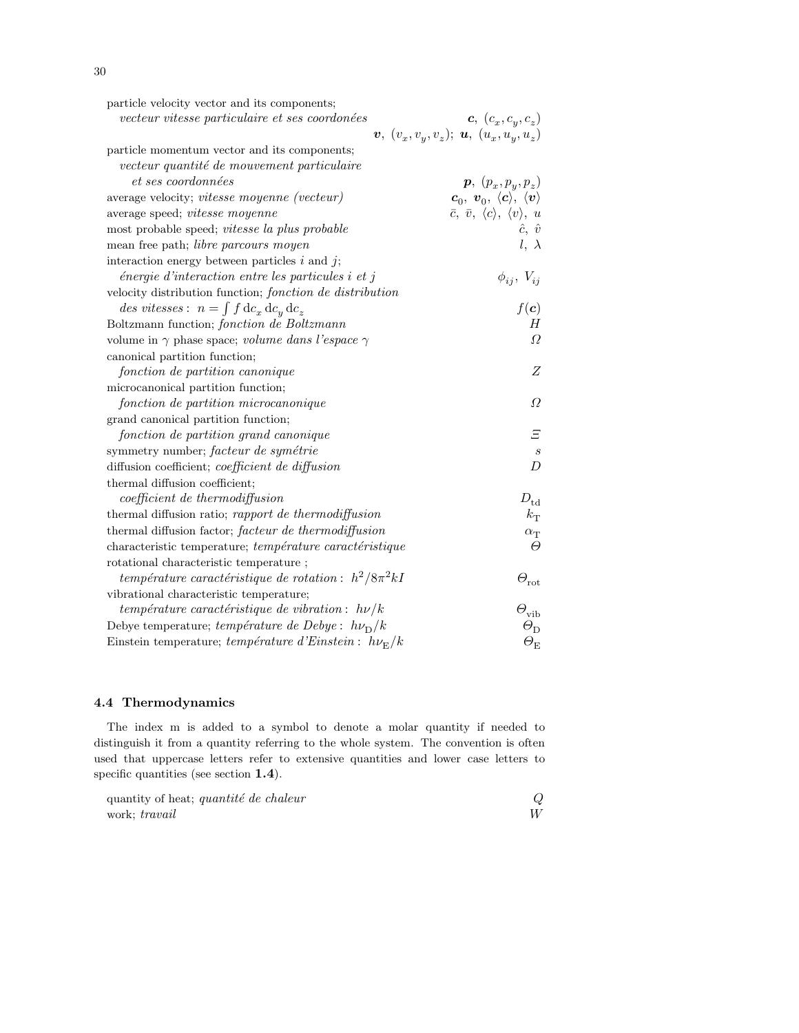particle velocity vector and its components;

| vecteur vitesse particulaire et ses coordonées                                        |                                                                                                                         |
|---------------------------------------------------------------------------------------|-------------------------------------------------------------------------------------------------------------------------|
|                                                                                       | $\begin{array}{c} {\bf c},\; (c_x,c_y,c_z)\\ {\bf \textit{v}},\; (v_x,v_y,v_z);\; {\bf u},\; (u_x,u_y,u_z) \end{array}$ |
| particle momentum vector and its components;                                          |                                                                                                                         |
| vecteur quantité de mouvement particulaire                                            |                                                                                                                         |
| et ses coordonnées                                                                    | $\bm{p}, (p_x, p_y, p_z)$                                                                                               |
| average velocity; vitesse moyenne (vecteur)                                           | $\langle \boldsymbol{c}_0,~\boldsymbol{v}_0,~\langle \boldsymbol{c}\rangle,~\langle \boldsymbol{v}\rangle$              |
| average speed; vitesse moyenne                                                        | $\bar{c}, \bar{v}, \langle c \rangle, \langle v \rangle, u$                                                             |
| most probable speed; vitesse la plus probable                                         | $\hat{c}, \hat{v}$                                                                                                      |
| mean free path; libre parcours moyen                                                  | $l, \lambda$                                                                                                            |
| interaction energy between particles $i$ and $j$ ;                                    |                                                                                                                         |
| $\acute{e}n$ ergie d'interaction entre les particules i et j                          | $\phi_{ij}, V_{ij}$                                                                                                     |
| velocity distribution function; fonction de distribution                              |                                                                                                                         |
| <i>des vitesses</i> : $n = \int f \, \mathrm{d}c_x \, \mathrm{d}c_y \, \mathrm{d}c_z$ | $f(\boldsymbol{c})$                                                                                                     |
| Boltzmann function; fonction de Boltzmann                                             | H                                                                                                                       |
| volume in $\gamma$ phase space; volume dans l'espace $\gamma$                         | $\Omega$                                                                                                                |
| canonical partition function;                                                         |                                                                                                                         |
| fonction de partition canonique                                                       | Z                                                                                                                       |
| microcanonical partition function;                                                    |                                                                                                                         |
| fonction de partition microcanonique                                                  | $\Omega$                                                                                                                |
| grand canonical partition function;                                                   |                                                                                                                         |
| fonction de partition grand canonique                                                 | Ξ                                                                                                                       |
| symmetry number; facteur de symétrie                                                  | $\boldsymbol{s}$                                                                                                        |
| diffusion coefficient; coefficient de diffusion                                       | $\overline{D}$                                                                                                          |
| thermal diffusion coefficient;                                                        |                                                                                                                         |
| <i>coefficient de thermodiffusion</i>                                                 | $D_{\rm td}$                                                                                                            |
| thermal diffusion ratio; rapport de thermodiffusion                                   | $k_{\rm T}$                                                                                                             |
| thermal diffusion factor; facteur de thermodiffusion                                  | $\alpha_{\rm T}$                                                                                                        |
| characteristic temperature; température caractéristique                               | Θ                                                                                                                       |
| rotational characteristic temperature;                                                |                                                                                                                         |
| température caractéristique de rotation : $h^2/8\pi^2 kI$                             | $\Theta_{\rm rot}$                                                                                                      |
| vibrational characteristic temperature;                                               |                                                                                                                         |
| température caractéristique de vibration : $h\nu/k$                                   | $\Theta_{\text{vib}}$                                                                                                   |
| Debye temperature; température de Debye : $h\nu_{\rm D}/k$                            | $\theta_{\rm D}$                                                                                                        |
| Einstein temperature; température d'Einstein : $h\nu_{\rm E}/k$                       | $\Theta_{\rm E}$                                                                                                        |
|                                                                                       |                                                                                                                         |

## 4.4 Thermodynamics

The index m is added to a symbol to denote a molar quantity if needed to distinguish it from a quantity referring to the whole system. The convention is often used that uppercase letters refer to extensive quantities and lower case letters to specific quantities (see section 1.4).

| quantity of heat; quantité de chaleur |  |
|---------------------------------------|--|
| work; <i>travail</i>                  |  |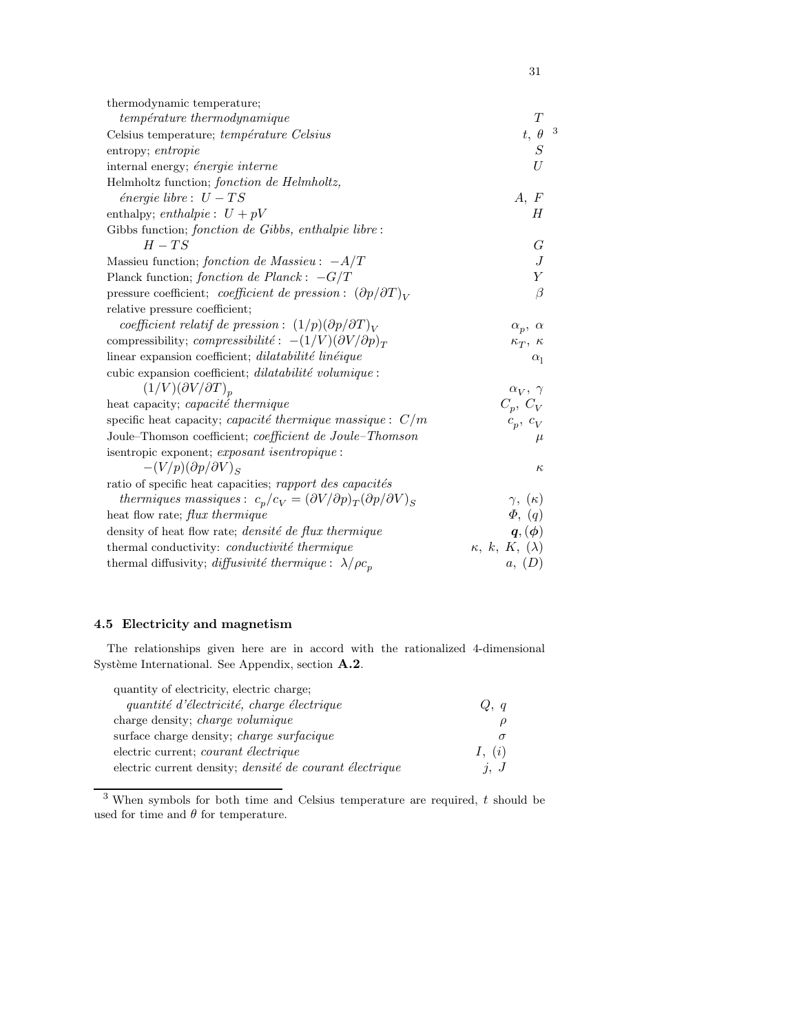| thermodynamic temperature;                                                                   |                           |
|----------------------------------------------------------------------------------------------|---------------------------|
| température thermodynamique                                                                  | $\scriptstyle T$          |
| Celsius temperature; température Celsius                                                     | $t, \theta$ <sup>3</sup>  |
| entropy; entropie                                                                            | $\overline{S}$            |
| internal energy; énergie interne                                                             | U                         |
| Helmholtz function; <i>fonction de Helmholtz</i> ,                                           |                           |
| énergie libre : $U - TS$                                                                     | A, F                      |
| enthalpy; <i>enthalpie</i> : $U + pV$                                                        | H                         |
| Gibbs function; <i>fonction de Gibbs</i> , <i>enthalpie libre</i> :                          |                           |
| $H-TS$                                                                                       | G                         |
| Massieu function; fonction de Massieu : $-A/T$                                               | $\boldsymbol{J}$          |
| Planck function; fonction de Planck: $-G/T$                                                  | Y                         |
| pressure coefficient; coefficient de pression: $(\partial p/\partial T)_V$                   | $\beta$                   |
| relative pressure coefficient;                                                               |                           |
| coefficient relatif de pression: $(1/p)(\partial p/\partial T)_V$                            | $\alpha_p$ , $\alpha$     |
| compressibility; <i>compressibilité</i> : $-(1/V)(\partial V/\partial p)_T$                  | $\kappa_T$ , $\kappa$     |
| linear expansion coefficient; <i>dilatabilité linéique</i>                                   | $\alpha_{\rm l}$          |
| cubic expansion coefficient; dilatabilité volumique :                                        |                           |
| $(1/V)(\partial V/\partial T)_p$                                                             | $\alpha_V,~\gamma$        |
| heat capacity; <i>capacité thermique</i>                                                     | $C_p,\ C_V$               |
| specific heat capacity; capacité thermique massique : $C/m$                                  | $c_p, c_V$                |
| Joule–Thomson coefficient; coefficient de Joule–Thomson                                      | $\mu$                     |
| is entropic exponent; exposant is entropique :                                               |                           |
| $-(V/p)(\partial p/\partial V)_{S}$                                                          | $\kappa$                  |
| ratio of specific heat capacities; rapport des capacités                                     |                           |
| <i>thermiques massiques:</i> $c_p/c_V = (\partial V/\partial p)_T (\partial p/\partial V)_S$ | $\gamma,~(\kappa)$        |
| heat flow rate; flux thermique                                                               | $\Phi$ , $(q)$            |
| density of heat flow rate; densité de flux thermique                                         | $q,(\phi)$                |
| thermal conductivity: conductivité thermique                                                 | $\kappa, k, K, (\lambda)$ |
| thermal diffusivity; diffusivité thermique : $\lambda/\rho c_p$                              | a, (D)                    |

## 4.5 Electricity and magnetism

The relationships given here are in accord with the rationalized 4-dimensional Système International. See Appendix, section  $A.2$ .

| quantity of electricity, electric charge;               |          |
|---------------------------------------------------------|----------|
| quantité d'électricité, charge électrique               | Q, q     |
| charge density; <i>charge volumique</i>                 |          |
| surface charge density; <i>charge surfacique</i>        | $\sigma$ |
| electric current; <i>courant électrique</i>             | I, (i)   |
| electric current density; densité de courant électrique | $i$ . J  |

 $3$  When symbols for both time and Celsius temperature are required, t should be used for time and  $\theta$  for temperature.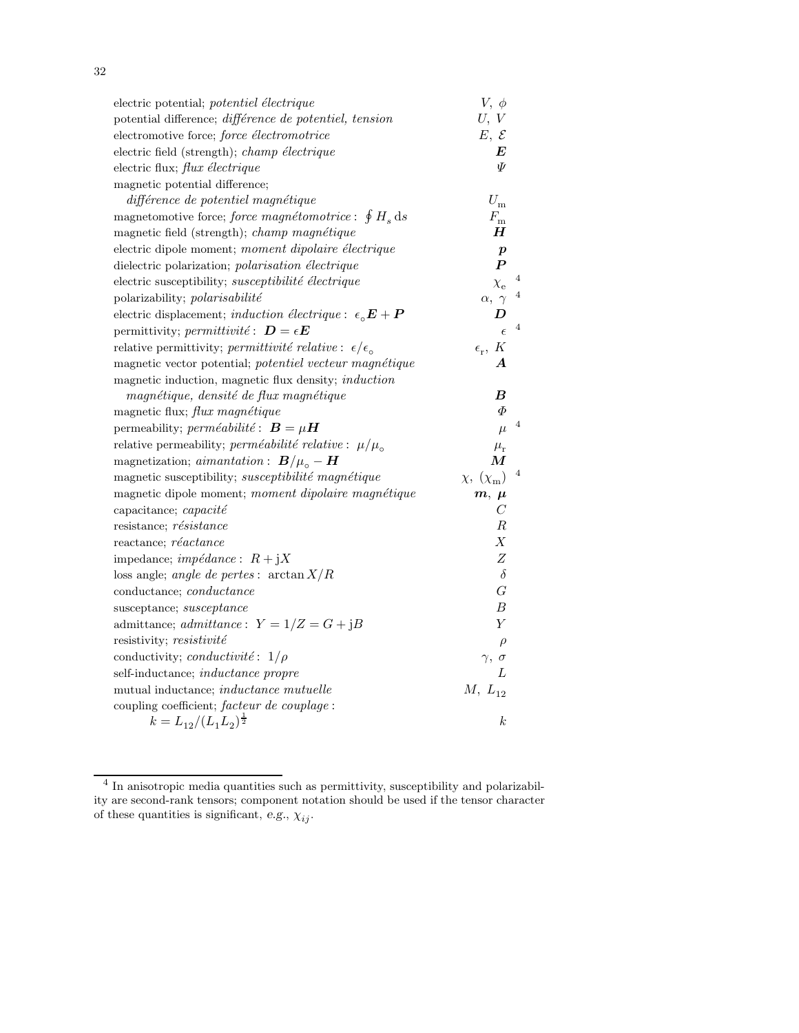| electric potential; potentiel électrique                             | $V, \phi$                  |
|----------------------------------------------------------------------|----------------------------|
| potential difference; différence de potentiel, tension               | U, V                       |
| electromotive force; force électromotrice                            | $E, \mathcal{E}$           |
| electric field (strength); champ électrique                          | $\bm E$                    |
| electric flux; flux électrique                                       | Ψ                          |
| magnetic potential difference;                                       |                            |
| différence de potentiel magnétique                                   | $U_{\rm m}$                |
| magnetomotive force; force magnétomotrice: $\oint H_s ds$            | $F_{\rm m}$                |
| magnetic field (strength); champ magnétique                          | $\bm H$                    |
| electric dipole moment; moment dipolaire électrique                  | $\boldsymbol{p}$           |
| dielectric polarization; polarisation électrique                     | $\boldsymbol{P}$           |
| electric susceptibility; susceptibilité électrique                   | $\chi_{\rm e}$             |
| polarizability; polarisabilité                                       | $\alpha,~\gamma$           |
| electric displacement; induction électrique : $\epsilon_{0}E + P$    | D                          |
| permittivity; permittivité : $\mathbf{D} = \epsilon \mathbf{E}$      | 4<br>$\epsilon$            |
| relative permittivity; permittivité relative : $\epsilon/\epsilon_0$ | $\epsilon_{\mathrm{r}},~K$ |
| magnetic vector potential; potentiel vecteur magnétique              | А                          |
| magnetic induction, magnetic flux density; <i>induction</i>          |                            |
| magnétique, densité de flux magnétique                               | $\boldsymbol{B}$           |
| magnetic flux; flux magnétique                                       | Ф                          |
| permeability; $perm\acute{e}ability$ : $\bm{B} = \mu \bm{H}$         | $\overline{4}$<br>$\mu$    |
| relative permeability; perméabilité relative : $\mu/\mu_{\alpha}$    | $\mu_r$                    |
| magnetization; <i>aimantation</i> : $B/\mu_{0} - H$                  | $\boldsymbol{M}$           |
| magnetic susceptibility; susceptibilité magnétique                   | 4<br>$\chi, (\chi_m)$      |
| magnetic dipole moment; moment dipolaire magnétique                  | $m, \mu$                   |
| capacitance; capacité                                                | C                          |
| resistance; résistance                                               | R                          |
| reactance; réactance                                                 | X                          |
| impedance; $impédance: R + jX$                                       | Ζ                          |
| loss angle; angle de pertes : $\arctan X/R$                          | $\delta$                   |
| conductance; <i>conductance</i>                                      | G                          |
| susceptance; susceptance                                             | В                          |
| admittance; admittance: $Y = 1/Z = G + jB$                           | Υ                          |
| resistivity; resistivité                                             | $\rho$                     |
| conductivity; <i>conductivité</i> : $1/\rho$                         | $\gamma, \sigma$           |
| self-inductance; inductance propre                                   | L                          |
| mutual inductance; <i>inductance mutuelle</i>                        | $M, L_{12}$                |
| coupling coefficient; facteur de couplage :                          |                            |
| $k = L_{12}/(L_1L_2)^{\frac{1}{2}}$                                  | $\boldsymbol{k}$           |
|                                                                      |                            |

<sup>&</sup>lt;sup>4</sup> In anisotropic media quantities such as permittivity, susceptibility and polarizability are second-rank tensors; component notation should be used if the tensor character of these quantities is significant, e.g.,  $\chi_{ij}$ .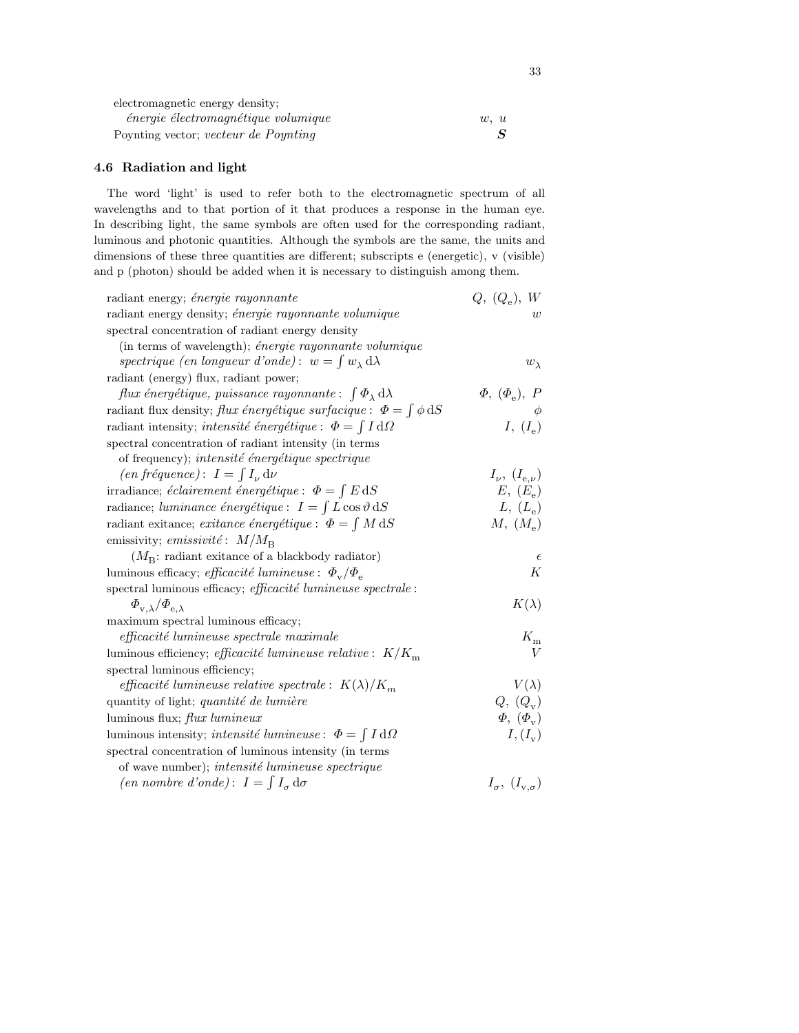| electromagnetic energy density;            |      |  |
|--------------------------------------------|------|--|
| <i>énergie électromagnétique volumique</i> | w, u |  |
| Poynting vector; vecteur de Poynting       |      |  |

33

#### 4.6 Radiation and light

The word 'light' is used to refer both to the electromagnetic spectrum of all wavelengths and to that portion of it that produces a response in the human eye. In describing light, the same symbols are often used for the corresponding radiant, luminous and photonic quantities. Although the symbols are the same, the units and dimensions of these three quantities are different; subscripts e (energetic), v (visible) and p (photon) should be added when it is necessary to distinguish among them.

| radiant energy; énergie rayonnante                                           | $Q, (Q_e), W$                            |
|------------------------------------------------------------------------------|------------------------------------------|
| radiant energy density; <i>énergie rayonnante volumique</i>                  | w                                        |
| spectral concentration of radiant energy density                             |                                          |
| (in terms of wavelength); énergie rayonnante volumique                       |                                          |
| spectrique (en longueur d'onde): $w = \int w_{\lambda} d\lambda$             | $w_{\lambda}$                            |
| radiant (energy) flux, radiant power;                                        |                                          |
| flux énergétique, puissance rayonnante: $\int \Phi_{\lambda} d\lambda$       | $\Phi$ , $(\Phi_e)$ , P                  |
| radiant flux density; flux énergétique surfacique : $\Phi = \int \phi \, dS$ |                                          |
| radiant intensity; intensité énergétique : $\Phi = \int I d\Omega$           | $I, (I_{\circ})$                         |
| spectral concentration of radiant intensity (in terms                        |                                          |
| of frequency); intensité énergétique spectrique                              |                                          |
| $(en\textit{ fréquence})\colon I = \int I_{\nu} d\nu$                        | $I_{\nu}, (I_{e,\nu})$                   |
| irradiance; éclairement énergétique : $\Phi = \int E \, dS$                  | $E, (E_e)$                               |
| radiance; luminance énergétique : $I = \int L \cos \vartheta dS$             | $L, (L_e)$                               |
| radiant exitance; exitance énergétique : $\Phi = \int M dS$                  | $M, (M_e)$                               |
| emissivity; emissivité: $M/M_{\rm B}$                                        |                                          |
| $(M_{\rm B}$ : radiant exitance of a blackbody radiator)                     | $\epsilon$                               |
| luminous efficacy; <i>efficacité lumineuse</i> : $\Phi_{\rm v}/\Phi_{\rm e}$ | K                                        |
| spectral luminous efficacy; efficacité lumineuse spectrale :                 |                                          |
| $\Phi_{\rm v,\lambda}/\Phi_{\rm e,\lambda}$                                  | $K(\lambda)$                             |
| maximum spectral luminous efficacy;                                          |                                          |
| efficacité lumineuse spectrale maximale                                      | $K_{\rm m}$                              |
| luminous efficiency; <i>efficacité lumineuse relative</i> : $K/K_{\text{m}}$ | V                                        |
| spectral luminous efficiency;                                                |                                          |
| efficacité lumineuse relative spectrale: $K(\lambda)/K_m$                    | $V(\lambda)$                             |
| quantity of light; quantité de lumière                                       | $Q, (Q_v)$                               |
| luminous flux; <i>flux lumineux</i>                                          | $\Phi,~(\Phi_{\rm v})$                   |
| luminous intensity; <i>intensité lumineuse</i> : $\Phi = \int I d\Omega$     | $I,(I_{\rm v})$                          |
| spectral concentration of luminous intensity (in terms                       |                                          |
| of wave number); intensité lumineuse spectrique                              |                                          |
| (en nombre d'onde): $I = \int I_{\sigma} d\sigma$                            | $I_{\sigma}$ , $(I_{\mathbf{v},\sigma})$ |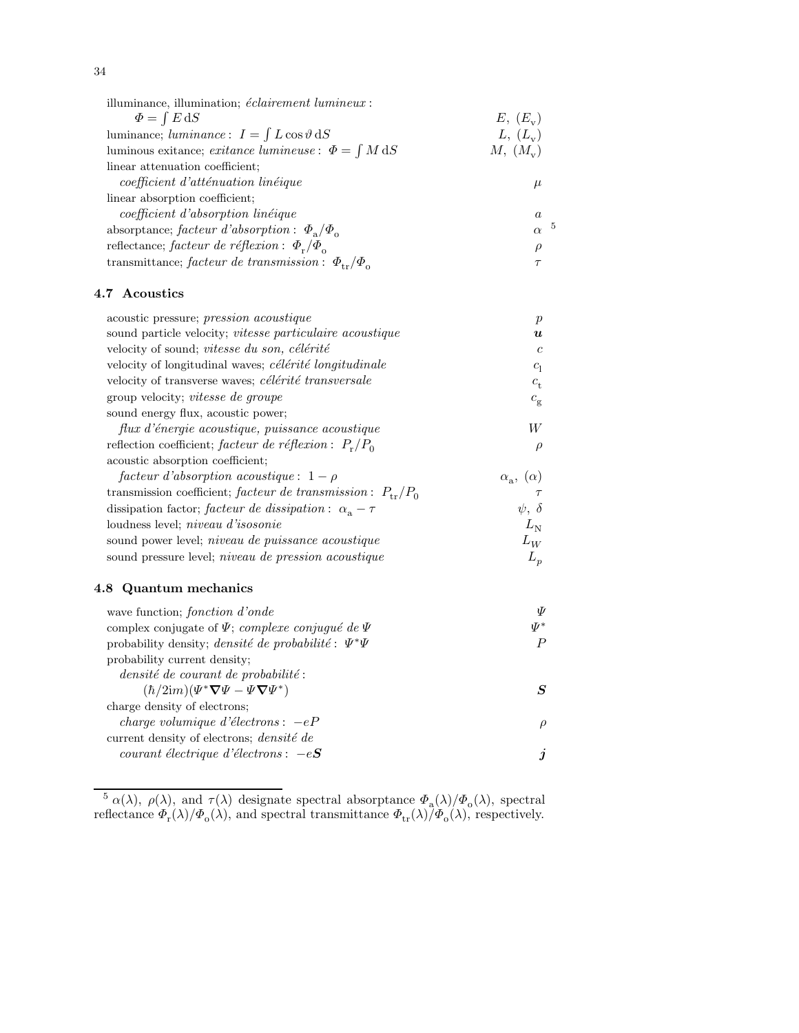| illuminance, illumination; éclairement lumineux :                           |                  |
|-----------------------------------------------------------------------------|------------------|
| $\Phi = \int E \, dS$                                                       | $E, (E_v)$       |
| luminance; $luminance: I = \int L \cos \vartheta dS$                        | $L, (L_v)$       |
| luminous exitance; exitance lumineuse: $\Phi = \int M dS$                   | $M, (M_v)$       |
| linear attenuation coefficient;                                             |                  |
| coefficient d'atténuation linéique                                          | $\mu$            |
| linear absorption coefficient;                                              |                  |
| coefficient d'absorption linéique                                           | $\boldsymbol{a}$ |
| absorptance; facteur d'absorption : $\Phi_{\rm a}/\Phi_{\rm o}$             | $\alpha^{-5}$    |
| reflectance; facteur de réflexion : $\Phi_r/\Phi_\alpha$                    | $\rho$           |
| transmittance; facteur de transmission : $\Phi_{\text{tr}}/\Phi_{\text{o}}$ |                  |

## 4.7 Acoustics

| acoustic pressure; <i>pression acoustique</i>                        | $\boldsymbol{p}$              |
|----------------------------------------------------------------------|-------------------------------|
| sound particle velocity; vitesse particulaire acoustique             | U,                            |
| velocity of sound; vitesse du son, célérité                          | $\mathfrak c$                 |
| velocity of longitudinal waves; célérité longitudinale               | c <sub>1</sub>                |
| velocity of transverse waves; célérité transversale                  | $c_{\rm t}$                   |
| group velocity; <i>vitesse de groupe</i>                             | $c_{\rm g}$                   |
| sound energy flux, acoustic power;                                   |                               |
| flux d'énergie acoustique, puissance acoustique                      | W                             |
| reflection coefficient; facteur de réflexion : $P_r/P_0$             |                               |
| acoustic absorption coefficient;                                     |                               |
| facteur d'absorption acoustique : $1 - \rho$                         | $\alpha_{\rm o}$ , $(\alpha)$ |
| transmission coefficient; facteur de transmission : $P_{tr}/P_0$     |                               |
| dissipation factor; facteur de dissipation : $\alpha_{\rm a} - \tau$ | $\psi$ , $\delta$             |
| loudness level; <i>niveau d'isosonie</i>                             | $L_{\rm N}$                   |
| sound power level; niveau de puissance acoustique                    | ${\cal L}_W$                  |
| sound pressure level; <i>niveau de pression acoustique</i>           |                               |

# 4.8 Quantum mechanics

| wave function; <i>fonction d'onde</i>                      | Ψ           |
|------------------------------------------------------------|-------------|
| complex conjugate of $\Psi$ ; complexe conjugué de $\Psi$  | $\varPsi^*$ |
| probability density; densité de probabilité : $\Psi^*\Psi$ |             |
| probability current density;                               |             |
| $density\acute{e}$ de courant de probabilité :             |             |
| $(\hbar/2im)(\Psi^*\nabla\Psi-\Psi\nabla\Psi^*)$           |             |
| charge density of electrons;                               |             |
| charge volumique d'électrons : $-eP$                       |             |
| current density of electrons; <i>densité de</i>            |             |
| courant électrique d'électrons : $-eS$                     |             |

<sup>&</sup>lt;sup>5</sup>  $\alpha(\lambda)$ ,  $\rho(\lambda)$ , and  $\tau(\lambda)$  designate spectral absorptance  $\Phi_{a}(\lambda)/\Phi_{0}(\lambda)$ , spectral reflectance  $\Phi_{\rm r}(\lambda)/\Phi_{\rm o}(\lambda)$ , and spectral transmittance  $\Phi_{\rm tr}(\lambda)/\Phi_{\rm o}(\lambda)$ , respectively.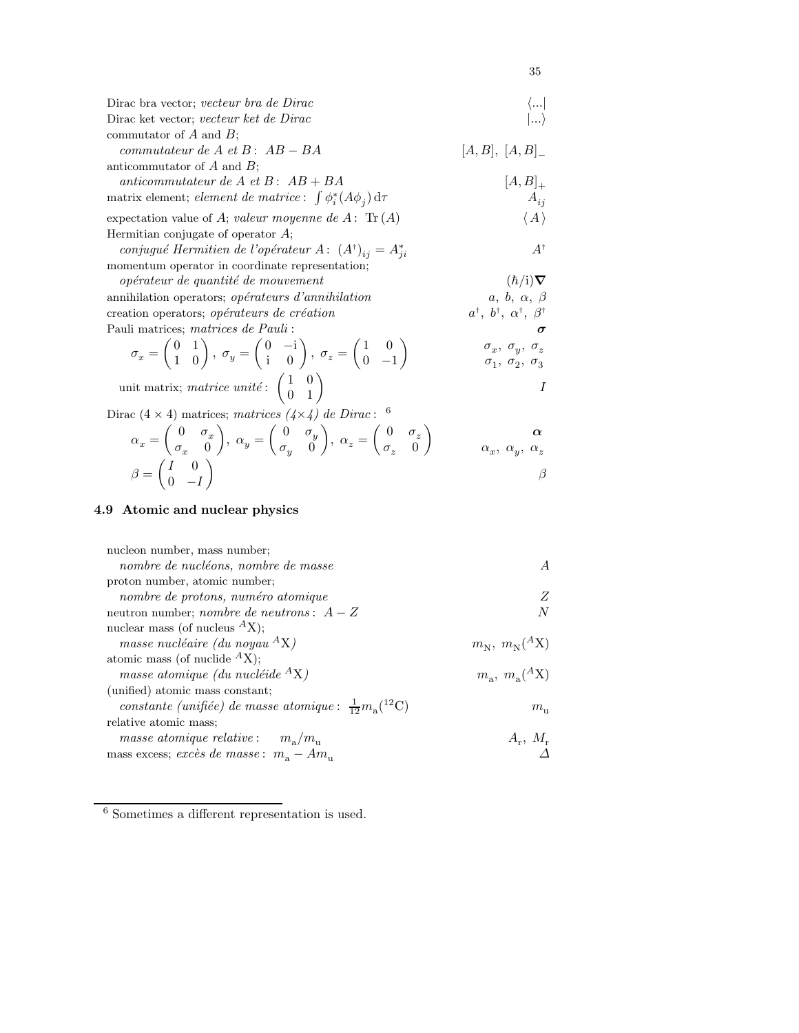| Dirac bra vector; vecteur bra de Dirac                                                                                                                                              |                                                                              |
|-------------------------------------------------------------------------------------------------------------------------------------------------------------------------------------|------------------------------------------------------------------------------|
| Dirac ket vector; vecteur ket de Dirac                                                                                                                                              | $\langle   $                                                                 |
| commutator of $A$ and $B$ ;                                                                                                                                                         |                                                                              |
| commutateur de $A$ et $B: AB-BA$                                                                                                                                                    | $[A, B], [A, B]_$                                                            |
| anticommutator of $A$ and $B$ ;                                                                                                                                                     |                                                                              |
| anticommutateur de $A$ et $B: AB + BA$                                                                                                                                              | $[A, B]_+$                                                                   |
| matrix element; element de matrice : $\int \phi_i^*(A\phi_i) d\tau$                                                                                                                 | $A_{ij}$                                                                     |
| expectation value of A; valeur moyenne de $A:$ Tr(A)                                                                                                                                | $\langle A \rangle$                                                          |
| Hermitian conjugate of operator $A$ ;                                                                                                                                               |                                                                              |
| conjugué Hermitien de l'opérateur A: $(A^{\dagger})_{ij} = A^*_{ji}$                                                                                                                | $A^{\dagger}$                                                                |
| momentum operator in coordinate representation;                                                                                                                                     |                                                                              |
| opérateur de quantité de mouvement                                                                                                                                                  | $(\hbar/i)\nabla$                                                            |
| annihilation operators; opérateurs d'annihilation                                                                                                                                   | $a, b, \alpha, \beta$                                                        |
| creation operators; opérateurs de création                                                                                                                                          | $a^{\dagger}, b^{\dagger}, \alpha^{\dagger}, \beta^{\dagger}$                |
| Pauli matrices; matrices de Pauli:                                                                                                                                                  | $\sigma$                                                                     |
| $\sigma_x = \begin{pmatrix} 0 & 1 \\ 1 & 0 \end{pmatrix}$ , $\sigma_y = \begin{pmatrix} 0 & -i \\ i & 0 \end{pmatrix}$ , $\sigma_z = \begin{pmatrix} 1 & 0 \\ 0 & -1 \end{pmatrix}$ |                                                                              |
|                                                                                                                                                                                     | $\sigma_x$ , $\sigma_y$ , $\sigma_z$<br>$\sigma_1$ , $\sigma_2$ , $\sigma_3$ |
| unit matrix; matrice unité : $\begin{pmatrix} 1 & 0 \\ 0 & 1 \end{pmatrix}$                                                                                                         | $\prime$                                                                     |
| Dirac (4 × 4) matrices; matrices (4 × 4) de Dirac :                                                                                                                                 |                                                                              |

$$
\alpha_x = \begin{pmatrix} 0 & \sigma_x \\ \sigma_x & 0 \end{pmatrix}, \ \alpha_y = \begin{pmatrix} 0 & \sigma_y \\ \sigma_y & 0 \end{pmatrix}, \ \alpha_z = \begin{pmatrix} 0 & \sigma_z \\ \sigma_z & 0 \end{pmatrix} \qquad \alpha_x, \ \alpha_y, \ \alpha_z
$$

$$
\beta = \begin{pmatrix} I & 0 \\ 0 & -I \end{pmatrix} \qquad \beta
$$

# 4.9 Atomic and nuclear physics

| nucleon number, mass number;                                     |                                           |
|------------------------------------------------------------------|-------------------------------------------|
| nombre de nucléons, nombre de masse                              | A                                         |
| proton number, atomic number;                                    |                                           |
| nombre de protons, numéro atomique                               | Ζ                                         |
| neutron number; nombre de neutrons : $A - Z$                     | N                                         |
| nuclear mass (of nucleus ${}^A$ X);                              |                                           |
| masse nucléaire (du noyau ${}^A$ X)                              | $m_N$ , $m_N(^{A}X)$                      |
| atomic mass (of nuclide ${}^A$ X);                               |                                           |
| masse atomique (du nucléide ${}^A$ X)                            | $m_{\rm a}, m_{\rm a}({}^{\rm A}{\rm X})$ |
| (unified) atomic mass constant;                                  |                                           |
| constante (unifiée) de masse atomique: $\frac{1}{12}m_s(^{12}C)$ | $m_{\rm n}$                               |
| relative atomic mass;                                            |                                           |
| masse atomique relative: $m_a/m_{\rm n}$                         | $A_r, M_r$                                |
| mass excess; excès de masse : $m_a - Am_u$                       |                                           |
|                                                                  |                                           |

 $^6$  Sometimes a different representation is used.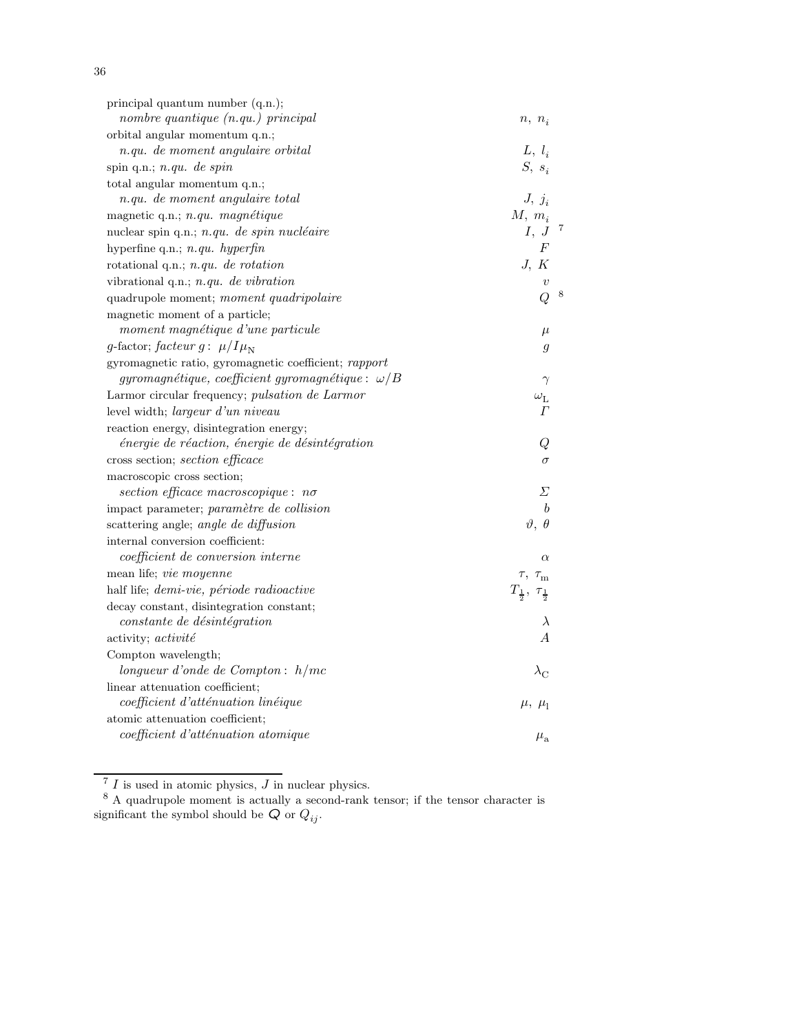| principal quantum number (q.n.);                       |                                       |  |
|--------------------------------------------------------|---------------------------------------|--|
| nombre quantique $(n. qu.)$ principal                  | $n, n_i$                              |  |
| orbital angular momentum q.n.;                         |                                       |  |
| n.qu. de moment angulaire orbital                      | $L, l_i$                              |  |
| spin q.n.; $n.qu$ . de spin                            | $S, s_i$                              |  |
| total angular momentum q.n.;                           |                                       |  |
| n.qu. de moment angulaire total                        | $J, j_i$                              |  |
| magnetic q.n.; $n.qu$ . magnétique                     | $M, m_i$                              |  |
| nuclear spin q.n.; n.qu. de spin nucléaire             | $I, J$ <sup>7</sup>                   |  |
| hyperfine q.n.; $n.qu.$ hyperfin                       | F                                     |  |
| rotational q.n.; $n.qu$ . de rotation                  | J, K                                  |  |
| vibrational q.n.; $n.qu$ . de vibration                | $\boldsymbol{v}$                      |  |
| quadrupole moment; moment quadripolaire                | 8<br>Q                                |  |
| magnetic moment of a particle;                         |                                       |  |
| moment magnétique d'une particule                      | $\mu$                                 |  |
| g-factor; facteur g: $\mu/I\mu_N$                      | $\mathfrak{g}$                        |  |
| gyromagnetic ratio, gyromagnetic coefficient; rapport  |                                       |  |
| gyromagnétique, coefficient gyromagnétique: $\omega/B$ |                                       |  |
| Larmor circular frequency; pulsation de Larmor         |                                       |  |
| level width; largeur d'un niveau                       | $\Gamma$                              |  |
| reaction energy, disintegration energy;                |                                       |  |
| énergie de réaction, énergie de désintégration         | Q                                     |  |
| cross section; section efficace                        | $\sigma$                              |  |
| macroscopic cross section;                             |                                       |  |
| section efficace macroscopique: $n\sigma$              | Σ                                     |  |
| impact parameter; paramètre de collision               | $\boldsymbol{b}$                      |  |
| scattering angle; angle de diffusion                   | $\vartheta, \theta$                   |  |
| internal conversion coefficient:                       |                                       |  |
| coefficient de conversion interne                      | $\alpha$                              |  |
| mean life; vie moyenne                                 | $\tau,~\tau_{\rm m}$                  |  |
| half life; demi-vie, période radioactive               | $T_{\frac{1}{2}}, \tau_{\frac{1}{2}}$ |  |
| decay constant, disintegration constant;               |                                       |  |
| constante de désintégration                            | $\lambda$                             |  |
| activity; activité                                     | $\overline{A}$                        |  |
| Compton wavelength;                                    |                                       |  |
| longueur d'onde de Compton : $h/mc$                    | $\lambda_{\rm C}$                     |  |
| linear attenuation coefficient;                        |                                       |  |
| coefficient d'atténuation linéique                     | $\mu, \mu_1$                          |  |
| atomic attenuation coefficient;                        |                                       |  |
| coefficient d'atténuation atomique                     | $\mu_{\rm a}$                         |  |
|                                                        |                                       |  |

 $7 I$  is used in atomic physics,  $J$  in nuclear physics.

<sup>&</sup>lt;sup>8</sup> A quadrupole moment is actually a second-rank tensor; if the tensor character is significant the symbol should be  $Q$  or  $Q_{ij}$ .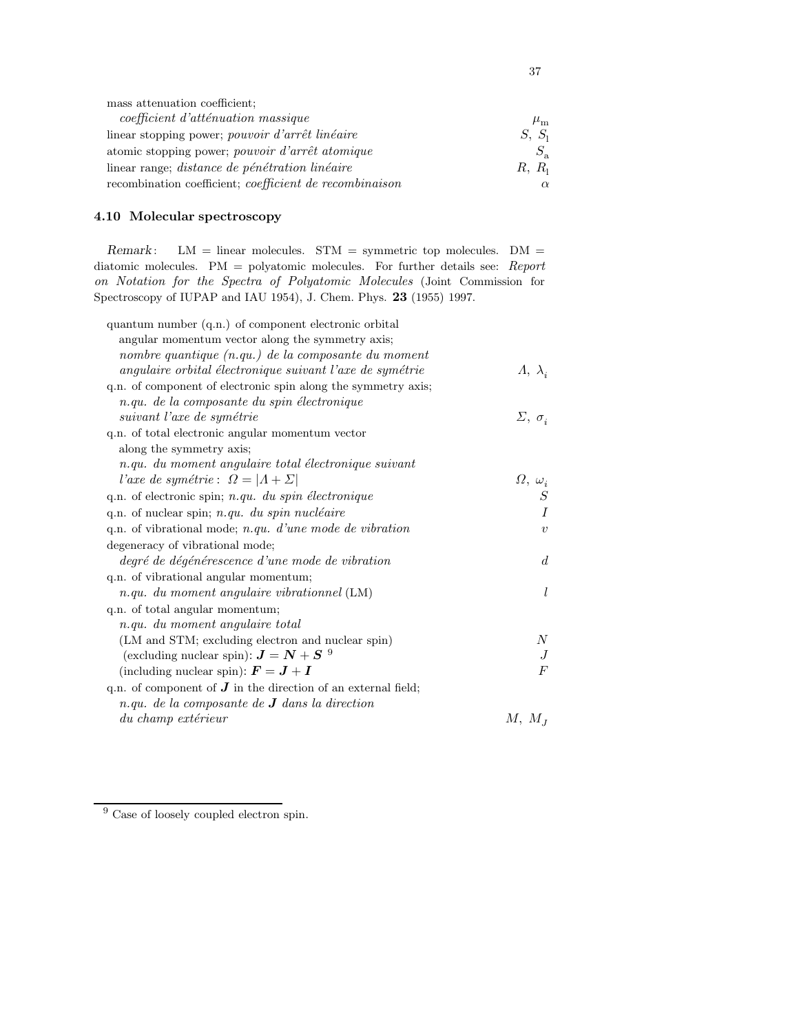| mass attenuation coefficient;                           |               |
|---------------------------------------------------------|---------------|
| coefficient d'atténuation massique                      | $\mu_{\rm m}$ |
| linear stopping power; <i>pouvoir d'arrêt linéaire</i>  | $S, S_1$      |
| atomic stopping power; <i>pouvoir d'arrêt atomique</i>  | $S_{\rm a}$   |
| linear range; <i>distance de pénétration linéaire</i>   | $R, R_1$      |
| recombination coefficient; coefficient de recombinaison | $\alpha$      |

## 4.10 Molecular spectroscopy

 $Remark: LM = linear molecules. STM = symmetric top molecules. DM =$ diatomic molecules. PM = polyatomic molecules. For further details see: Report on Notation for the Spectra of Polyatomic Molecules (Joint Commission for Spectroscopy of IUPAP and IAU 1954), J. Chem. Phys. 23 (1955) 1997.

| quantum number $(q.n.)$ of component electronic orbital          |                         |
|------------------------------------------------------------------|-------------------------|
| angular momentum vector along the symmetry axis;                 |                         |
| nombre quantique $(n.qu.)$ de la composante du moment            |                         |
| angulaire orbital électronique suivant l'axe de symétrie         | $\Lambda$ , $\lambda_i$ |
| q.n. of component of electronic spin along the symmetry axis;    |                         |
| n.qu. de la composante du spin électronique                      |                         |
| suivant l'axe de symétrie                                        | $\Sigma, \sigma_i$      |
| q.n. of total electronic angular momentum vector                 |                         |
| along the symmetry axis;                                         |                         |
| n.qu. du moment angulaire total électronique suivant             |                         |
| l'axe de symétrie: $\Omega =  A + \Sigma $                       | $\Omega, \omega_i$      |
| q.n. of electronic spin; n.qu. du spin électronique              | $\cal S$                |
| q.n. of nuclear spin; $n.qu$ . du spin nucléaire                 | $\overline{I}$          |
| q.n. of vibrational mode; $n.qu$ . $d'une mode de vibration$     | $\upsilon$              |
| degeneracy of vibrational mode;                                  |                         |
| degré de dégénérescence d'une mode de vibration                  | $\overline{d}$          |
| q.n. of vibrational angular momentum;                            |                         |
| $n. qu. du moment angular evolution of (LM)$                     | l                       |
| q.n. of total angular momentum;                                  |                         |
| n.qu. du moment angulaire total                                  |                         |
| (LM and STM; excluding electron and nuclear spin)                | N                       |
| (excluding nuclear spin): $J = N + S^{-9}$                       | J                       |
| (including nuclear spin): $\mathbf{F} = \mathbf{J} + \mathbf{I}$ | F                       |
| q.n. of component of $J$ in the direction of an external field;  |                         |
| n.qu. de la composante de $J$ dans la direction                  |                         |
| du champ extérieur                                               | $M, M_J$                |
|                                                                  |                         |

 $9$  Case of loosely coupled electron spin.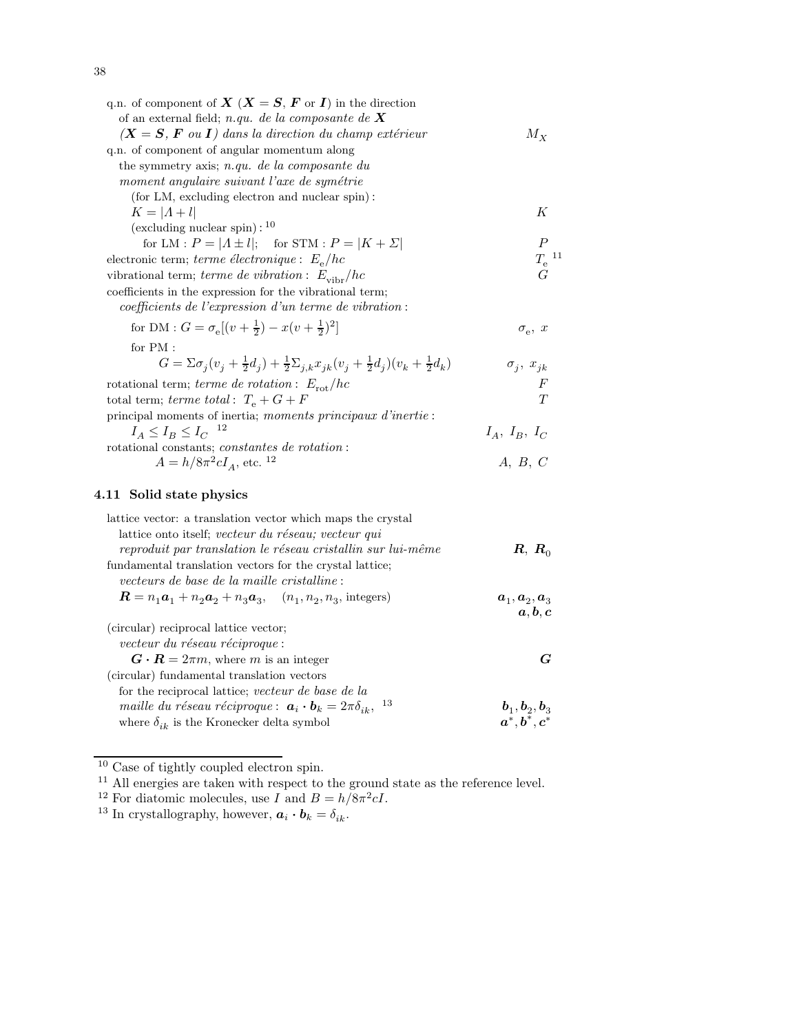| q.n. of component of $X$ ( $X = S$ , $F$ or $I$ ) in the direction                                                           |                       |
|------------------------------------------------------------------------------------------------------------------------------|-----------------------|
| of an external field; n.qu. de la composante de $X$                                                                          |                       |
| $(X = S, F, \text{ou } I)$ dans la direction du champ extérieur                                                              | $M_X$                 |
| q.n. of component of angular momentum along                                                                                  |                       |
| the symmetry axis; $n. qu. de la composante du$                                                                              |                       |
| moment angulaire suivant l'axe de symétrie                                                                                   |                       |
| (for LM, excluding electron and nuclear spin):                                                                               |                       |
| $K =  A + l $                                                                                                                | К                     |
| (excluding nuclear spin): $^{10}$                                                                                            |                       |
| for LM : $P =  A \pm l $ ; for STM : $P =  K + \Sigma $                                                                      | $\boldsymbol{P}$      |
| electronic term; terme électronique : $E_e/hc$                                                                               | $T_e^{-11}$           |
| vibrational term; terme de vibration : $E_{\text{vibr}}/hc$                                                                  | G                     |
| coefficients in the expression for the vibrational term;                                                                     |                       |
| coefficients de l'expression d'un terme de vibration:                                                                        |                       |
| for DM : $G = \sigma_e[(v + \frac{1}{2}) - x(v + \frac{1}{2})^2]$                                                            | $\sigma_{\alpha}$ , x |
| for PM :                                                                                                                     |                       |
| $G = \Sigma \sigma_i (v_i + \frac{1}{2}d_i) + \frac{1}{2} \Sigma_{i,k} x_{ik} (v_i + \frac{1}{2}d_i) (v_k + \frac{1}{2}d_k)$ | $\sigma_j$ , $x_{jk}$ |
| rotational term; terme de rotation : $E_{\text{rot}}/hc$                                                                     | F                     |
| total term; terme total: $T_e + G + F$                                                                                       | T                     |
| principal moments of inertia; moments principaux d'inertie :                                                                 |                       |
| $I_A \leq I_B \leq I_C^{-12}$                                                                                                | $I_A$ , $I_B$ , $I_C$ |
| rotational constants; <i>constantes de rotation</i> :                                                                        |                       |
| $A = h/8\pi^2 c I_A$ , etc. <sup>12</sup>                                                                                    | A, B, C               |
|                                                                                                                              |                       |

# 4.11 Solid state physics

| lattice vector: a translation vector which maps the crystal                                                    |                                                                     |
|----------------------------------------------------------------------------------------------------------------|---------------------------------------------------------------------|
| lattice onto itself; vecteur du réseau; vecteur qui                                                            |                                                                     |
| reproduit par translation le réseau cristallin sur lui-même                                                    | $\bm{R},~\bm{R}_0$                                                  |
| fundamental translation vectors for the crystal lattice;                                                       |                                                                     |
| <i>vecteurs de base de la maille cristalline</i> :                                                             |                                                                     |
| $\mathbf{R} = n_1 \mathbf{a}_1 + n_2 \mathbf{a}_2 + n_3 \mathbf{a}_3, \quad (n_1, n_2, n_3, \text{ integers})$ | $a_1, a_2, a_3$                                                     |
|                                                                                                                | a, b, c                                                             |
| (circular) reciprocal lattice vector;                                                                          |                                                                     |
| <i>vecteur du réseau réciproque:</i>                                                                           |                                                                     |
| $\mathbf{G} \cdot \mathbf{R} = 2\pi m$ , where m is an integer                                                 | G                                                                   |
| (circular) fundamental translation vectors                                                                     |                                                                     |
| for the reciprocal lattice; vecteur de base de la                                                              |                                                                     |
| maille du réseau réciproque : $\mathbf{a}_i \cdot \mathbf{b}_k = 2\pi \delta_{ik}$ , <sup>13</sup>             | $\frac{\bm{b}_1, \bm{b}_2, \bm{b}_3}{\bm{a}^*, \bm{b}^*, \bm{c}^*}$ |
| where $\delta_{ik}$ is the Kronecker delta symbol                                                              |                                                                     |

<sup>10</sup> Case of tightly coupled electron spin.

<sup>11</sup> All energies are taken with respect to the ground state as the reference level.

- <sup>12</sup> For diatomic molecules, use *I* and  $B = h/8\pi^2 cI$ .
- <sup>13</sup> In crystallography, however,  $\boldsymbol{a}_i \cdot \boldsymbol{b}_k = \delta_{ik}$ .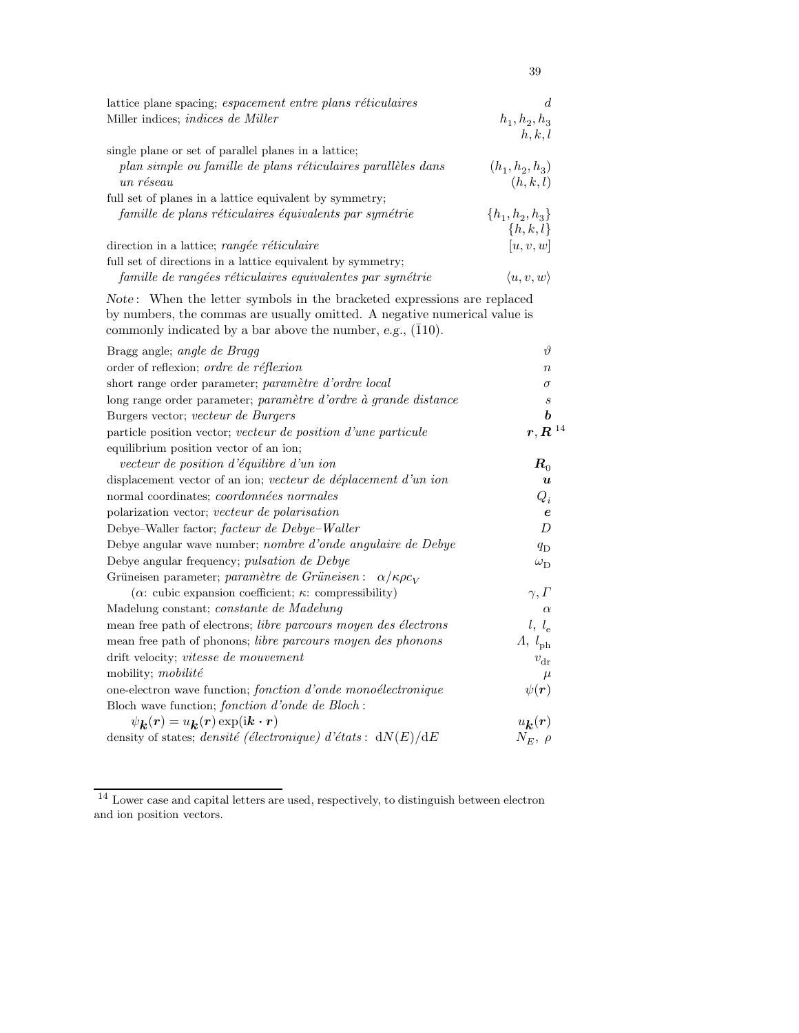| lattice plane spacing; espacement entre plans réticulaires<br>Miller indices; indices de Miller                                            | $\boldsymbol{d}$                     |
|--------------------------------------------------------------------------------------------------------------------------------------------|--------------------------------------|
|                                                                                                                                            | $h_1, h_2, h_3$<br>h, k, l           |
| single plane or set of parallel planes in a lattice;                                                                                       |                                      |
| plan simple ou famille de plans réticulaires parallèles dans<br>un réseau                                                                  | $(h_1, h_2, h_3)$<br>(h,k,l)         |
| full set of planes in a lattice equivalent by symmetry;                                                                                    |                                      |
| famille de plans réticulaires équivalents par symétrie                                                                                     | $\{h_1, h_2, h_3\}$<br>$\{h,k,l\}$   |
| direction in a lattice; rangée réticulaire                                                                                                 | [u, v, w]                            |
| full set of directions in a lattice equivalent by symmetry;                                                                                |                                      |
| famille de rangées réticulaires equivalentes par symétrie                                                                                  | $\langle u, v, w \rangle$            |
| Note: When the letter symbols in the bracketed expressions are replaced                                                                    |                                      |
| by numbers, the commas are usually omitted. A negative numerical value is<br>commonly indicated by a bar above the number, e.g., $(110)$ . |                                      |
| Bragg angle; angle de Bragg                                                                                                                | $\vartheta$                          |
| order of reflexion; ordre de réflexion                                                                                                     | $\boldsymbol{n}$                     |
| short range order parameter; paramètre d'ordre local                                                                                       | $\sigma$                             |
| long range order parameter; paramètre d'ordre à grande distance                                                                            | $\boldsymbol{s}$                     |
| Burgers vector; vecteur de Burgers                                                                                                         | b                                    |
| particle position vector; vecteur de position d'une particule                                                                              | $\bm{r}, \bm{R}$ $^{14}$             |
| equilibrium position vector of an ion;                                                                                                     |                                      |
| vecteur de position d'équilibre d'un ion                                                                                                   | $R_{0}$                              |
| displacement vector of an ion; vecteur de déplacement d'un ion                                                                             | $\boldsymbol{u}$                     |
| normal coordinates; coordonnées normales                                                                                                   | $Q_i$                                |
| polarization vector; vecteur de polarisation                                                                                               | $\boldsymbol{e}$                     |
| Debye-Waller factor; facteur de Debye-Waller                                                                                               | D                                    |
| Debye angular wave number; nombre d'onde angulaire de Debye                                                                                | $q_{\rm D}$                          |
| Debye angular frequency; pulsation de Debye                                                                                                | $\omega_{\rm D}$                     |
| Grüneisen parameter; paramètre de Grüneisen:<br>$\alpha/\kappa\rho c_V$                                                                    |                                      |
| ( $\alpha$ : cubic expansion coefficient; $\kappa$ : compressibility)                                                                      | $\gamma, \Gamma$                     |
| Madelung constant; constante de Madelung                                                                                                   | $\alpha$                             |
| mean free path of electrons; libre parcours moyen des électrons                                                                            | $l, l_{\alpha}$                      |
| mean free path of phonons; libre parcours moyen des phonons                                                                                | $\Lambda, l_{\rm ph}$                |
| drift velocity; vitesse de mouvement                                                                                                       | $v_{\rm dr}$                         |
| mobility; mobilité                                                                                                                         | $\mu$                                |
| one-electron wave function; fonction d'onde monoélectronique                                                                               | $\psi(\boldsymbol{r})$               |
| Bloch wave function; fonction d'onde de Bloch :                                                                                            |                                      |
| $\psi_{\bm{k}}(\bm{r}) = u_{\bm{k}}(\bm{r}) \exp(i\bm{k}\cdot\bm{r})$<br>density of states; densité (électronique) d'états : $dN(E)/dE$    | $u_{\boldsymbol{k}}(\boldsymbol{r})$ |
|                                                                                                                                            | $N_E, \; \rho$                       |

 $^{\,14}$  Lower case and capital letters are used, respectively, to distinguish between electron and ion position vectors.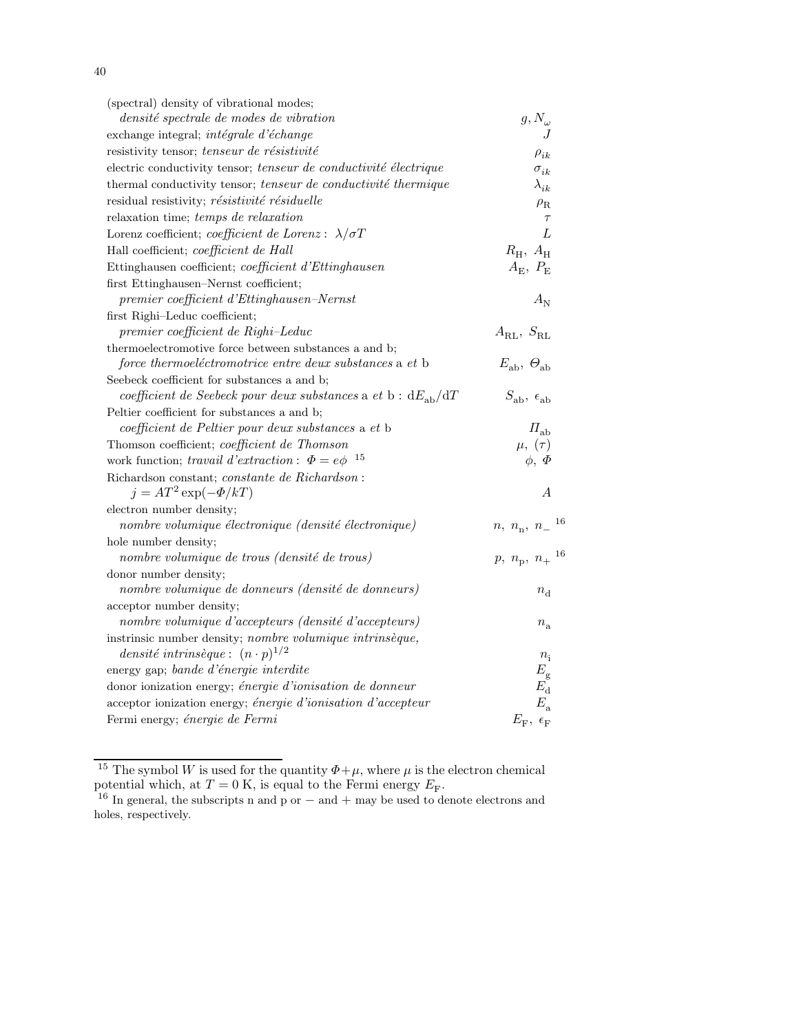| (spectral) density of vibrational modes;                          |                                     |
|-------------------------------------------------------------------|-------------------------------------|
| densité spectrale de modes de vibration                           | $g, N_\omega$                       |
| exchange integral; intégrale d'échange                            |                                     |
| resistivity tensor; tenseur de résistivité                        | $\rho_{ik}$                         |
| electric conductivity tensor; tenseur de conductivité électrique  | $\sigma_{ik}$                       |
| thermal conductivity tensor; tenseur de conductivité thermique    | $\lambda_{ik}$                      |
| residual resistivity; résistivité résiduelle                      | $\rho_{\rm R}$                      |
| relaxation time; temps de relaxation                              | $\tau$                              |
| Lorenz coefficient; coefficient de Lorenz: $\lambda/\sigma T$     | L                                   |
| Hall coefficient; coefficient de Hall                             | $R_{\rm H}$ , $A_{\rm H}$           |
| Ettinghausen coefficient; coefficient d'Ettinghausen              | $A_{\rm E}$ , $P_{\rm E}$           |
| first Ettinghausen-Nernst coefficient;                            |                                     |
| premier coefficient d'Ettinghausen-Nernst                         | $A_{\rm N}$                         |
| first Righi-Leduc coefficient;                                    |                                     |
| premier coefficient de Righi-Leduc                                | $A_{\rm RL}$ , $S_{\rm RL}$         |
| thermoelectromotive force between substances a and b;             |                                     |
| force thermoeléctromotrice entre deux substances a et b           | $E_{ab}$ , $\Theta_{ab}$            |
| Seebeck coefficient for substances a and b;                       |                                     |
| coefficient de Seebeck pour deux substances a et b : $dE_{ab}/dT$ | $S_{\rm ab}$ , $\epsilon_{\rm ab}$  |
| Peltier coefficient for substances a and b;                       |                                     |
| coefficient de Peltier pour deux substances a et b                | $\Pi_{ab}$                          |
| Thomson coefficient; coefficient de Thomson                       | $\mu, (\tau)$                       |
| work function; travail d'extraction : $\Phi = e\phi^{-15}$        | $\phi$ , $\Phi$                     |
| Richardson constant; constante de Richardson:                     |                                     |
| $j = AT^2 \exp(-\Phi/kT)$                                         | $\overline{A}$                      |
| electron number density;                                          |                                     |
| nombre volumique électronique (densité électronique)              | $n, n_{\rm n}, n_{\rm m}^{-16}$     |
| hole number density;                                              |                                     |
| nombre volumique de trous (densité de trous)                      | $p, n_{\rm p}, n_{+}$ <sup>16</sup> |
| donor number density;                                             |                                     |
| nombre volumique de donneurs (densité de donneurs)                | $n_{\rm d}$                         |
| acceptor number density;                                          |                                     |
| nombre volumique d'accepteurs (densité d'accepteurs)              | $n_{\rm a}$                         |
| instrinsic number density; nombre volumique intrinsèque,          |                                     |
| densité intrinsèque : $(n \cdot p)^{1/2}$                         | $n_i$                               |
| energy gap; bande d'énergie interdite                             | $E_{\rm g}$                         |
| donor ionization energy; énergie d'ionisation de donneur          | $E_{\rm d}$                         |
| acceptor ionization energy; énergie d'ionisation d'accepteur      | $E_{\rm a}$                         |
| Fermi energy; énergie de Fermi                                    | $E_{\rm F}$ , $\epsilon_{\rm F}$    |
|                                                                   |                                     |

<sup>&</sup>lt;sup>15</sup> The symbol W is used for the quantity  $\Phi + \mu$ , where  $\mu$  is the electron chemical potential which, at  $T = 0$  K, is equal to the Fermi energy  $E<sub>F</sub>$ .

 $16$  In general, the subscripts n and p or  $-$  and  $+$  may be used to denote electrons and holes, respectively.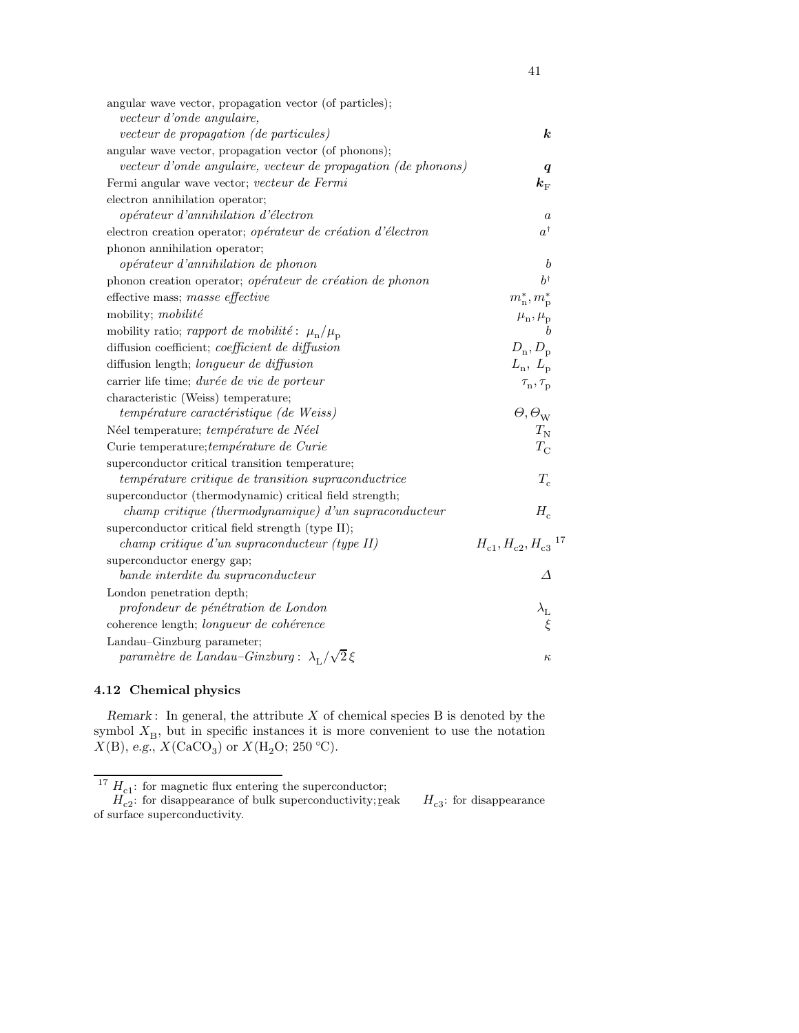| angular wave vector, propagation vector (of particles);         |                                        |
|-----------------------------------------------------------------|----------------------------------------|
| vecteur d'onde angulaire,                                       |                                        |
| vecteur de propagation (de particules)                          | $\boldsymbol{k}$                       |
| angular wave vector, propagation vector (of phonons);           |                                        |
| vecteur d'onde angulaire, vecteur de propagation (de phonons)   | $\boldsymbol{q}$                       |
| Fermi angular wave vector; vecteur de Fermi                     | $\boldsymbol{k}_\textrm{F}$            |
| electron annihilation operator;                                 |                                        |
| opérateur d'annihilation d'électron                             | $\boldsymbol{a}$                       |
| electron creation operator; opérateur de création d'électron    | $a^{\scriptscriptstyle\dagger}$        |
| phonon annihilation operator;                                   |                                        |
| opérateur d'annihilation de phonon                              | b                                      |
| phonon creation operator; opérateur de création de phonon       | $h^{\dagger}$                          |
| effective mass; masse effective                                 | $m_{\rm n}^*, m_{\rm p}^*$             |
| mobility; $m \delta$                                            | $\mu_{\rm n}, \mu_{\rm p}$             |
| mobility ratio; rapport de mobilité : $\mu_{\rm n}/\mu_{\rm p}$ |                                        |
| diffusion coefficient; coefficient de diffusion                 | $D_{\rm n}, D_{\rm p}$                 |
| diffusion length; longueur de diffusion                         | $L_{\rm n}$ , $L_{\rm p}$              |
| carrier life time; durée de vie de porteur                      | $\tau_{\rm n},\tau_{\rm p}$            |
| characteristic (Weiss) temperature;                             |                                        |
| température caractéristique (de Weiss)                          | $\Theta, \Theta_{\rm W}$               |
| Néel temperature; température de Néel                           | $T_{\rm N}$                            |
| Curie temperature; température de Curie                         | $T_{\rm C}$                            |
| superconductor critical transition temperature;                 |                                        |
| température critique de transition supraconductrice             | $T_c$                                  |
| superconductor (thermodynamic) critical field strength;         |                                        |
| $champ\ critique$ (thermodynamique) d'un supraconducteur        | $H_c$                                  |
| superconductor critical field strength (type II);               |                                        |
| $champ\ critique\ d'un\ suprac{onductor}{ttype\ II}$            | $H_{c1}, H_{c2}, H_{c3}$ <sup>17</sup> |
| superconductor energy gap;                                      |                                        |
| bande interdite du supraconducteur                              |                                        |
| London penetration depth;                                       |                                        |
| profondeur de pénétration de London                             |                                        |
| coherence length; longueur de cohérence                         |                                        |
| Landau-Ginzburg parameter;                                      |                                        |
| paramètre de Landau-Ginzburg: $\lambda_{\rm L}/\sqrt{2}\xi$     | $\kappa$                               |

# 4.12 Chemical physics

Remark : In general, the attribute  $X$  of chemical species B is denoted by the symbol  $X_{\text{B}}$ , but in specific instances it is more convenient to use the notation  $X(\mathrm{B})$ , e.g.,  $X(\mathrm{CaCO}_3)$  or  $X(\mathrm{H}_2\mathrm{O}; 250 \text{ °C})$ .

 $H_{\rm c3}\colon$  for disappearance

<sup>&</sup>lt;sup>17</sup>  $H_{c1}$ : for magnetic flux entering the superconductor;

 $H_{c2}$ : for disappearance of bulk superconductivity; r of surface superconductivity.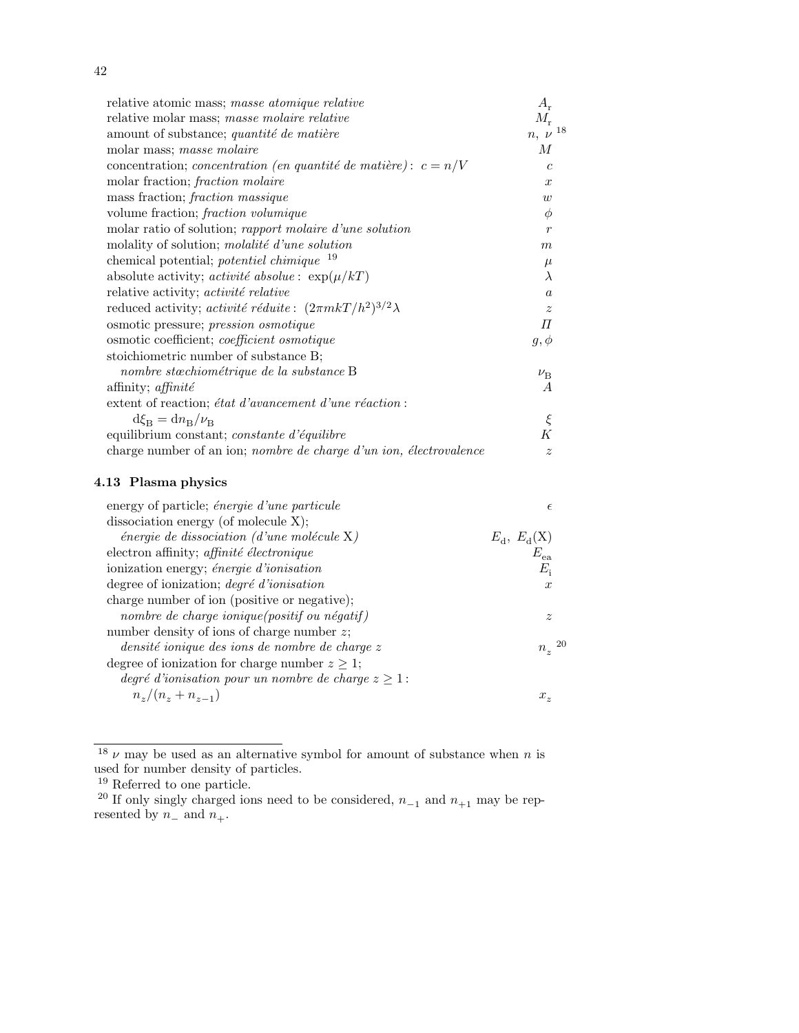| relative atomic mass; masse atomique relative                           | $A_{r}$                |
|-------------------------------------------------------------------------|------------------------|
| relative molar mass; masse molaire relative                             | $M_{\rm r}$            |
| amount of substance; quantité de matière                                | $n, \nu$ <sup>18</sup> |
| molar mass; masse molaire                                               | М                      |
| concentration; <i>concentration</i> (en quantité de matière): $c = n/V$ | $\overline{c}$         |
| molar fraction; <i>fraction molaire</i>                                 | $\boldsymbol{x}$       |
| mass fraction; <i>fraction massique</i>                                 | w                      |
| volume fraction; <i>fraction volumique</i>                              | $\phi$                 |
| molar ratio of solution; rapport molaire d'une solution                 | $\mathcal{r}$          |
| molality of solution; molalité d'une solution                           | m                      |
| chemical potential; <i>potentiel chimique</i> <sup>19</sup>             | $\mu$                  |
| absolute activity; <i>activité absolue</i> : $\exp(\mu/kT)$             | $\lambda$              |
| relative activity; <i>activité relative</i>                             | $\alpha$               |
| reduced activity; activité réduite : $(2\pi mkT/h^2)^{3/2}\lambda$      | $\boldsymbol{z}$       |
| osmotic pressure; <i>pression osmotique</i>                             | П                      |
| osmotic coefficient; <i>coefficient osmotique</i>                       | $g, \phi$              |
| stoichiometric number of substance B;                                   |                        |
| nombre stæchiométrique de la substance B                                | $\nu_{\rm B}$          |
| affinity; <i>affinité</i>                                               | $\boldsymbol{A}$       |
| extent of reaction; état d'avancement d'une réaction :                  |                        |
| $d\xi_{\rm B} = dn_{\rm B}/\nu_{\rm B}$                                 | ξ                      |
| equilibrium constant; constante d'équilibre                             | K                      |
| charge number of an ion; nombre de charge d'un ion, électrovalence      | $\boldsymbol{z}$       |

## 4.13 Plasma physics

| energy of particle; <i>énergie d'une particule</i>       |                              |
|----------------------------------------------------------|------------------------------|
| dissociation energy (of molecule $X$ );                  |                              |
| $\acute{e}n$ ergie de dissociation (d'une molécule X)    | $E_{\rm d}$ , $E_{\rm d}(X)$ |
| electron affinity; <i>affinité électronique</i>          | $E_{\rm ee}$                 |
| ionization energy; <i>énergie d'ionisation</i>           | $E_{\rm i}$                  |
| degree of ionization; <i>degré d'ionisation</i>          | $\boldsymbol{x}$             |
| charge number of ion (positive or negative);             |                              |
| nombre de charge ionique (positif ou négatif)            | $\tilde{z}$                  |
| number density of ions of charge number $z$ ;            |                              |
| densité ionique des ions de nombre de charge z           | $n_{z}$                      |
| degree of ionization for charge number $z \geq 1$ ;      |                              |
| degré d'ionisation pour un nombre de charge $z \geq 1$ : |                              |
| $n_z/(n_z+n_{z-1})$                                      | $x_{\gamma}$                 |

<sup>&</sup>lt;sup>18</sup>  $\nu$  may be used as an alternative symbol for amount of substance when *n* is used for number density of particles.

<sup>19</sup> Referred to one particle.

<sup>&</sup>lt;sup>20</sup> If only singly charged ions need to be considered,  $n_{-1}$  and  $n_{+1}$  may be represented by  $n_-\,$  and  $n_+$ .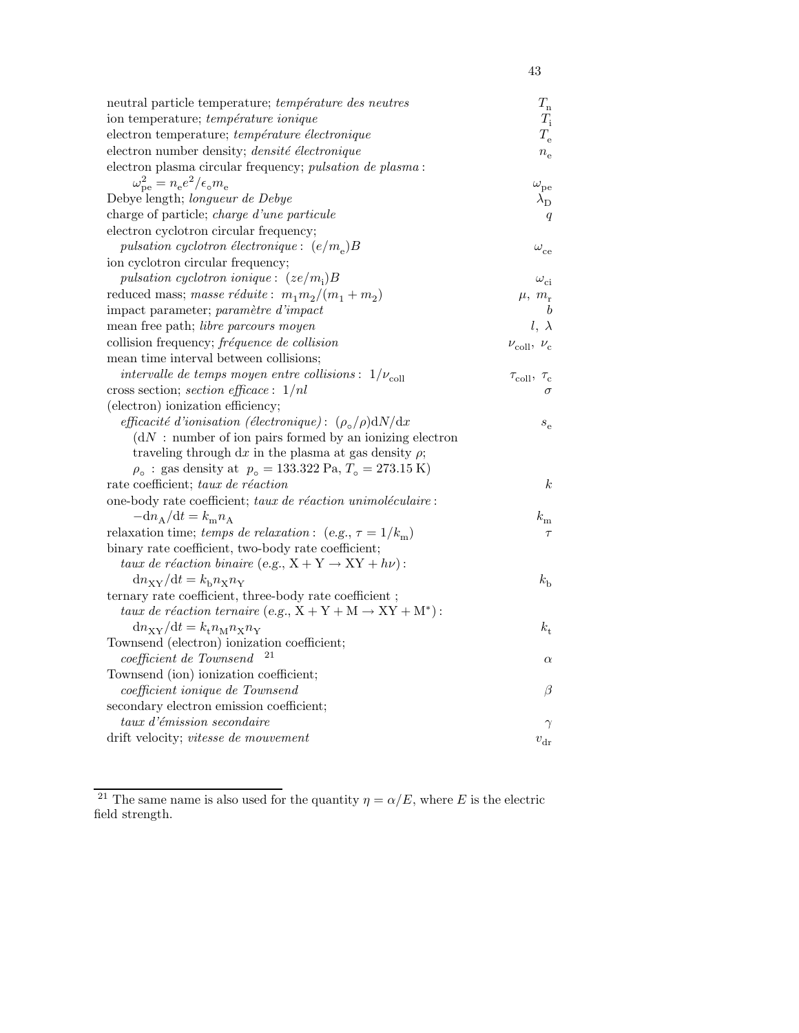| neutral particle temperature; température des neutres                                                         | $T_{\rm n}$                            |
|---------------------------------------------------------------------------------------------------------------|----------------------------------------|
| ion temperature; température ionique                                                                          | $T_{\rm i}$                            |
| electron temperature; température électronique                                                                | $T_{\rm e}$                            |
| electron number density; densité électronique                                                                 | $n_{\rm e}$                            |
| electron plasma circular frequency; pulsation de plasma:                                                      |                                        |
| $\omega_{\rm pe}^2 = n_{\rm e}e^2/\epsilon_{\rm o}m_{\rm e}$                                                  | $\omega_\mathrm{pe}$                   |
| Debye length; longueur de Debye                                                                               | $\lambda_{\rm D}$                      |
| charge of particle; <i>charge d'une particule</i>                                                             | q                                      |
| electron cyclotron circular frequency;                                                                        |                                        |
| pulsation cyclotron électronique: $(e/m_e)B$                                                                  | $\omega_{\mathrm{ce}}$                 |
| ion cyclotron circular frequency;                                                                             |                                        |
| pulsation cyclotron ionique: $(ze/m_i)B$                                                                      | $\omega_{\rm ci}$                      |
| reduced mass; masse réduite : $m_1 m_2/(m_1 + m_2)$                                                           | $\mu, m_r$                             |
| impact parameter; paramètre d'impact                                                                          |                                        |
| mean free path; libre parcours moyen                                                                          | $l, \lambda$                           |
| collision frequency; fréquence de collision                                                                   | $\nu_{\text{coll}}$ , $\nu_{\text{c}}$ |
| mean time interval between collisions;                                                                        |                                        |
| intervalle de temps moyen entre collisions : $1/\nu_{\text{coll}}$                                            | $\tau_{\rm coll},\ \tau_{\rm c}$       |
| cross section; section efficace: $1/nl$                                                                       | $\sigma$                               |
| (electron) ionization efficiency;                                                                             |                                        |
| efficacité d'ionisation (électronique): $(\rho_{\circ}/\rho)dN/dx$                                            | $s_{\rm e}$                            |
| $(dN:$ number of ion pairs formed by an ionizing electron                                                     |                                        |
| traveling through dx in the plasma at gas density $\rho$ ;                                                    |                                        |
| $\rho_\mathrm{o}\,$ : gas density at $\,p_\mathrm{o}=133.322\;\mathrm{Pa},\,T_\mathrm{o}=273.15\;\mathrm{K})$ |                                        |
| rate coefficient; taux de réaction                                                                            | $\boldsymbol{k}$                       |
| one-body rate coefficient; taux de réaction unimoléculaire :                                                  |                                        |
| $-dn_A/dt = k_m n_A$                                                                                          | $k_{\rm m}$                            |
| relaxation time; temps de relaxation : (e.g., $\tau = 1/k_m$ )                                                | $\tau$                                 |
| binary rate coefficient, two-body rate coefficient;                                                           |                                        |
| taux de réaction binaire (e.g., $X + Y \rightarrow XY + h\nu$ ):                                              |                                        |
| $dn_{XY}/dt = k_h n_X n_Y$                                                                                    | $k_{\rm b}$                            |
| ternary rate coefficient, three-body rate coefficient;                                                        |                                        |
| taux de réaction ternaire (e.g., $X + Y + M \rightarrow XY + M^*$ ):                                          |                                        |
| ${\rm d}n_{\rm XY}/{\rm d}t=k_{\rm t}n_{\rm M}n_{\rm X}n_{\rm Y}$                                             | $k_{\rm t}$                            |
| Townsend (electron) ionization coefficient;                                                                   |                                        |
| 21<br>coefficient de Townsend                                                                                 | $\alpha$                               |
| Townsend (ion) ionization coefficient;                                                                        |                                        |
| coefficient ionique de Townsend                                                                               | $\beta$                                |
| secondary electron emission coefficient;                                                                      |                                        |
| taux d'émission secondaire                                                                                    | $\gamma$                               |
| drift velocity; vitesse de mouvement                                                                          | $v_{\rm dr}$                           |

<sup>&</sup>lt;sup>21</sup> The same name is also used for the quantity  $\eta = \alpha/E$ , where E is the electric field strength.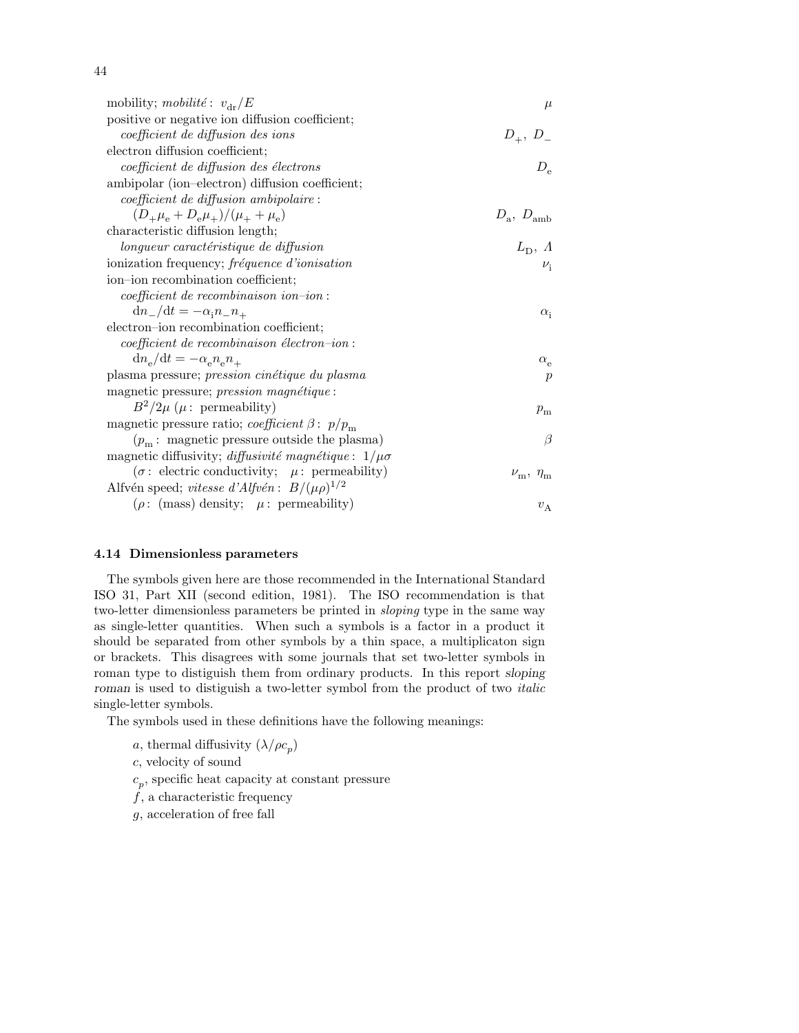| mobility; mobilité : $v_{dr}/E$                                      | $\mu$                          |
|----------------------------------------------------------------------|--------------------------------|
| positive or negative ion diffusion coefficient;                      |                                |
| coefficient de diffusion des ions                                    | $D_{+}, D_{-}$                 |
| electron diffusion coefficient;                                      |                                |
| coefficient de diffusion des électrons                               | $D_{\rm e}$                    |
| ambipolar (ion-electron) diffusion coefficient;                      |                                |
| coefficient de diffusion ambipolaire :                               |                                |
| $(D_{+}\mu_{\rm e}+D_{\rm e}\mu_{+})/(\mu_{+}+\mu_{\rm e})$          | $D_{\rm a}$ , $D_{\rm amb}$    |
| characteristic diffusion length;                                     |                                |
| longueur caractéristique de diffusion                                | $L_{\rm D}$ , $\Lambda$        |
| ionization frequency; <i>fréquence d'ionisation</i>                  | $\nu_i$                        |
| ion-ion recombination coefficient;                                   |                                |
| $coefficient$ de recombinaison ion-ion:                              |                                |
| $dn_{-}/dt = -\alpha_{i}n_{-}n_{+}$                                  | $\alpha_{i}$                   |
| electron-ion recombination coefficient;                              |                                |
| $coefficient$ de recombinaison électron-ion:                         |                                |
| $dn_e/dt = -\alpha_e n_e n_+$                                        | $\alpha_e$                     |
| plasma pressure; pression cinétique du plasma                        | $\boldsymbol{p}$               |
| magnetic pressure; pression magnétique:                              |                                |
| $B^2/2\mu$ ( $\mu$ : permeability)                                   | $p_{\rm m}$                    |
| magnetic pressure ratio; <i>coefficient</i> $\beta$ : $p/p_m$        |                                |
| $(p_m:$ magnetic pressure outside the plasma)                        | $\beta$                        |
| magnetic diffusivity; diffusivité magnétique: $1/\mu\sigma$          |                                |
| $(\sigma: \text{ electric conductivity}; \mu: \text{ permeability})$ | $\nu_{\rm m}$ , $\eta_{\rm m}$ |
| Alfvén speed; <i>vitesse d'Alfvén</i> : $B/(\mu \rho)^{1/2}$         |                                |
| $(\rho: \text{ (mass) density}; \mu: \text{ permeability})$          | $v_A$                          |
|                                                                      |                                |

#### 4.14 Dimensionless parameters

The symbols given here are those recommended in the International Standard ISO 31, Part XII (second edition, 1981). The ISO recommendation is that two-letter dimensionless parameters be printed in sloping type in the same way as single-letter quantities. When such a symbols is a factor in a product it should be separated from other symbols by a thin space, a multiplicaton sign or brackets. This disagrees with some journals that set two-letter symbols in roman type to distiguish them from ordinary products. In this report sloping roman is used to distiguish a two-letter symbol from the product of two italic single-letter symbols.

The symbols used in these definitions have the following meanings:

a, thermal diffusivity  $(\lambda/\rho c_p)$ 

c, velocity of sound

 $c_p$ , specific heat capacity at constant pressure

 $f$ , a characteristic frequency

g, acceleration of free fall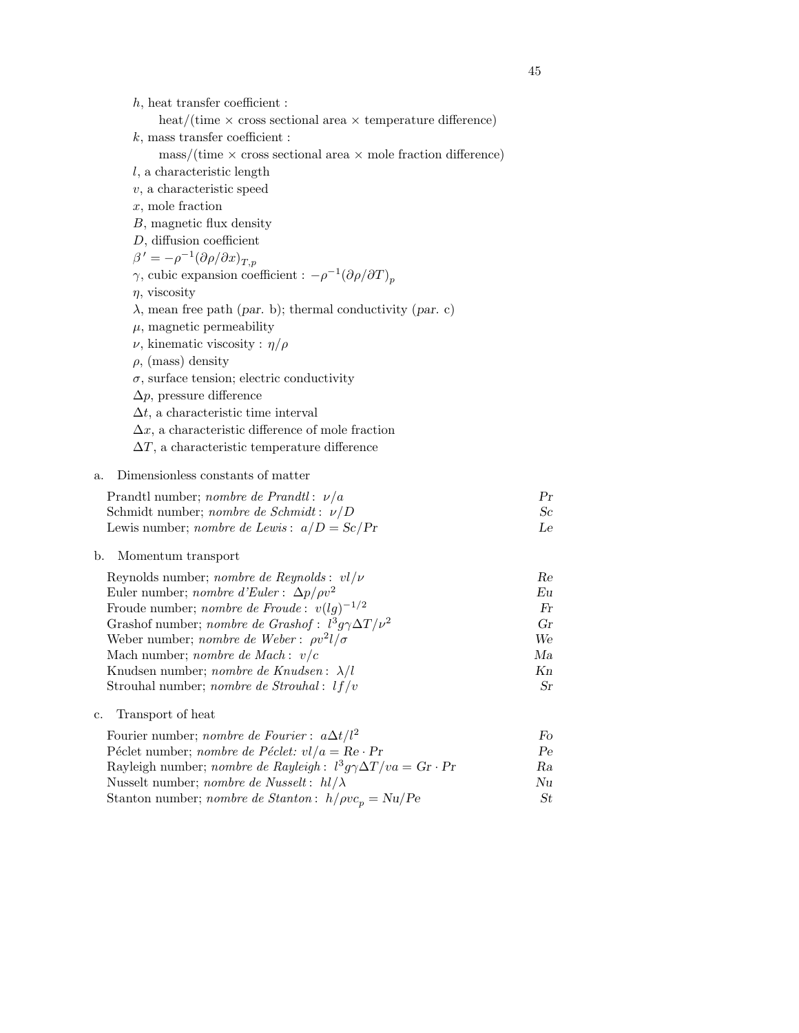h, heat transfer coefficient :

heat/(time  $\times$  cross sectional area  $\times$  temperature difference)

 $k$ , mass transfer coefficient :

 $\text{mass}/(\text{time} \times \text{cross sectional area} \times \text{mole fraction difference})$ 

- l, a characteristic length
- $v$ , a characteristic speed
- x, mole fraction
- B, magnetic flux density
- D, diffusion coefficient
- $\beta' = -\rho^{-1} (\partial \rho/\partial x)_{T,p}$

 $\gamma$ , cubic expansion coefficient :  $-\rho^{-1}(\partial \rho/\partial T)_p$ 

 $\eta$ , viscosity

 $\lambda$ , mean free path (par. b); thermal conductivity (par. c)

- $\mu$ , magnetic permeability
- ν, kinematic viscosity : η/ρ
- $\rho$ , (mass) density
- $\sigma$ , surface tension; electric conductivity
- $\Delta p$ , pressure difference
- $\Delta t$ , a characteristic time interval
- $\Delta x$ , a characteristic difference of mole fraction
- $\Delta T$ , a characteristic temperature difference

#### a. Dimensionless constants of matter

| Prandtl number; nombre de Prandtl : $\nu/a$          | Pr   |
|------------------------------------------------------|------|
| Schmidt number; nombre de Schmidt: $\nu/D$           | - Sc |
| Lewis number; <i>nombre de Lewis</i> : $a/D = Sc/Pr$ |      |

b. Momentum transport

| Reynolds number; <i>nombre de Reynolds</i> : $vl/\nu$          | Re |
|----------------------------------------------------------------|----|
| Euler number; <i>nombre d'Euler</i> : $\Delta p/\rho v^2$      | Eu |
| Froude number; <i>nombre de Froude</i> : $v(lg)^{-1/2}$        | Fr |
| Grashof number; nombre de Grashof : $l^3q\gamma\Delta T/\nu^2$ | Gr |
| Weber number; nombre de Weber: $\rho v^2 l/\sigma$             | We |
| Mach number; <i>nombre de Mach</i> : $v/c$                     | Ma |
| Knudsen number; nombre de Knudsen: $\lambda/l$                 | Kn |
| Strouhal number; nombre de Strouhal: $lf/v$                    | Sr |

#### c. Transport of heat

| Fourier number; nombre de Fourier: $a\Delta t/l^2$                                | $F_{O}$ |
|-----------------------------------------------------------------------------------|---------|
| Péclet number; nombre de Péclet: $vl/a = Re \cdot Pr$                             | Pe      |
| Rayleigh number; nombre de Rayleigh : $l^3 g \gamma \Delta T / v a = Gr \cdot Pr$ | Ra.     |
| Nusselt number; nombre de Nusselt: $hl/\lambda$                                   | Nu      |
| Stanton number; nombre de Stanton: $h/\rho v c_n = Nu/Pe$                         | St      |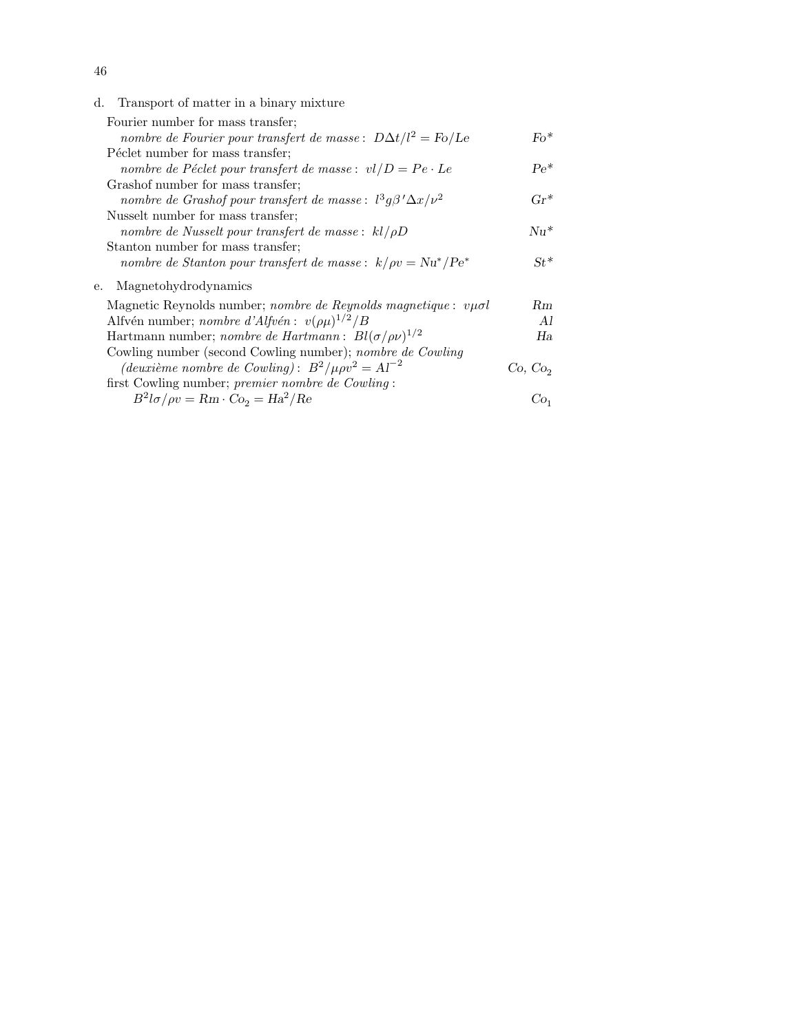| d. | Transport of matter in a binary mixture                                                                                                                                     |                  |
|----|-----------------------------------------------------------------------------------------------------------------------------------------------------------------------------|------------------|
|    | Fourier number for mass transfer;<br>nombre de Fourier pour transfert de masse: $D\Delta t/l^2 = Fo/Le$                                                                     | $Fo*$            |
|    | Péclet number for mass transfer;<br>nombre de Péclet pour transfert de masse: $vl/D = Pe \cdot Le$                                                                          | $Pe^*$           |
|    | Grashof number for mass transfer:<br>nombre de Grashof pour transfert de masse: $l^3 g \beta' \Delta x / \nu^2$                                                             | $Gr^*$           |
|    | Nusselt number for mass transfer;<br>nombre de Nusselt pour transfert de masse: $kl/\rho D$                                                                                 | $Nu^*$           |
|    | Stanton number for mass transfer;<br>nombre de Stanton pour transfert de masse: $k/\rho v = Nu^*/Pe^*$                                                                      | $St^*$           |
| е. | Magnetohydrodynamics                                                                                                                                                        |                  |
|    | Magnetic Reynolds number; nombre de Reynolds magnetique : $v\mu\sigma l$<br>Alfvén number; nombre d'Alfvén : $v(\rho\mu)^{1/2}/B$                                           | Rm<br>Al         |
|    | Hartmann number; nombre de Hartmann: $Bl(\sigma/\rho\nu)^{1/2}$                                                                                                             | Ha               |
|    | Cowling number (second Cowling number); nombre de Cowling<br>(deuxième nombre de Cowling): $B^2/\mu \rho v^2 = Al^{-2}$<br>first Cowling number; premier nombre de Cowling: | Co, Co,          |
|    | $B^2l\sigma/\rho v = Rm \cdot Co_2 = Ha^2/Re$                                                                                                                               | $\sum_{i=1}^{n}$ |
|    |                                                                                                                                                                             |                  |

 $Gr^*$ 

 $Ha$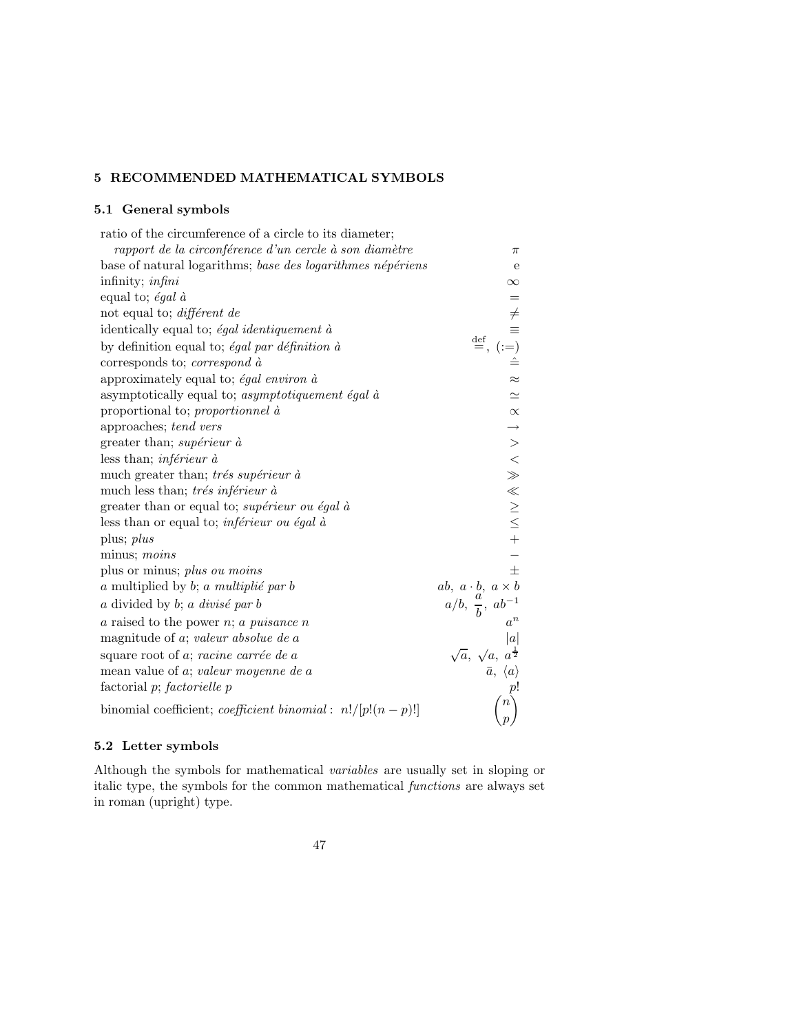#### 5 RECOMMENDED MATHEMATICAL SYMBOLS

## 5.1 General symbols

| ratio of the circumference of a circle to its diameter;             |                                                                                                                                                                                |
|---------------------------------------------------------------------|--------------------------------------------------------------------------------------------------------------------------------------------------------------------------------|
| rapport de la circonférence d'un cercle à son diamètre              | $\pi$                                                                                                                                                                          |
| base of natural logarithms; base des logarithmes népériens          | e                                                                                                                                                                              |
| infinity; <i>infini</i>                                             | $\infty$                                                                                                                                                                       |
| equal to; <i>égal</i> $\dot{a}$                                     | $=$                                                                                                                                                                            |
| not equal to; <i>différent de</i>                                   | $\neq$                                                                                                                                                                         |
| identically equal to; <i>égal identiquement</i> à                   | $\overset{\text{def}}{=} , \; (:=)$                                                                                                                                            |
| by definition equal to; égal par définition à                       |                                                                                                                                                                                |
| corresponds to; <i>correspond</i> à                                 | $\triangleq$                                                                                                                                                                   |
| approximately equal to; égal environ $\dot{a}$                      | $\approx$                                                                                                                                                                      |
| asymptotically equal to; asymptotiquement égal $\dot{a}$            | $\frac{\sim}{\infty}$                                                                                                                                                          |
| proportional to; proportionnel à                                    |                                                                                                                                                                                |
| approaches; tend vers                                               |                                                                                                                                                                                |
| greater than; supérieur $\dot{a}$                                   |                                                                                                                                                                                |
| less than; <i>inférieur</i> $\dot{a}$                               |                                                                                                                                                                                |
| much greater than; trés supérieur à                                 |                                                                                                                                                                                |
| much less than; trés inférieur à                                    |                                                                                                                                                                                |
| greater than or equal to; supérieur ou égal à                       |                                                                                                                                                                                |
| less than or equal to; <i>inférieur</i> ou égal à                   | $1 > 8$ $1 < 1 < 1 + 1$                                                                                                                                                        |
| plus; plus                                                          |                                                                                                                                                                                |
| minus; moins                                                        |                                                                                                                                                                                |
| plus or minus; plus ou moins                                        |                                                                                                                                                                                |
| a multiplied by b; a multiplié par b                                |                                                                                                                                                                                |
| a divided by b; a divisé par b                                      | $\begin{array}{rcl} \pm\\ ab,& a\cdot b,& a\times b\\ a/b,& \frac{a}{b},~ab^{-1}\\& a^n\\ & a \\ \sqrt{a},~\sqrt{a},~a^{\frac{1}{2}}\\ &\bar{a},~\langle a\rangle \end{array}$ |
| a raised to the power $n; a \; \textit{puisance} \; n$              |                                                                                                                                                                                |
| magnitude of $a$ ; valeur absolue de $a$                            |                                                                                                                                                                                |
| square root of $a$ ; <i>racine carrée de a</i>                      |                                                                                                                                                                                |
| mean value of a; valeur moyenne de a                                |                                                                                                                                                                                |
| factorial p; <i>factorielle</i> p                                   |                                                                                                                                                                                |
| binomial coefficient; <i>coefficient binomial</i> : $n!/[p!(n-p)!]$ |                                                                                                                                                                                |

# 5.2 Letter symbols

Although the symbols for mathematical variables are usually set in sloping or italic type, the symbols for the common mathematical functions are always set in roman (upright) type.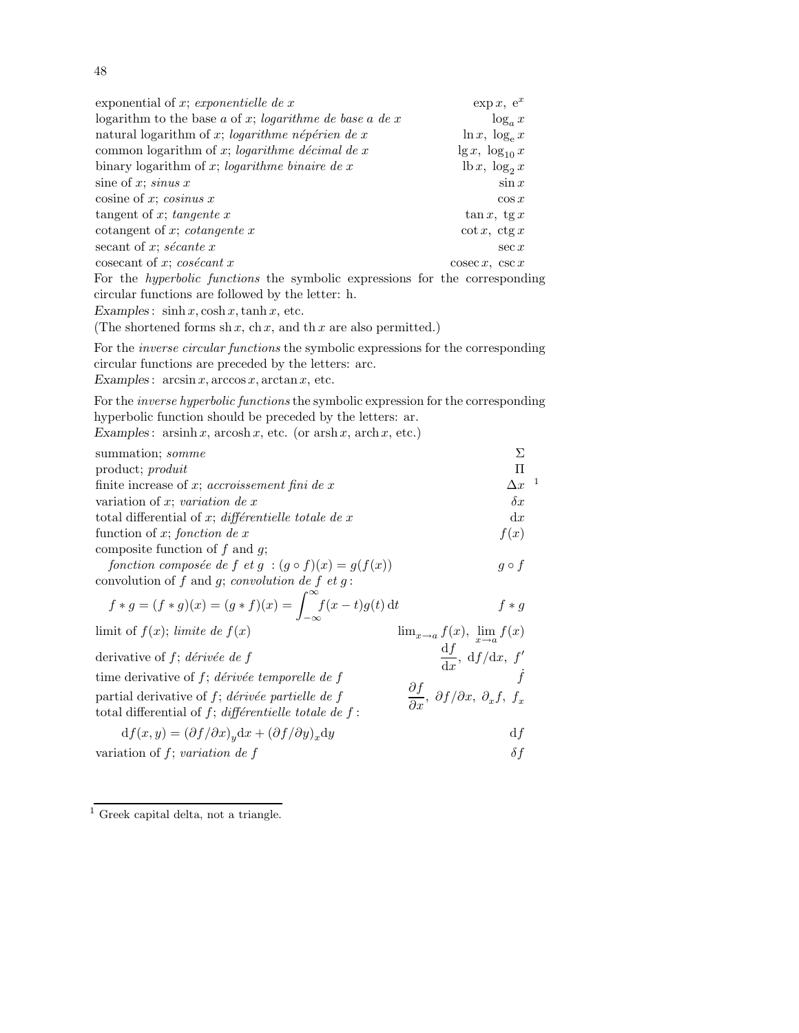| exponential of $x$ ; exponentialle de $x$                                          | $\exp x, e^x$           |
|------------------------------------------------------------------------------------|-------------------------|
| logarithm to the base $a$ of $x$ ; logarithme de base $a$ de $x$                   | $\log_a x$              |
| natural logarithm of x; logarithme népérien de x                                   | $\ln x$ , $\log_e x$    |
| common logarithm of $x$ ; <i>logarithme</i> décimal de $x$                         | $\lg x$ , $\log_{10} x$ |
| binary logarithm of $x$ ; <i>logarithme</i> binaire de $x$                         | $\ln x$ , $\log_2 x$    |
| sine of $x$ ; sinus $x$                                                            | $\sin x$                |
| cosine of x; cosinus x                                                             | $\cos x$                |
| tangent of x; tangente x                                                           | $\tan x, \text{tg } x$  |
| cotangent of x; cotangente x                                                       | $\cot x$ , $\ctg x$     |
| secant of $x$ ; sécante $x$                                                        | $\sec x$                |
| cosecant of $x$ ; cosécant $x$                                                     | $\csc x$ , $\csc x$     |
| For the <i>hyperbolic functions</i> the symbolic expressions for the corresponding |                         |

circular functions are followed by the letter: h.

Examples:  $\sinh x$ ,  $\cosh x$ ,  $\tanh x$ , etc.

(The shortened forms  $\sin x$ ,  $\sin x$ , and  $\sin x$  are also permitted.)

For the inverse circular functions the symbolic expressions for the corresponding circular functions are preceded by the letters: arc.

Examples:  $\arcsin x$ ,  $\arccos x$ ,  $\arctan x$ , etc.

For the inverse hyperbolic functions the symbolic expression for the corresponding hyperbolic function should be preceded by the letters: ar.

Examples:  $\operatorname{arsinh} x$ ,  $\operatorname{arcosh} x$ ,  $\operatorname{etc.}$  (or  $\operatorname{arsh} x$ ,  $\operatorname{arch} x$ ,  $\operatorname{etc.}$ )

| summation; <i>somme</i>                                                                                                   | Σ                                                                                                                                                                                                                                  |  |
|---------------------------------------------------------------------------------------------------------------------------|------------------------------------------------------------------------------------------------------------------------------------------------------------------------------------------------------------------------------------|--|
| product; <i>produit</i>                                                                                                   | П                                                                                                                                                                                                                                  |  |
| finite increase of $x$ ; <i>accroissement</i> fini de $x$                                                                 | $\Delta x^{-1}$                                                                                                                                                                                                                    |  |
| variation of $x$ ; variation de $x$                                                                                       | $\delta x$                                                                                                                                                                                                                         |  |
| total differential of x; différentielle totale de x                                                                       | dx                                                                                                                                                                                                                                 |  |
| function of $x$ ; fonction de $x$                                                                                         | f(x)                                                                                                                                                                                                                               |  |
| composite function of $f$ and $g$ ;                                                                                       |                                                                                                                                                                                                                                    |  |
| fonction composée de f et $g:(g\circ f)(x)=g(f(x))$                                                                       | $g \circ f$                                                                                                                                                                                                                        |  |
| convolution of $f$ and $g$ ; convolution de $f$ et $g$ :                                                                  |                                                                                                                                                                                                                                    |  |
| $f * g = (f * g)(x) = (g * f)(x) = \int_{-\infty}^{\infty} f(x - t)g(t) dt$                                               | $f * g$                                                                                                                                                                                                                            |  |
| limit of $f(x)$ ; limite de $f(x)$                                                                                        |                                                                                                                                                                                                                                    |  |
| derivative of $f$ ; dérivée de $f$                                                                                        |                                                                                                                                                                                                                                    |  |
| time derivative of $f$ ; dérivée temporelle de $f$                                                                        |                                                                                                                                                                                                                                    |  |
| partial derivative of $f$ ; <i>dérivée partielle de</i> $f$<br>total differential of $f$ ; différentielle totale de $f$ : | $\begin{aligned} \lim_{x\rightarrow a}f(x),\ \lim_{x\rightarrow a}f(x)\\ \frac{\mathrm{d}f}{\mathrm{d}x},\ \mathrm{d}f/\mathrm{d}x,\ f'\\ \frac{\partial f}{\partial x},\ \partial f/\partial x,\ \partial_xf,\ f_x \end{aligned}$ |  |
| $df(x, y) = (\partial f/\partial x)_y dx + (\partial f/\partial y)_x dy$                                                  | d f                                                                                                                                                                                                                                |  |
| variation of $f$ ; variation de $f$                                                                                       |                                                                                                                                                                                                                                    |  |

<sup>1</sup> Greek capital delta, not a triangle.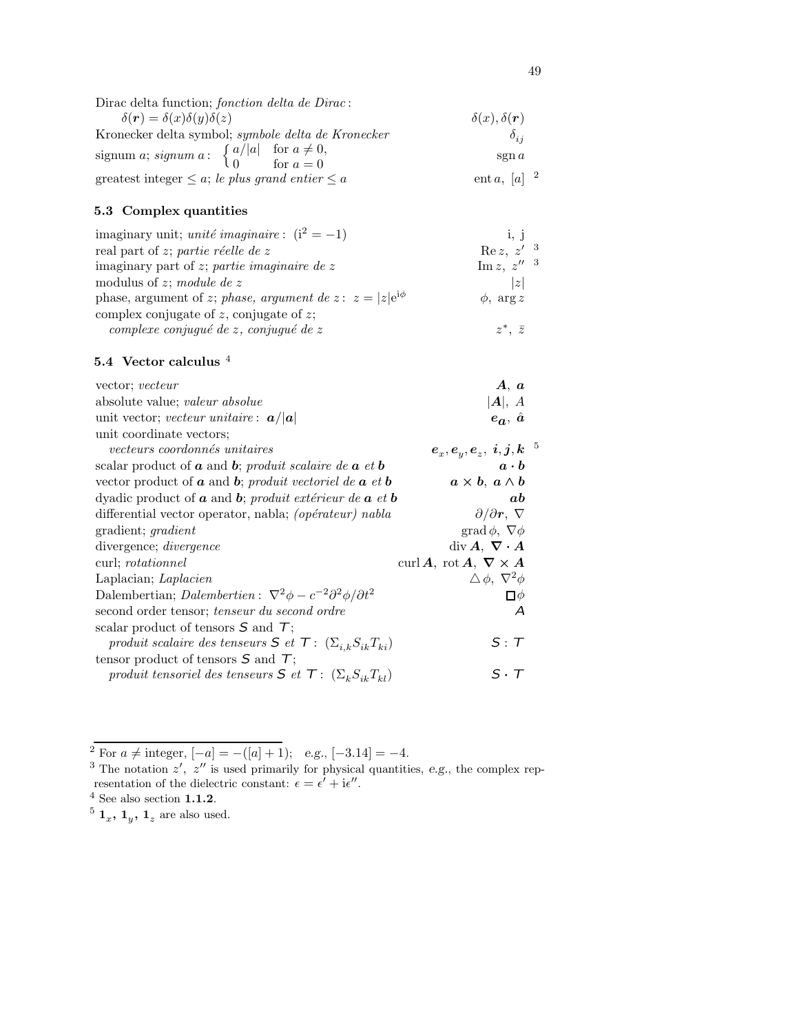| Dirac delta function; <i>fonction delta de Dirac</i> :                                                                 |                        |  |
|------------------------------------------------------------------------------------------------------------------------|------------------------|--|
| $\delta(\mathbf{r}) = \delta(x)\delta(y)\delta(z)$                                                                     | $\delta(x), \delta(r)$ |  |
| Kronecker delta symbol; symbole delta de Kronecker                                                                     | $\delta_{ij}$          |  |
| signum <i>a</i> ; signum <i>a</i> : $\begin{cases} a/ a  & \text{for } a \neq 0, \\ 0 & \text{for } a = 0 \end{cases}$ | sgn a                  |  |
| greatest integer $\leq a$ ; le plus grand entier $\leq a$                                                              | ent a, [a] $^2$        |  |

# 5.3 Complex quantities

| imaginary unit; unité imaginaire : $(i^2 = -1)$                | i, j                                    |
|----------------------------------------------------------------|-----------------------------------------|
| real part of z; partie réelle de z                             | $\operatorname{Re} z, z'$ <sup>3</sup>  |
| imaginary part of $z$ ; partie imaginaire de $z$               | $\operatorname{Im} z, z''$ <sup>3</sup> |
| modulus of $z$ ; module de $z$                                 | z                                       |
| phase, argument of z; phase, argument de z: $z =  z e^{i\phi}$ | $\phi$ , arg z                          |
| complex conjugate of $z$ , conjugate of $z$ ;                  |                                         |
| complexe conjugué de z, conjugué de z                          | $z^*, \bar{z}$                          |

#### 5.4 Vector calculus <sup>4</sup>

| vector; <i>vecteur</i>                                                                                              | $\bm{A},~\bm{a}$                                                     |
|---------------------------------------------------------------------------------------------------------------------|----------------------------------------------------------------------|
| absolute value; <i>valeur</i> absolue                                                                               | $ \boldsymbol{A} ,~A$                                                |
| unit vector; vecteur unitaire : $a/ a $                                                                             | $e_a, a$                                                             |
| unit coordinate vectors:                                                                                            |                                                                      |
| <i>vecteurs coordonnés unitaires</i>                                                                                | $\bm{e}_{x}, \bm{e}_{y}, \bm{e}_{z}, \; \bm{i}, \bm{j}, \bm{k}^{-5}$ |
| scalar product of $\boldsymbol{a}$ and $\boldsymbol{b}$ ; produit scalaire de $\boldsymbol{a}$ et $\boldsymbol{b}$  | $a \cdot b$                                                          |
| vector product of $\boldsymbol{a}$ and $\boldsymbol{b}$ ; produit vectoriel de $\boldsymbol{a}$ et $\boldsymbol{b}$ | $a \times b$ , $a \wedge b$                                          |
| dyadic product of $\boldsymbol{a}$ and $\boldsymbol{b}$ ; produit extérieur de $\boldsymbol{a}$ et $\boldsymbol{b}$ | ab                                                                   |
| differential vector operator, nabla; (opérateur) nabla                                                              | $\partial/\partial r, \nabla$                                        |
| gradient; <i>gradient</i>                                                                                           | $\text{grad}\,\phi, \nabla\phi$                                      |
| divergence; divergence                                                                                              | $\mathrm{div}\,A, \; \nabla \cdot A$                                 |
| curl; <i>rotationnel</i>                                                                                            | curl <b>A</b> , rot <b>A</b> , $\nabla \times A$                     |
| Laplacian; Laplacien                                                                                                | $\triangle \phi$ , $\nabla^2 \phi$                                   |
| Dalembertian; Dalembertien: $\nabla^2 \phi - c^{-2} \partial^2 \phi / \partial t^2$                                 | $\Box \phi$                                                          |
| second order tensor; tenseur du second ordre                                                                        | A                                                                    |
| scalar product of tensors $S$ and $T$ ;                                                                             |                                                                      |
| produit scalaire des tenseurs $S$ et $T: (\Sigma_{i,k} S_{ik} T_{ki})$                                              | $S: \mathcal{T}$                                                     |
| tensor product of tensors $S$ and $T$ ;                                                                             |                                                                      |
| produit tensoriel des tenseurs $S$ et $T: (\Sigma_k S_{ik} T_{kl})$                                                 | $\mathsf{S} \cdot \mathsf{T}$                                        |

 $2^{2}$  For  $a \neq$  integer,  $[-a] = -([a] + 1);$  e.g.,  $[-3.14] = -4.$ 

<sup>3</sup> The notation  $z'$ ,  $z''$  is used primarily for physical quantities, e.g., the complex representation of the dielectric constant:  $\epsilon = \epsilon' + i\epsilon''$ .

 $4$  See also section 1.1.2.

 $^{5}$   $\mathbf{1}_{x}$ ,  $\mathbf{1}_{y}$ ,  $\mathbf{1}_{z}$  are also used.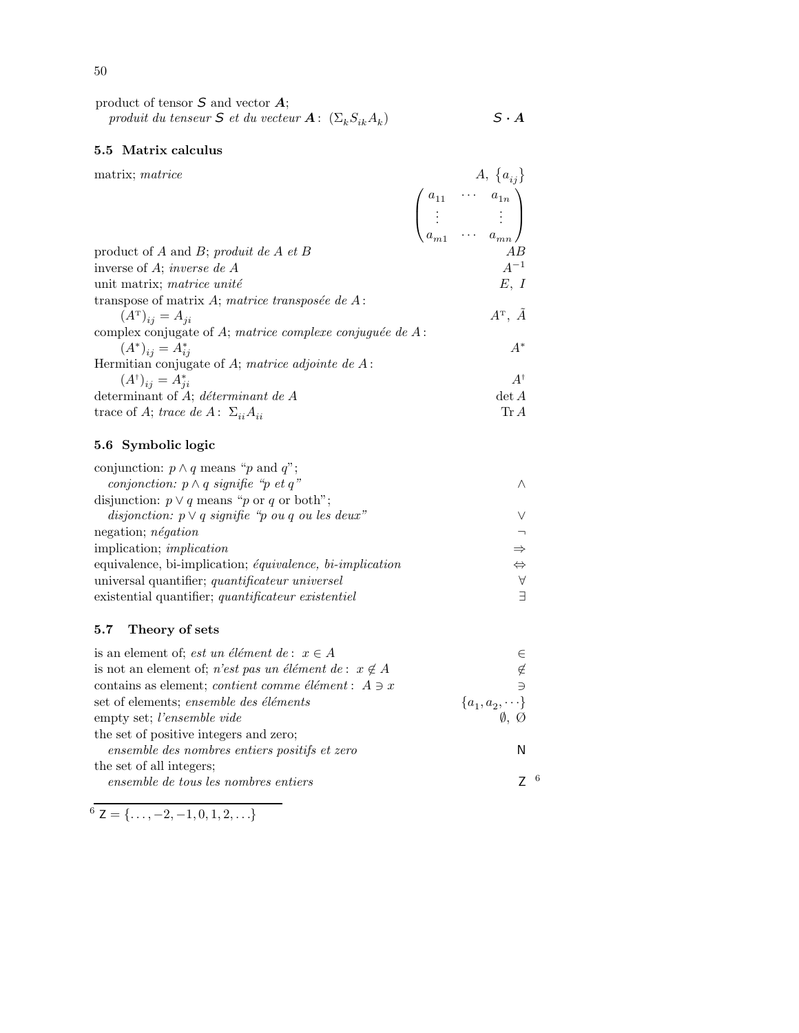| product of tensor $S$ and vector $A$ ;                          |             |
|-----------------------------------------------------------------|-------------|
| produit du tenseur $S$ et du vecteur $A: (\Sigma_k S_{ik} A_k)$ | $S \cdot A$ |

 $\setminus$ 

 $\Big\}$ 

## 5.5 Matrix calculus

matrix; matrice  $A, \{a_{ij}\}$  $\sqrt{ }$  $\overline{ }$  $a_{11} \cdots a_{1n}$ <br>: :  $a_{m1} \cdots a_{mn}$ product of A and B; produit de A et B<br>inverse of A: inverse de A  $A^{-1}$ inverse of  $A$ ; inverse de  $A$ unit matrix; matrice unité  $E, I$ transpose of matrix  $A$ ; matrice transposée de  $A$ :  $(A^{\mathrm{T}})_{ij} = A_{ji}$   $A^{\mathrm{T}}$  $A^{\mathrm{r}}, \tilde{A}$ complex conjugate of  $A$ ; matrice complexe conjuguée de  $A$ :  $(A^*)_{ij} = A^*_{ij}$   $A^*$ Hermitian conjugate of  $A$ ; matrice adjointe de  $A$ :  $(A^{\dagger})_{ij} = A^*_{ji}$   $A^{\dagger}$ determinant of  $A$ ; *déterminant de A* det  $A$ trace of A; trace de A :  $\Sigma_{ii} A_{ii}$  Tr A

# 5.6 Symbolic logic

| conjunction: $p \wedge q$ means "p and q";                |   |
|-----------------------------------------------------------|---|
| conjonction: $p \wedge q$ signifie "p et q"               |   |
| disjunction: $p \vee q$ means "p or q or both";           |   |
| disjonction: $p \vee q$ signifie "p ou q ou les deux"     |   |
| negation; $n\not{\in}qation$                              |   |
| implication; <i>implication</i>                           |   |
| equivalence, bi-implication; équivalence, bi-implication  | ⇔ |
| universal quantifier; <i>quantificateur</i> universel     | Α |
| existential quantifier; <i>quantificateur</i> existentiel |   |
|                                                           |   |

#### 5.7 Theory of sets

| is an element of; est un élément de : $x \in A$                |                           |
|----------------------------------------------------------------|---------------------------|
| is not an element of; n'est pas un élément de : $x \notin A$   | ∉                         |
| contains as element; <i>contient comme élément</i> : $A \ni x$ | $\Rightarrow$             |
| set of elements; ensemble des éléments                         | $\{a_1, a_2, \cdots\}$    |
| empty set; l'ensemble vide                                     | $\emptyset$ , $\emptyset$ |
| the set of positive integers and zero;                         |                           |
| ensemble des nombres entiers positifs et zero                  |                           |
| the set of all integers;                                       |                           |
| ensemble de tous les nombres entiers                           | - 6                       |

 $\overline{6}$  Z = {..., -2, -1, 0, 1, 2, ...}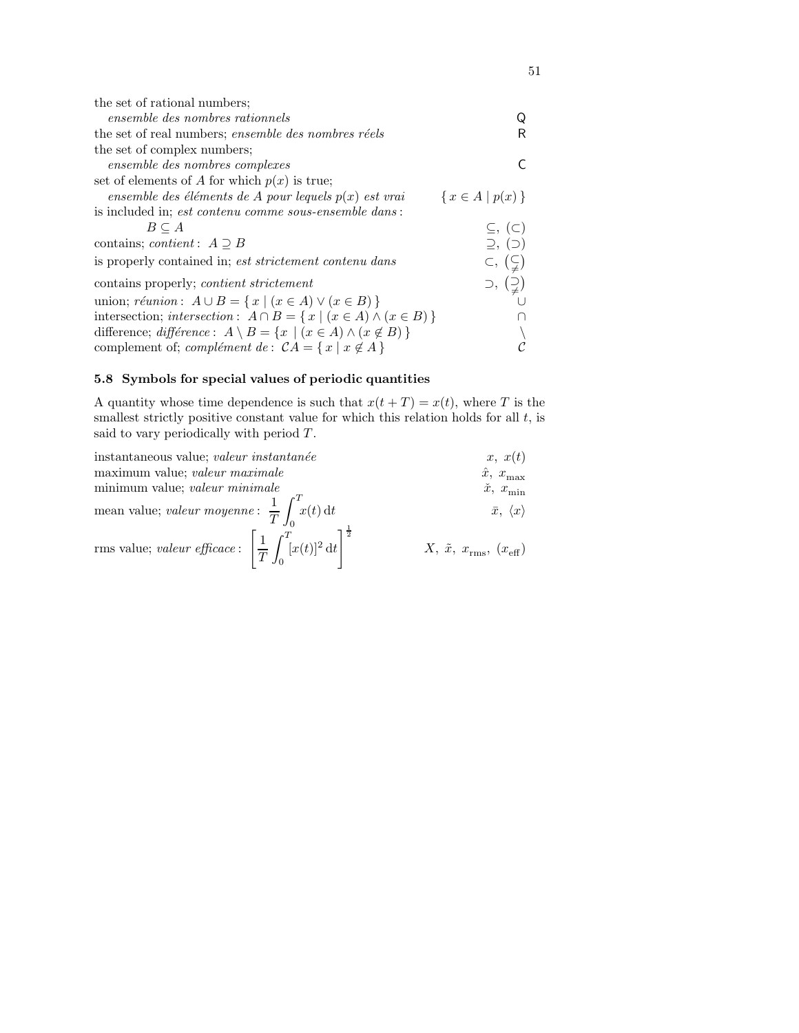| the set of rational numbers;                                                        |                                       |
|-------------------------------------------------------------------------------------|---------------------------------------|
| ensemble des nombres rationnels                                                     |                                       |
| the set of real numbers; ensemble des nombres réels                                 |                                       |
| the set of complex numbers;                                                         |                                       |
| ensemble des nombres complexes                                                      |                                       |
| set of elements of A for which $p(x)$ is true;                                      |                                       |
| ensemble des éléments de $A$ pour lequels $p(x)$ est vrai                           | $\{x \in A \mid p(x)\}\$              |
| is included in; est contenu comme sous-ensemble dans:                               |                                       |
| $B\subseteq A$                                                                      | $\subseteq, (\subset)$                |
| contains; <i>contient</i> : $A \supseteq B$                                         | $\supseteq$ , ( $\supset$ )           |
| is properly contained in; est strictement contenu dans                              | $\subset, (\subsetneqq)$              |
| contains properly; <i>contient strictement</i>                                      | $\supset, \bigoplus_{\neq \emptyset}$ |
| union; réunion: $A \cup B = \{x \mid (x \in A) \vee (x \in B)\}\$                   |                                       |
| intersection; intersection: $A \cap B = \{x \mid (x \in A) \land (x \in B)\}\$      |                                       |
| difference; $diff\acute{e}$ $nce: A \ B = \{x \mid (x \in A) \land (x \notin B)\}\$ |                                       |
| complement of; complément de : $CA = \{x \mid x \notin A\}$                         |                                       |

## 5.8 Symbols for special values of periodic quantities

A quantity whose time dependence is such that  $x(t + T) = x(t)$ , where T is the smallest strictly positive constant value for which this relation holds for all  $t$ , is said to vary periodically with period  $T$ .

| instantaneous value; valeur instantanée                                                   | x, x(t)                                          |
|-------------------------------------------------------------------------------------------|--------------------------------------------------|
| maximum value; <i>valeur</i> maximale                                                     | $\hat{x}, x_{\text{max}}$                        |
| minimum value; <i>valeur minimale</i>                                                     | $\check{x}, x_{\min}$                            |
| mean value; <i>valeur moyenne</i> : $\frac{1}{T}\int_{0}^{T}x(t) dt$                      | $\bar{x}, \langle x \rangle$                     |
| rms value; valeur efficace : $\left[\frac{1}{T}\int_0^T [x(t)]^2 dt\right]^{\frac{1}{2}}$ | $X, \tilde{x}, x_{\text{rms}}, (x_{\text{eff}})$ |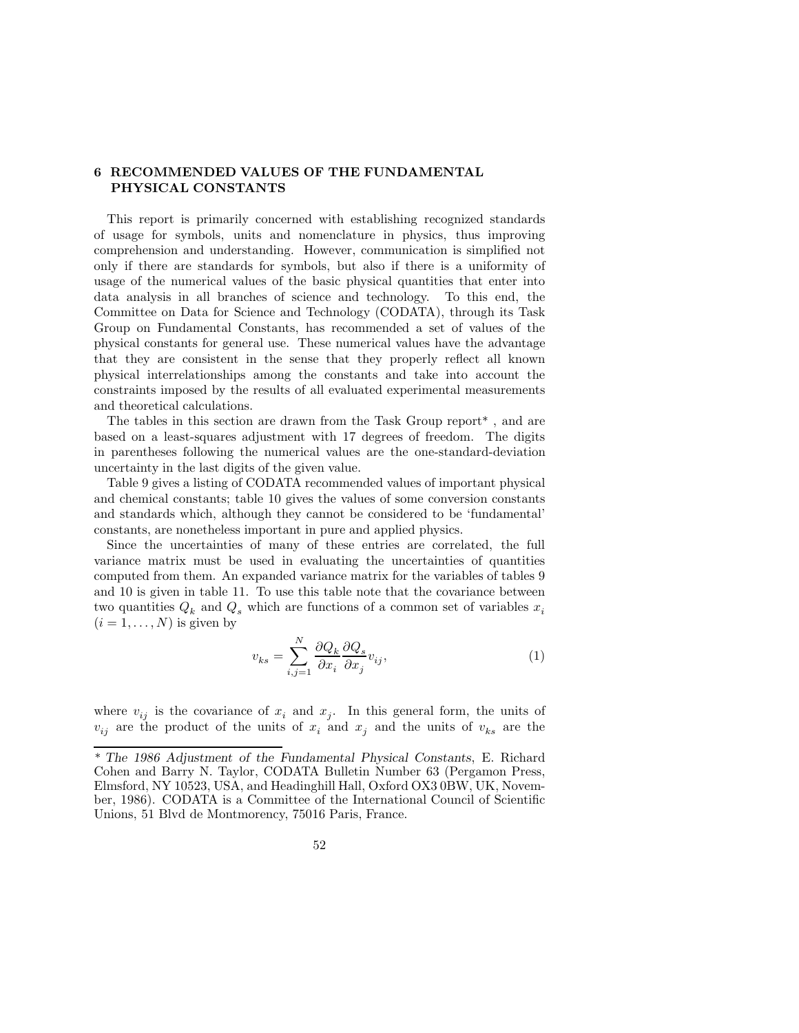#### 6 RECOMMENDED VALUES OF THE FUNDAMENTAL PHYSICAL CONSTANTS

This report is primarily concerned with establishing recognized standards of usage for symbols, units and nomenclature in physics, thus improving comprehension and understanding. However, communication is simplified not only if there are standards for symbols, but also if there is a uniformity of usage of the numerical values of the basic physical quantities that enter into data analysis in all branches of science and technology. To this end, the Committee on Data for Science and Technology (CODATA), through its Task Group on Fundamental Constants, has recommended a set of values of the physical constants for general use. These numerical values have the advantage that they are consistent in the sense that they properly reflect all known physical interrelationships among the constants and take into account the constraints imposed by the results of all evaluated experimental measurements and theoretical calculations.

The tables in this section are drawn from the Task Group report\* , and are based on a least-squares adjustment with 17 degrees of freedom. The digits in parentheses following the numerical values are the one-standard-deviation uncertainty in the last digits of the given value.

Table 9 gives a listing of CODATA recommended values of important physical and chemical constants; table 10 gives the values of some conversion constants and standards which, although they cannot be considered to be 'fundamental' constants, are nonetheless important in pure and applied physics.

Since the uncertainties of many of these entries are correlated, the full variance matrix must be used in evaluating the uncertainties of quantities computed from them. An expanded variance matrix for the variables of tables 9 and 10 is given in table 11. To use this table note that the covariance between two quantities  $Q_k$  and  $Q_s$  which are functions of a common set of variables  $x_i$  $(i = 1, \ldots, N)$  is given by

$$
v_{ks} = \sum_{i,j=1}^{N} \frac{\partial Q_k}{\partial x_i} \frac{\partial Q_s}{\partial x_j} v_{ij},\tag{1}
$$

where  $v_{ij}$  is the covariance of  $x_i$  and  $x_j$ . In this general form, the units of  $v_{ij}$  are the product of the units of  $x_i$  and  $x_j$  and the units of  $v_{ks}$  are the

<sup>\*</sup> The 1986 Adjustment of the Fundamental Physical Constants, E. Richard Cohen and Barry N. Taylor, CODATA Bulletin Number 63 (Pergamon Press, Elmsford, NY 10523, USA, and Headinghill Hall, Oxford OX3 0BW, UK, November, 1986). CODATA is a Committee of the International Council of Scientific Unions, 51 Blvd de Montmorency, 75016 Paris, France.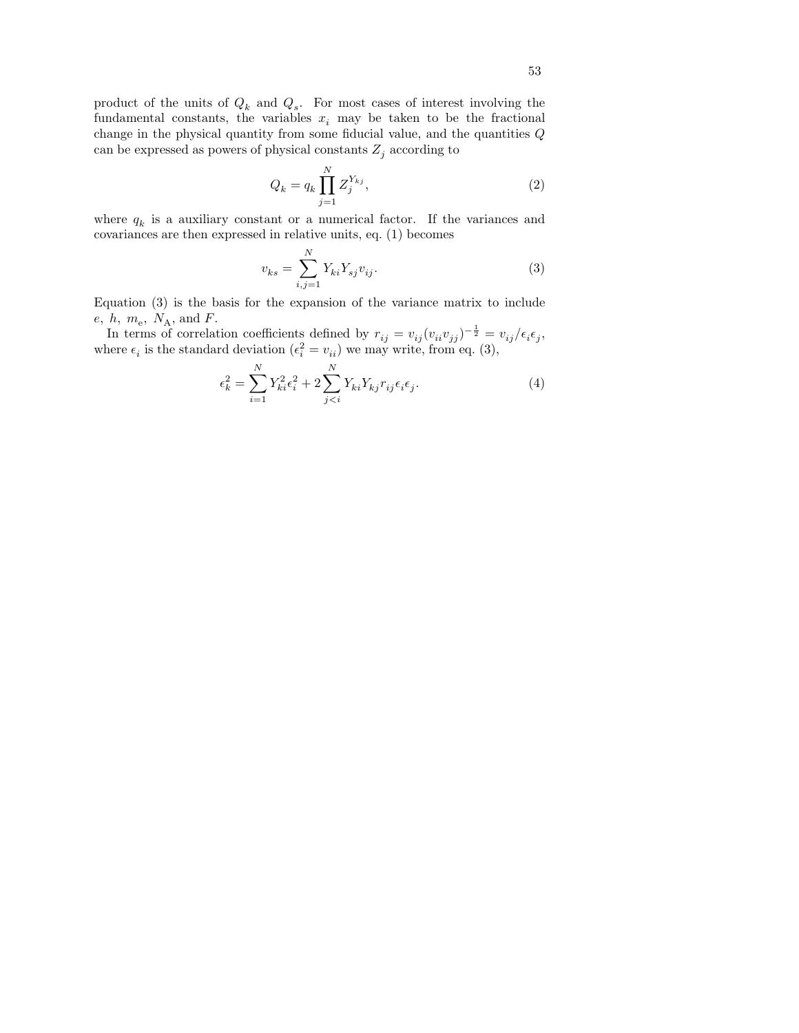product of the units of  $Q_k$  and  $Q_s$ . For most cases of interest involving the fundamental constants, the variables  $x_i$  may be taken to be the fractional change in the physical quantity from some fiducial value, and the quantities Q can be expressed as powers of physical constants  $Z_j$  according to

$$
Q_k = q_k \prod_{j=1}^{N} Z_j^{Y_{kj}},
$$
\n(2)

where  $q_k$  is a auxiliary constant or a numerical factor. If the variances and covariances are then expressed in relative units, eq. (1) becomes

$$
v_{ks} = \sum_{i,j=1}^{N} Y_{ki} Y_{sj} v_{ij}.
$$
 (3)

Equation (3) is the basis for the expansion of the variance matrix to include  $e, h, m_e, N_A$ , and F.

In terms of correlation coefficients defined by  $r_{ij} = v_{ij} (v_{ii} v_{jj})^{-\frac{1}{2}} = v_{ij}/\epsilon_i \epsilon_j$ , where  $\epsilon_i$  is the standard deviation  $(\epsilon_i^2 = v_{ii})$  we may write, from eq. (3),

$$
\epsilon_k^2 = \sum_{i=1}^N Y_{ki}^2 \epsilon_i^2 + 2 \sum_{j (4)
$$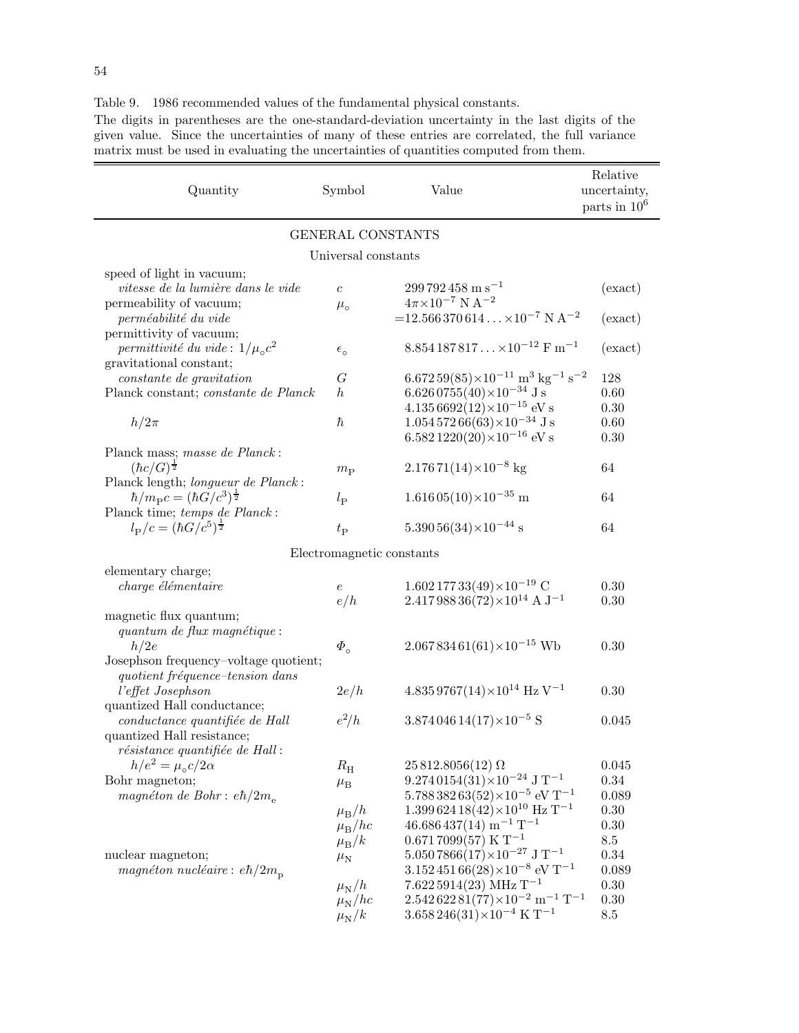| Quantity                                         | Symbol                                 | Value                                                                                                     | Relative<br>uncertainty,<br>parts in $10^6$ |
|--------------------------------------------------|----------------------------------------|-----------------------------------------------------------------------------------------------------------|---------------------------------------------|
|                                                  | <b>GENERAL CONSTANTS</b>               |                                                                                                           |                                             |
|                                                  | Universal constants                    |                                                                                                           |                                             |
| speed of light in vacuum;                        |                                        |                                                                                                           |                                             |
| vitesse de la lumière dans le vide               | $\boldsymbol{c}$                       | $299792458 \,\mathrm{m\,s^{-1}}$                                                                          | (exact)                                     |
| permeability of vacuum;                          | $\mu_{\circ}$                          | $4\pi{\times}10^{-7}$ N $\mathrm{A}^{-2}$                                                                 |                                             |
| perméabilité du vide                             |                                        | $=$ 12.566370614 $\times$ 10 <sup>-7</sup> N A <sup>-2</sup>                                              | (exact)                                     |
| permittivity of vacuum;                          |                                        |                                                                                                           |                                             |
| permittivité du vide : $1/\mu_{\circ}c^2$        | $\epsilon_{\circ}$                     | $8.854187817 \times 10^{-12}$ F m <sup>-1</sup>                                                           | (exact)                                     |
| gravitational constant;                          |                                        |                                                                                                           |                                             |
| constante de gravitation                         | G                                      | $6.67259(85)\times10^{-11}$ m <sup>3</sup> kg <sup>-1</sup> s <sup>-2</sup>                               | 128                                         |
| Planck constant; constante de Planck             | $\boldsymbol{h}$                       | $6.6260755(40)\times10^{-34}$ J s                                                                         | 0.60                                        |
|                                                  |                                        | $4.1356692(12)\times10^{-15}$ eV s                                                                        | 0.30                                        |
| $h/2\pi$                                         | $\hbar$                                | $1.05457266(63)\times10^{-34}$ J s<br>$6.5821220(20)\times10^{-16}$ eV s                                  | 0.60                                        |
| Planck mass; masse de Planck:                    |                                        |                                                                                                           | 0.30                                        |
| $(\hbar c/G)^{\frac{1}{2}}$                      | $m_{\rm P}$                            | $2.17671(14)\times10^{-8}$ kg                                                                             | 64                                          |
| Planck length; longueur de Planck:               |                                        |                                                                                                           |                                             |
| $\hbar/m_{\rm P}c = (\hbar G/c^3)^{\frac{1}{2}}$ | $l_{\rm P}$                            | $1.61605(10)\times10^{-35}$ m                                                                             | 64                                          |
| Planck time; temps de Planck:                    |                                        |                                                                                                           |                                             |
| $l_{\rm P}/c = (\hbar G/c^5)^{\frac{1}{2}}$      | $t_{\rm P}$                            | $5.39056(34)\times10^{-44}$ s                                                                             | 64                                          |
|                                                  |                                        |                                                                                                           |                                             |
|                                                  | Electromagnetic constants              |                                                                                                           |                                             |
| elementary charge;                               |                                        |                                                                                                           |                                             |
| charge élémentaire                               | $\boldsymbol{e}$<br>e/h                | $1.60217733(49)\times10^{-19}$ C<br>$2.41798836(72)\times10^{14}$ A J <sup>-1</sup>                       | 0.30<br>0.30                                |
| magnetic flux quantum;                           |                                        |                                                                                                           |                                             |
| quantum de flux magnétique :                     |                                        |                                                                                                           |                                             |
| h/2e                                             | $\Phi_{\circ}$                         | $2.06783461(61)\times10^{-15}$ Wb                                                                         | 0.30                                        |
| Josephson frequency-voltage quotient;            |                                        |                                                                                                           |                                             |
| quotient fréquence-tension dans                  |                                        |                                                                                                           |                                             |
| l'effet Josephson                                | 2e/h                                   | $4.8359767(14)\times10^{14}$ Hz V <sup>-1</sup>                                                           | 0.30                                        |
| quantized Hall conductance;                      |                                        |                                                                                                           |                                             |
| conductance quantifiée de Hall                   | $e^2/h$                                | $3.87404614(17)\times10^{-5}$ S                                                                           | 0.045                                       |
| quantized Hall resistance;                       |                                        |                                                                                                           |                                             |
| résistance quantifiée de Hall:                   |                                        |                                                                                                           |                                             |
| $h/e^2 = \mu_{\rm o} c/2\alpha$                  | $R_{\rm H}$                            | $25812.8056(12)$ $\Omega$                                                                                 | 0.045                                       |
| Bohr magneton;                                   | $\mu_{\rm B}$                          | $9.274\,0154(31){\times}10^{-24}$ J $\rm T^{-1}$                                                          | 0.34                                        |
| magnéton de Bohr: $e\hbar/2m_e$                  |                                        | $5.788\,382\,63(52){\times}10^{-5}~\mathrm{eV}~\mathrm{T}^{-1}$                                           | 0.089                                       |
|                                                  | $\mu_{\rm B}/h$                        | $1.399\,624\,18(42){\times}10^{10}~\mathrm{Hz}~\mathrm{T}^{-1}$                                           | $0.30\,$                                    |
|                                                  | $\mu_{\rm B}/hc$                       | $46.686437(14) \text{ m}^{-1} \text{ T}^{-1}$                                                             | 0.30                                        |
|                                                  | $\mu_{\rm B}/k$                        | $0.6717099(57)$ K T <sup>-1</sup>                                                                         | 8.5                                         |
| nuclear magneton;                                | $\mu_{\rm N}$                          | $5.0507866(17)\times10^{-27}$ J T <sup>-1</sup>                                                           | $0.34\,$                                    |
| magnéton nucléaire : $e\hbar/2m_{\rm p}$         |                                        | $3.152\,451\,66(28){\times}10^{-8}~\text{eV}~\text{T}^{-1}$                                               | 0.089<br>0.30                               |
|                                                  | $\mu_\mathrm{N}/h$<br>$\mu_{\rm N}/hc$ | $7.6225914(23) \text{ MHz T}^{-1}$<br>$2.542\,622\,81(77){\times}10^{-2}~\mathrm{m}^{-1}~\mathrm{T}^{-1}$ | 0.30                                        |
|                                                  |                                        |                                                                                                           |                                             |

Table 9. 1986 recommended values of the fundamental physical constants.

The digits in parentheses are the one-standard-deviation uncertainty in the last digits of the given value. Since the uncertainties of many of these entries are correlated, the full variance matrix must be used in evaluating the uncertainties of quantities computed from them.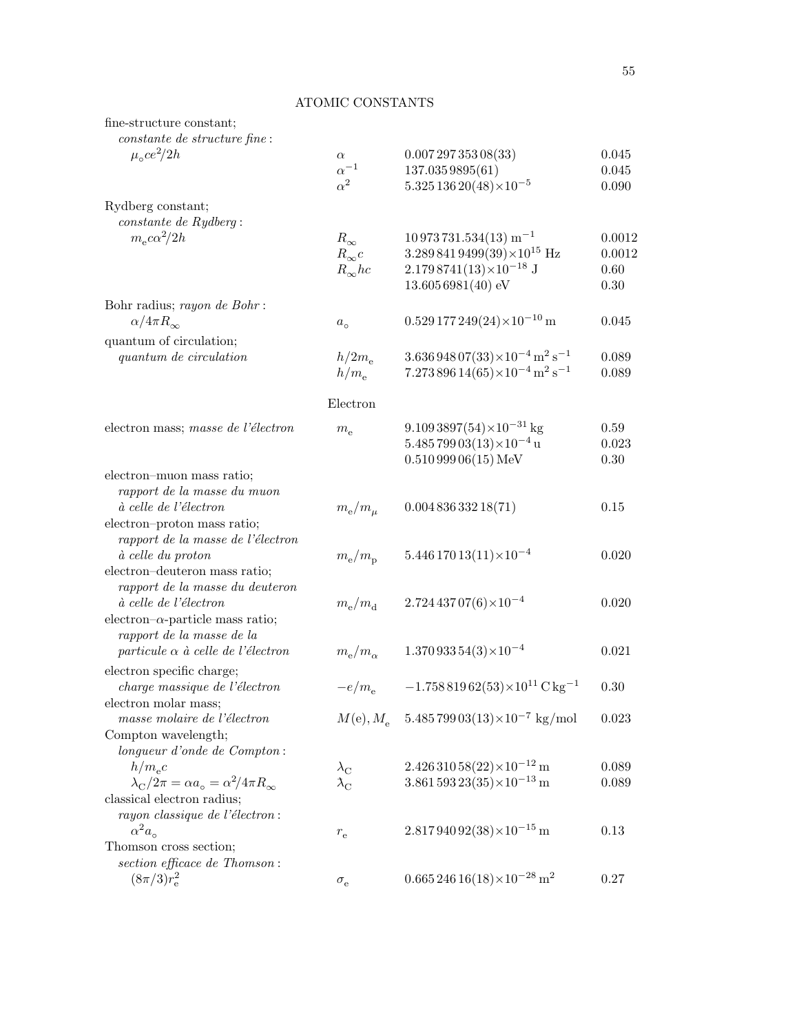# ATOMIC CONSTANTS

| fine-structure constant;<br>constante de structure fine :<br>$\mu_0 c e^2/2h$ | $\alpha$<br>$\alpha^{-1}$ | 0.00729735308(33)<br>137.0359895(61)                         | 0.045<br>$0.045\,$ |
|-------------------------------------------------------------------------------|---------------------------|--------------------------------------------------------------|--------------------|
|                                                                               | $\alpha^2$                | $5.32513620(48)\times10^{-5}$                                | 0.090              |
| Rydberg constant;                                                             |                           |                                                              |                    |
| $constante$ de $Rydberg$ :                                                    |                           |                                                              |                    |
| $m_{\rm e}c\alpha^2/2h$                                                       | $R_{\infty}$              | $10973731.534(13) m^{-1}$                                    | 0.0012             |
|                                                                               | $R_{\infty}c$             | $3.2898419499(39)\times10^{15}$ Hz                           | 0.0012             |
|                                                                               | $R_{\infty}$ <i>hc</i>    | $2.1798741(13)\times10^{-18}$ J                              | 0.60               |
|                                                                               |                           | $13.6056981(40)$ eV                                          | 0.30               |
| Bohr radius; rayon de Bohr :                                                  |                           |                                                              |                    |
| $\alpha/4\pi R_{\infty}$                                                      | $a_{\circ}$               | $0.529177249(24)\times10^{-10}$ m                            | 0.045              |
| quantum of circulation;                                                       |                           |                                                              |                    |
| quantum de circulation                                                        | $h/2m_e$                  | $3.63694807(33)\times10^{-4}$ m <sup>2</sup> s <sup>-1</sup> | 0.089              |
|                                                                               | $h/m_e$                   | $7.27389614(65)\times10^{-4}$ m <sup>2</sup> s <sup>-1</sup> | 0.089              |
|                                                                               | Electron                  |                                                              |                    |
| electron mass; masse de l'électron                                            | $m_e$                     | $9.1093897(54)\times10^{-31}$ kg                             | $0.59\,$           |
|                                                                               |                           | $5.48579903(13)\times10^{-4}$ u                              | 0.023              |
|                                                                               |                           | $0.51099906(15)$ MeV                                         | 0.30               |
| electron-muon mass ratio;                                                     |                           |                                                              |                    |
| rapport de la masse du muon                                                   |                           |                                                              |                    |
| à celle de l'électron                                                         | $m_{\rm e}/m_{\rm \mu}$   | 0.00483633218(71)                                            | 0.15               |
| electron-proton mass ratio;                                                   |                           |                                                              |                    |
| rapport de la masse de l'électron                                             |                           |                                                              |                    |
| à celle du proton                                                             | $m_{\rm e}/m_{\rm p}$     | $5.44617013(11)\times10^{-4}$                                | 0.020              |
| electron-deuteron mass ratio;                                                 |                           |                                                              |                    |
| rapport de la masse du deuteron<br>à celle de l'électron                      |                           | $2.72443707(6)\times10^{-4}$                                 | 0.020              |
| electron- $\alpha$ -particle mass ratio;                                      | $m_e/m_d$                 |                                                              |                    |
| rapport de la masse de la                                                     |                           |                                                              |                    |
| particule $\alpha$ à celle de l'électron                                      | $m_e/m_\alpha$            | $1.37093354(3)\times10^{-4}$                                 | 0.021              |
| electron specific charge;                                                     |                           |                                                              |                    |
| $charge\ massique\ de\ l'\acute{e}lectron$                                    | $-e/m_e$                  | $-1.75881962(53)\times10^{11}$ C kg <sup>-1</sup>            | 0.30               |
| electron molar mass;                                                          |                           |                                                              |                    |
| masse molaire de l'électron                                                   | $M(e), M_e$               | $5.48579903(13)\times10^{-7}$ kg/mol                         | 0.023              |
| Compton wavelength;                                                           |                           |                                                              |                    |
| longueur d'onde de Compton:                                                   |                           |                                                              |                    |
| $h/m_{\rm e}c$                                                                | $\lambda_{\rm C}$         | $2.42631058(22)\times10^{-12}$ m                             | 0.089              |
| $\lambda_{\rm C}/2\pi = \alpha a_{\rm o} = \alpha^2/4\pi R_{\infty}$          | $\lambda_{\rm C}$         | $3.86159323(35)\times10^{-13}$ m                             | 0.089              |
| classical electron radius;                                                    |                           |                                                              |                    |
| rayon classique de l'électron:                                                |                           |                                                              |                    |
| $\alpha^2 a_{\alpha}$                                                         | $r_{\rm e}$               | $2.81794092(38)\times10^{-15}$ m                             | 0.13               |
| Thomson cross section;                                                        |                           |                                                              |                    |
| section efficace de Thomson:                                                  |                           |                                                              |                    |
| $(8\pi/3)r_e^2$                                                               | $\sigma_{\rm e}$          | $0.66524616(18)\times10^{-28}$ m <sup>2</sup>                | 0.27               |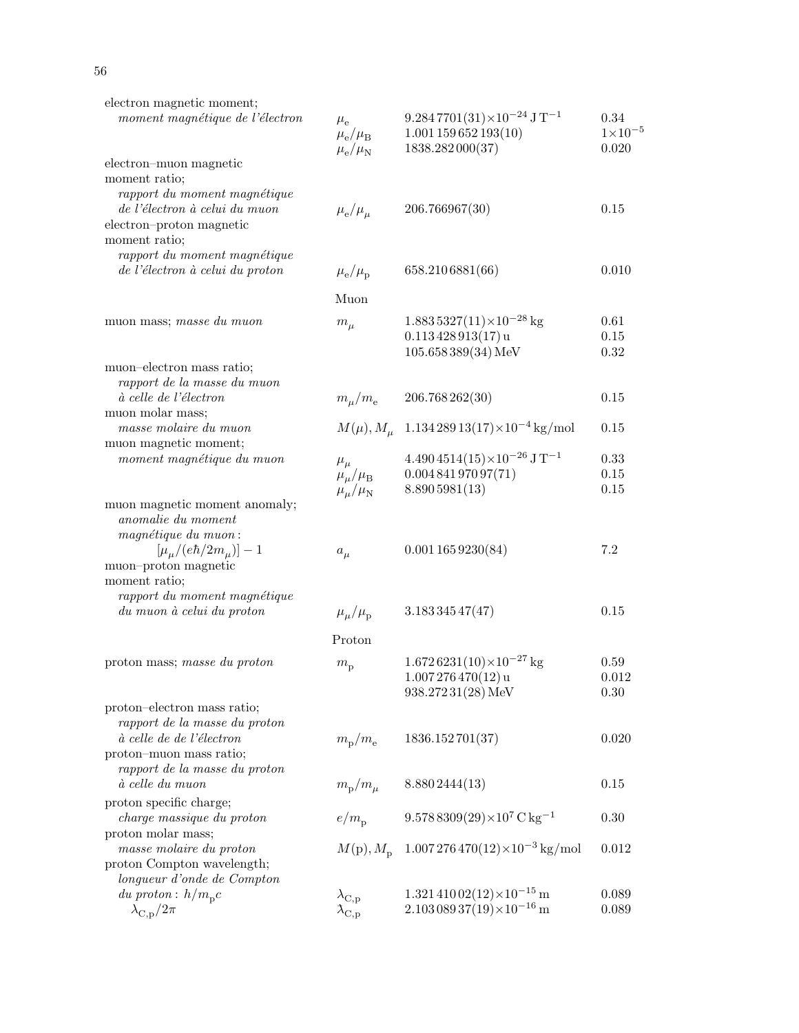| electron magnetic moment;<br>moment magnétique de l'électron                                                        | $\mu_{\rm e}$<br>$\mu_{\rm e}/\mu_{\rm B}$<br>$\mu_{\rm e}/\mu_{\rm N}$ | $9.2847701(31)\times10^{-24}$ J T <sup>-1</sup><br>1.001159652193(10)<br>1838.282000(37) | 0.34<br>$1 \times 10^{-5}$<br>0.020 |
|---------------------------------------------------------------------------------------------------------------------|-------------------------------------------------------------------------|------------------------------------------------------------------------------------------|-------------------------------------|
| electron-muon magnetic<br>moment ratio;<br>rapport du moment magnétique                                             |                                                                         |                                                                                          |                                     |
| de l'électron à celui du muon<br>electron-proton magnetic<br>moment ratio;                                          | $\mu_{\rm e}/\mu_{\mu}$                                                 | 206.766967(30)                                                                           | 0.15                                |
| rapport du moment magnétique<br>de l'électron à celui du proton                                                     | $\mu_{\rm e}/\mu_{\rm p}$                                               | 658.2106881(66)                                                                          | 0.010                               |
|                                                                                                                     | Muon                                                                    |                                                                                          |                                     |
| muon mass; masse du muon                                                                                            | $m_\mu$                                                                 | $1.8835327(11)\times10^{-28}$ kg<br>$0.113428913(17)$ u<br>$105.658389(34)$ MeV          | 0.61<br>0.15<br>$\rm 0.32$          |
| muon-electron mass ratio;<br>rapport de la masse du muon<br>à celle de l'électron                                   |                                                                         |                                                                                          | 0.15                                |
| muon molar mass;                                                                                                    | $m_\mu/m_{\rm e}$                                                       | 206.768262(30)                                                                           |                                     |
| masse molaire du muon<br>muon magnetic moment;                                                                      | $M(\mu), M_{\mu}$                                                       | $1.13428913(17)\times10^{-4}$ kg/mol                                                     | 0.15                                |
| moment magnétique du muon                                                                                           | $\mu_{\mu}$                                                             | $4.4904514(15)\times10^{-26}$ J T <sup>-1</sup>                                          | 0.33                                |
|                                                                                                                     |                                                                         | 0.00484197097(71)                                                                        | 0.15                                |
|                                                                                                                     | $\mu_\mu^2/\mu_\mathrm{B}$ $\mu_\mu/\mu_\mathrm{N}$                     | 8.8905981(13)                                                                            | 0.15                                |
| muon magnetic moment anomaly;<br>anomalie du moment<br>magnétique du muon:                                          |                                                                         |                                                                                          |                                     |
| $[\mu_\mu/(e\hbar/2m_\mu)]-1$<br>muon-proton magnetic                                                               | $a_\mu$                                                                 | 0.0011659230(84)                                                                         | 7.2                                 |
| moment ratio;<br>rapport du moment magnétique                                                                       |                                                                         |                                                                                          |                                     |
| du muon à celui du proton                                                                                           | $\mu_{\mu}/\mu_{\rm p}$                                                 | 3.18334547(47)                                                                           | 0.15                                |
|                                                                                                                     | Proton                                                                  |                                                                                          |                                     |
| proton mass; masse du proton                                                                                        | $m_{\rm p}$                                                             | $1.6726231(10)\times10^{-27}$ kg<br>$1.007276470(12)$ u<br>938.27231(28) MeV             | 0.59<br>0.012<br>0.30               |
| proton-electron mass ratio;<br>rapport de la masse du proton<br>à celle de de l'électron<br>proton-muon mass ratio; | $m_{\rm p}/m_{\rm e}$                                                   | 1836.152701(37)                                                                          | 0.020                               |
| rapport de la masse du proton<br>à celle du muon                                                                    | $m_{\rm p}/m_{\mu}$                                                     | $8.880\,2444(13)$                                                                        | 0.15                                |
| proton specific charge;                                                                                             |                                                                         |                                                                                          |                                     |
| charge massique du proton<br>proton molar mass;                                                                     | $e/m_{\rm p}$                                                           | $9.5788309(29)\times10^7$ C kg <sup>-1</sup>                                             | 0.30                                |
| masse molaire du proton<br>proton Compton wavelength;                                                               | $M(p), M_{\rm p}$                                                       | $1.007276470(12)\times10^{-3}$ kg/mol                                                    | 0.012                               |
| longueur d'onde de Compton<br>du proton: $h/m_p c$<br>$\lambda_{\rm C,p}/2\pi$                                      | $\lambda_{\rm C,p}$<br>$\lambda_{\rm C,p}^{}$                           | $1.321\,410\,02(12)\times10^{-15}\,\mathrm{m}$<br>$2.10308937(19)\times10^{-16}$ m       | 0.089<br>0.089                      |
|                                                                                                                     |                                                                         |                                                                                          |                                     |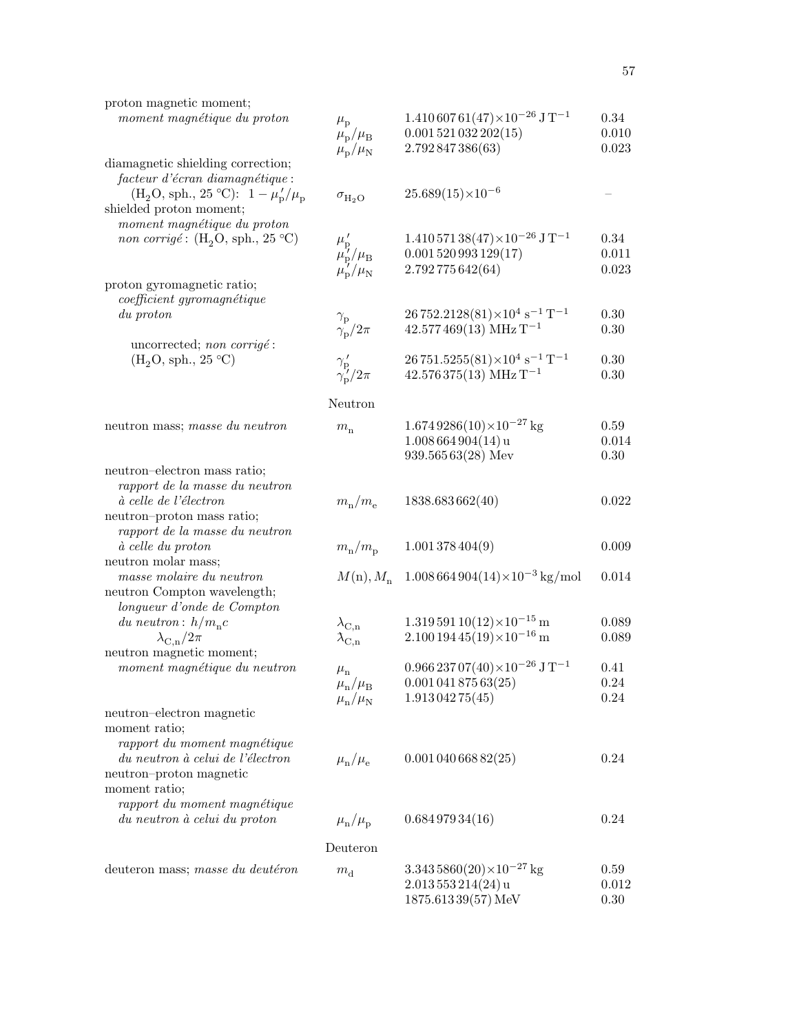| proton magnetic moment;                 |                                                                |                                                            |          |
|-----------------------------------------|----------------------------------------------------------------|------------------------------------------------------------|----------|
| moment magnétique du proton             | $\mu_{\rm p}$                                                  | $1.410\,607\,61(47)\times10^{-26}\,\mathrm{J\,T^{-1}}$     | 0.34     |
|                                         | $\mu_{\rm p}/\mu_{\rm B}$                                      | 0.001521032202(15)                                         | 0.010    |
|                                         | $\mu_{\rm p}/\mu_{\rm N}$                                      | 2.792847386(63)                                            | 0.023    |
| diamagnetic shielding correction;       |                                                                |                                                            |          |
| facteur d'écran diamagnétique :         |                                                                |                                                            |          |
| $(H_2O, sph., 25 °C): 1 - \mu'_p/\mu_p$ | $\sigma_{\text{H}_2\text{O}}$                                  | $25.689(15)\times10^{-6}$                                  |          |
| shielded proton moment;                 |                                                                |                                                            |          |
| moment magnétique du proton             |                                                                |                                                            |          |
| non corrigé : $(H_2O, sph., 25 °C)$     |                                                                | $1.41057138(47)\times10^{-26}$ J T <sup>-1</sup>           | 0.34     |
|                                         | $\mu'_{\rm p}$                                                 | 0.001520993129(17)                                         | 0.011    |
|                                         | $\mu'_{\rm p}/\mu_{\rm B}$                                     |                                                            |          |
|                                         | $\mu_{\rm p}^{\gamma}/\mu_{\rm N}$                             | 2.792775642(64)                                            | 0.023    |
| proton gyromagnetic ratio;              |                                                                |                                                            |          |
| coefficient gyromagnétique              |                                                                |                                                            |          |
| du proton                               | $\frac{\gamma_{\text{p}}}{\gamma_{\text{p}}/2\pi}$             | $26752.2128(81)\times10^4$ s <sup>-1</sup> T <sup>-1</sup> | 0.30     |
|                                         |                                                                | $42.577469(13) \text{ MHz T}^{-1}$                         | 0.30     |
| uncorrected; non corrigé :              |                                                                |                                                            |          |
| (H <sub>2</sub> O, sph., 25 °C)         | $\frac{\gamma_{\rm p}^{\prime}}{\gamma_{\rm n}^{\prime}/2\pi}$ | $26751.5255(81)\times10^4$ s <sup>-1</sup> T <sup>-1</sup> | 0.30     |
|                                         |                                                                | $42.576375(13) \text{ MHz T}^{-1}$                         | 0.30     |
|                                         |                                                                |                                                            |          |
|                                         | Neutron                                                        |                                                            |          |
| neutron mass; masse du neutron          |                                                                | $1.6749286(10)\times10^{-27}$ kg                           | 0.59     |
|                                         | $m_{\rm n}$                                                    | $1.008664904(14)$ u                                        | 0.014    |
|                                         |                                                                |                                                            | 0.30     |
|                                         |                                                                | $939.56563(28)$ Mev                                        |          |
| neutron-electron mass ratio;            |                                                                |                                                            |          |
| rapport de la masse du neutron          |                                                                |                                                            |          |
| à celle de l'électron                   | $m_{\rm n}/m_{\rm e}$                                          | 1838.683662(40)                                            | 0.022    |
| neutron-proton mass ratio;              |                                                                |                                                            |          |
| rapport de la masse du neutron          |                                                                |                                                            |          |
| à celle du proton                       | $m_{\rm n}/m_{\rm p}$                                          | 1.001378404(9)                                             | 0.009    |
| neutron molar mass;                     |                                                                |                                                            |          |
| masse molaire du neutron                | $M(n), M_n$                                                    | $1.008664904(14)\times10^{-3}$ kg/mol                      | 0.014    |
| neutron Compton wavelength;             |                                                                |                                                            |          |
| longueur d'onde de Compton              |                                                                |                                                            |          |
| <i>du</i> neutron: $h/m_p c$            | $\lambda_{\rm C,n}$                                            | $1.31959110(12)\times10^{-15}$ m                           | 0.089    |
| $\lambda_{\rm C,n}/2\pi$                | $\lambda_{\rm C,n}$                                            | $2.10019445(19)\times10^{-16}$ m                           | 0.089    |
| neutron magnetic moment;                |                                                                |                                                            |          |
| moment magnétique du neutron            | $\mu_{\rm n}$                                                  | $0.96623707(40)\times10^{-26}$ J T <sup>-1</sup>           | 0.41     |
|                                         | $\mu_{\rm n}/\mu_{\rm B}$                                      | $0.001\,041\,875\,63(25)$                                  | $0.24\,$ |
|                                         | $\mu_{\rm n}/\mu_{\rm N}$                                      | 1.91304275(45)                                             | 0.24     |
| neutron-electron magnetic               |                                                                |                                                            |          |
| moment ratio;                           |                                                                |                                                            |          |
|                                         |                                                                |                                                            |          |
| rapport du moment magnétique            |                                                                |                                                            |          |
| du neutron à celui de l'électron        | $\mu_{\rm n}/\mu_{\rm e}$                                      | $0.001\,040\,668\,82(25)$                                  | 0.24     |
| neutron-proton magnetic                 |                                                                |                                                            |          |
| moment ratio;                           |                                                                |                                                            |          |
| rapport du moment magnétique            |                                                                |                                                            |          |
| du neutron à celui du proton            | $\mu_{\rm n}/\mu_{\rm p}$                                      | 0.68497934(16)                                             | 0.24     |
|                                         |                                                                |                                                            |          |
|                                         | Deuteron                                                       |                                                            |          |
| deuteron mass; masse du deutéron        | $m_{\rm d}$                                                    | $3.3435860(20)\times10^{-27}$ kg                           | 0.59     |
|                                         |                                                                | $2.013553214(24)$ u                                        | 0.012    |
|                                         |                                                                | 1875.61339(57) MeV                                         | 0.30     |
|                                         |                                                                |                                                            |          |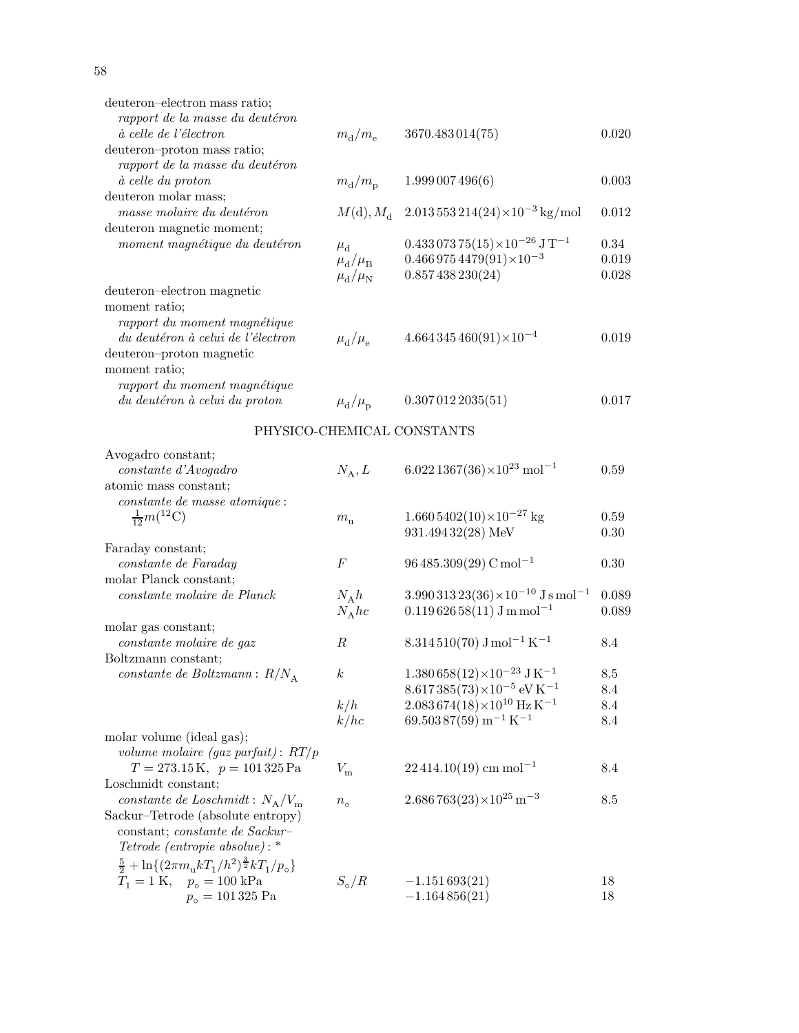| $\mu_{\rm d}/\mu_{\rm p}$                                               | 0.3070122035(51)                                                                                       | 0.017                                                                                      |
|-------------------------------------------------------------------------|--------------------------------------------------------------------------------------------------------|--------------------------------------------------------------------------------------------|
|                                                                         |                                                                                                        |                                                                                            |
| $\mu_{\rm d}/\mu_{\rm e}$                                               |                                                                                                        | 0.019                                                                                      |
| $\mu_{\rm d}$<br>$\mu_{\rm d}/\mu_{\rm B}$<br>$\mu_{\rm d}/\mu_{\rm N}$ | $0.43307375(15)\times10^{-26}$ J T <sup>-1</sup><br>$0.4669754479(91)\times10^{-3}$<br>0.857438230(24) | 0.34<br>0.019<br>0.028                                                                     |
|                                                                         |                                                                                                        | 0.012                                                                                      |
| $m_{\rm d}/m_{\rm e}$<br>$m_{\rm d}/m_{\rm p}$                          | 3670.483014(75)<br>1.999007496(6)                                                                      | 0.020<br>0.003                                                                             |
|                                                                         |                                                                                                        | $M(d)$ , $M_d$ 2.013 553 214(24) $\times 10^{-3}$ kg/mol<br>$4.664345460(91)\times10^{-4}$ |

| constanted'Avogadro                                                         | $N_A, L$              | $6.0221367(36)\times10^{23}$ mol <sup>-1</sup>       | 0.59  |
|-----------------------------------------------------------------------------|-----------------------|------------------------------------------------------|-------|
| atomic mass constant;                                                       |                       |                                                      |       |
| constante de masse atomique :                                               |                       |                                                      |       |
| $\frac{1}{12}m(^{12}C)$                                                     | $m_{\rm u}$           | $1.660\,5402(10)\times10^{-27}$ kg                   | 0.59  |
|                                                                             |                       | 931.49432(28) MeV                                    | 0.30  |
| Faraday constant;                                                           |                       |                                                      |       |
| constante de Faraday                                                        | F                     | $96485.309(29)$ C mol <sup>-1</sup>                  | 0.30  |
| molar Planck constant;                                                      |                       |                                                      |       |
| constante molaire de Planck                                                 | $N_{\rm A}h$          | $3.99031323(36)\times10^{-10}$ J s mol <sup>-1</sup> | 0.089 |
|                                                                             | $N_{\rm A}$ <i>hc</i> | $0.11962658(11)$ J m mol <sup>-1</sup>               | 0.089 |
| molar gas constant;                                                         |                       |                                                      |       |
| constante molaire de qaz                                                    | R                     | $8.314510(70)$ J mol <sup>-1</sup> K <sup>-1</sup>   | 8.4   |
| Boltzmann constant;                                                         |                       |                                                      |       |
| constante de Boltzmann: $R/N_A$                                             | $\boldsymbol{k}$      | $1.380658(12)\times10^{-23}$ J K <sup>-1</sup>       | 8.5   |
|                                                                             |                       | $8.617385(73)\times10^{-5}$ eV K <sup>-1</sup>       | 8.4   |
|                                                                             | k/h                   | $2.083674(18)\times10^{10}$ Hz K <sup>-1</sup>       | 8.4   |
|                                                                             | k/hc                  | $69.50387(59) m^{-1} K^{-1}$                         | 8.4   |
| molar volume (ideal gas);                                                   |                       |                                                      |       |
| volume molaire (gaz parfait): $RT/p$                                        |                       |                                                      |       |
| $T = 273.15 \text{ K}, p = 101325 \text{ Pa}$                               | $V_{\rm m}$           | $22\,414.10(19)$ cm mol <sup>-1</sup>                | 8.4   |
| Loschmidt constant;                                                         |                       |                                                      |       |
| constante de Loschmidt : $N_A/V_m$                                          | $n_{\circ}$           | $2.686763(23)\times10^{25}$ m <sup>-3</sup>          | 8.5   |
| Sackur-Tetrode (absolute entropy)                                           |                       |                                                      |       |
| constant; <i>constante de Sackur-</i>                                       |                       |                                                      |       |
| Tetrode (entropie absolute):                                                |                       |                                                      |       |
| $\frac{5}{2} + \ln\{(2\pi m_{\rm u}kT_1/h^2)^{\frac{3}{2}}kT_1/p_{\rm o}\}$ |                       |                                                      |       |
| $T_1 = 1 \text{ K}, \quad p_{0} = 100 \text{ kPa}$                          | $S_{\circ}/R$         | $-1.151693(21)$                                      | 18    |
| $p_{\rm o}=101\,325\ \rm{Pa}$                                               |                       | $-1.164856(21)$                                      | 18    |
|                                                                             |                       |                                                      |       |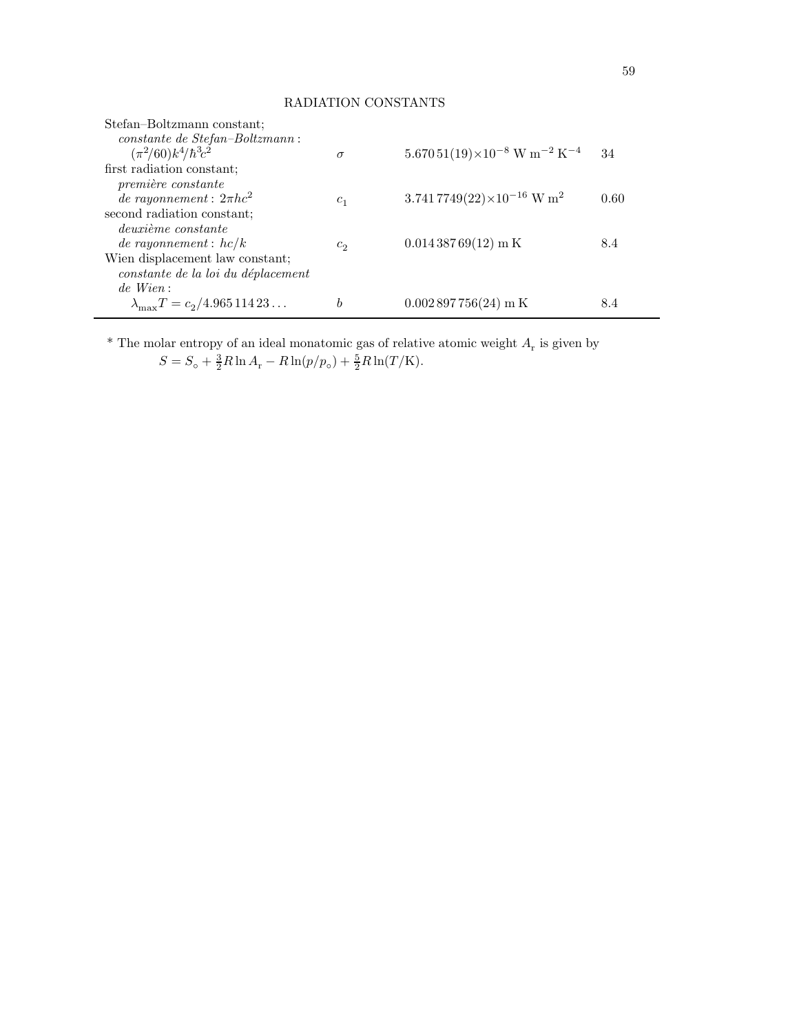## RADIATION CONSTANTS

| Stefan-Boltzmann constant;               |                  |                                                              |      |
|------------------------------------------|------------------|--------------------------------------------------------------|------|
| $constante$ de $Stefan-Boltzmann$ :      |                  |                                                              |      |
| $(\pi^2/60)k^4/\hbar^3c^2$               | $\sigma$         | $5.67051(19)\times10^{-8}$ W m <sup>-2</sup> K <sup>-4</sup> | 34   |
| first radiation constant;                |                  |                                                              |      |
| <i>première constante</i>                |                  |                                                              |      |
| de rayonnement : $2\pi hc^2$             | c <sub>1</sub>   | $3.7417749(22)\times10^{-16}$ W m <sup>2</sup>               | 0.60 |
| second radiation constant;               |                  |                                                              |      |
| <i>deuxième constante</i>                |                  |                                                              |      |
| de rayonnement : $hc/k$                  | $c_{2}$          | $0.01438769(12)$ m K                                         | 8.4  |
| Wien displacement law constant;          |                  |                                                              |      |
| constante de la loi du déplacement       |                  |                                                              |      |
| $de\,$ Wien:                             |                  |                                                              |      |
| $\lambda_{\text{max}}T = c_2/4.96511423$ | $\boldsymbol{b}$ | $0.002897756(24)$ m K                                        | 8.4  |

\* The molar entropy of an ideal monatomic gas of relative atomic weight  $A_r$  is given by  $S = S_{\circ} + \frac{3}{2}R\ln A_{r} - R\ln(p/p_{\circ}) + \frac{5}{2}R\ln(T/K).$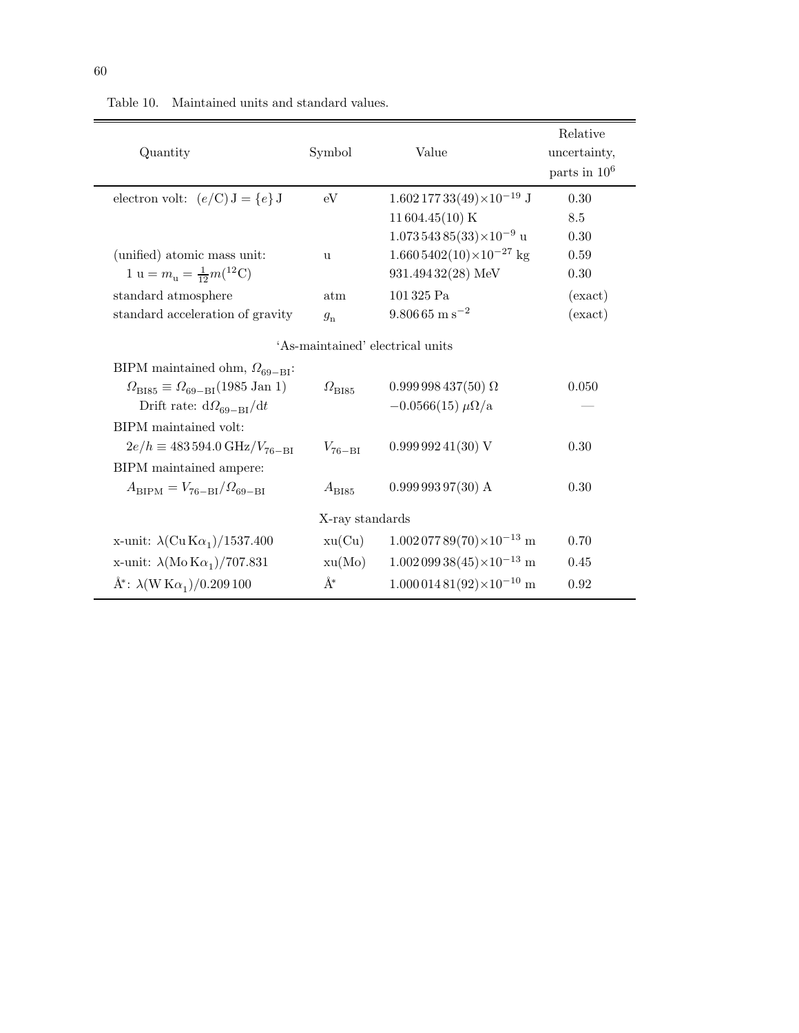| Quantity                                                            | Symbol              | Value                              | Relative<br>uncertainty,<br>parts in $10^6\,$ |  |  |  |  |
|---------------------------------------------------------------------|---------------------|------------------------------------|-----------------------------------------------|--|--|--|--|
| electron volt: $(e/C) J = \{e\} J$                                  | eV                  | $1.60217733(49)\times10^{-19}$ J   | 0.30                                          |  |  |  |  |
|                                                                     |                     | $11604.45(10)$ K                   | 8.5                                           |  |  |  |  |
|                                                                     |                     | $1.07354385(33)\times10^{-9}$ u    | 0.30                                          |  |  |  |  |
| (unified) atomic mass unit:                                         | <b>u</b>            | $1.660\,5402(10)\times10^{-27}$ kg | 0.59                                          |  |  |  |  |
| 1 u = $m_{\rm u} = \frac{1}{12} m(^{12}{\rm C})$                    |                     | 931.49432(28) MeV                  | 0.30                                          |  |  |  |  |
| standard atmosphere                                                 | atm                 | 101325 Pa                          | (exact)                                       |  |  |  |  |
| standard acceleration of gravity                                    | $g_{n}$             | $9.80665 \text{ m s}^{-2}$         | (exact)                                       |  |  |  |  |
| 'As-maintained' electrical units                                    |                     |                                    |                                               |  |  |  |  |
| BIPM maintained ohm, $\Omega_{69-BI}$ :                             |                     |                                    |                                               |  |  |  |  |
| $\Omega_{\rm{B}185} \equiv \Omega_{\rm{69-BI}}(1985 \,\rm{Jan}\,1)$ | $\Omega_{\rm BIS5}$ | $0.999998437(50)$ $\Omega$         | 0.050                                         |  |  |  |  |
| Drift rate: $d\Omega_{69-BI}/dt$                                    |                     | $-0.0566(15) \mu\Omega/a$          |                                               |  |  |  |  |
| BIPM maintained volt:                                               |                     |                                    |                                               |  |  |  |  |
| $2e/h \equiv 483\,594.0\,\text{GHz}/V_{76-\text{BI}}$               | $V_{76-\text{BI}}$  | $0.99999241(30)$ V                 | 0.30                                          |  |  |  |  |
| BIPM maintained ampere:                                             |                     |                                    |                                               |  |  |  |  |
| $A_{\text{BIPM}} = V_{76-\text{BI}} / \Omega_{69-\text{BI}}$        | $A_{\rm B185}$      | $0.99999397(30)$ A                 | 0.30                                          |  |  |  |  |
| X-ray standards                                                     |                     |                                    |                                               |  |  |  |  |
| x-unit: $\lambda$ (CuK $\alpha_1$ )/1537.400                        | xu(Cu)              | $1.00207789(70)\times10^{-13}$ m   | 0.70                                          |  |  |  |  |
| x-unit: $\lambda (\text{Mo K}\alpha_1)/707.831$                     | xu(Mo)              | $1.00209938(45)\times10^{-13}$ m   | 0.45                                          |  |  |  |  |
| $\AA^*$ : $\lambda(W K\alpha_1)/0.209100$                           | Å*                  | $1.00001481(92)\times10^{-10}$ m   | 0.92                                          |  |  |  |  |

Table 10. Maintained units and standard values.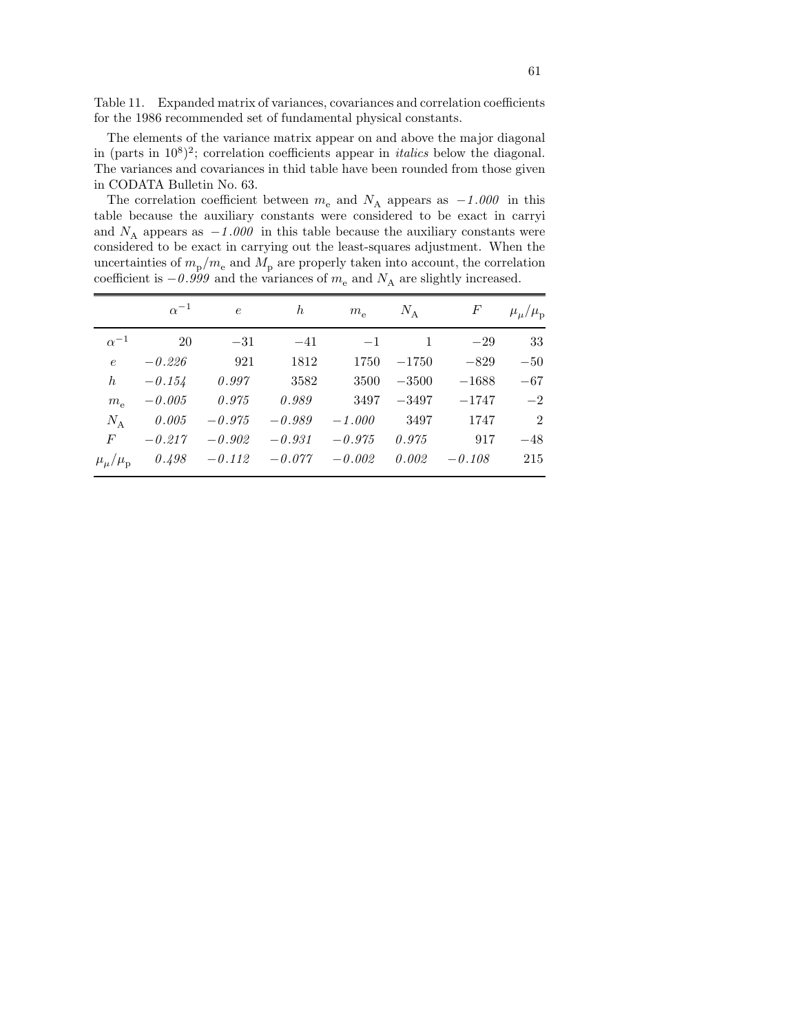Table 11. Expanded matrix of variances, covariances and correlation coefficients for the 1986 recommended set of fundamental physical constants.

The elements of the variance matrix appear on and above the major diagonal in (parts in  $10^8$ )<sup>2</sup>; correlation coefficients appear in *italics* below the diagonal. The variances and covariances in thid table have been rounded from those given in CODATA Bulletin No. 63.

The correlation coefficient between  $m_e$  and  $N_A$  appears as  $-1.000$  in this table because the auxiliary constants were considered to be exact in carryi and  $N_A$  appears as  $-1.000$  in this table because the auxiliary constants were considered to be exact in carrying out the least-squares adjustment. When the uncertainties of  $m_{\rm p}/m_{\rm e}$  and  $M_{\rm p}$  are properly taken into account, the correlation coefficient is  $-0.999$  and the variances of  $m_e$  and  $N_A$  are slightly increased.

|                                  | $\alpha^{-1}$ | $\epsilon$ | $\boldsymbol{h}$ | $m_{\rho}$ | $N_{\rm A}$ | F        | $\mu_{\mu}/\mu_{\rm p}$ |
|----------------------------------|---------------|------------|------------------|------------|-------------|----------|-------------------------|
| $\alpha^{-1}$                    | 20            | $-31$      | $-41$            | $-1$       | 1           | $-29$    | 33                      |
| $\epsilon$                       | $-0.226$      | 921        | 1812             | 1750       | $-1750$     | $-829$   | $-50$                   |
| $\hbar$                          | $-0.154$      | 0.997      | 3582             | 3500       | $-3500$     | $-1688$  | $-67$                   |
| $m_{\scriptscriptstyle{\alpha}}$ | $-0.005$      | 0.975      | 0.989            | 3497       | $-3497$     | $-1747$  | $-2$                    |
| $N_A$                            | 0.005         | $-0.975$   | $-0.989$         | $-1.000$   | 3497        | 1747     | $\overline{2}$          |
| F                                | $-0.217$      | $-0.902$   | $-0.931$         | $-0.975$   | 0.975       | 917      | $-48$                   |
| $\mu_{\mu}/\mu_{\rm p}$          | 0.498         | $-0.112$   | $-0.077$         | $-0.002$   | 0.002       | $-0.108$ | 215                     |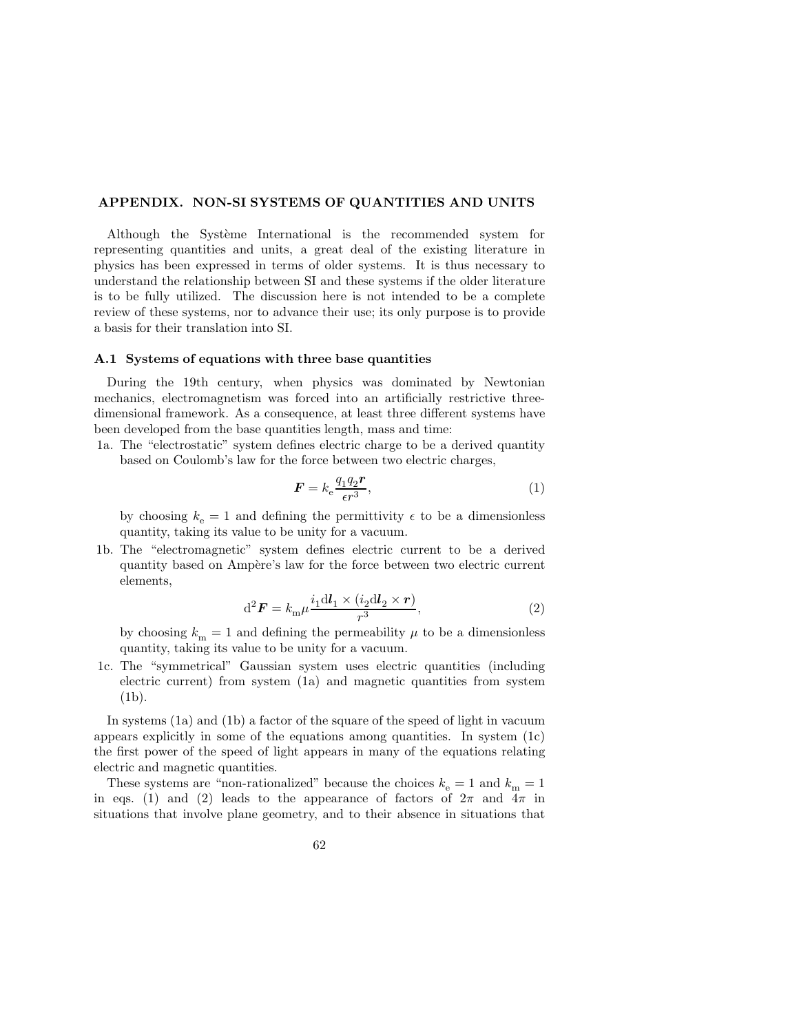#### APPENDIX. NON-SI SYSTEMS OF QUANTITIES AND UNITS

Although the Système International is the recommended system for representing quantities and units, a great deal of the existing literature in physics has been expressed in terms of older systems. It is thus necessary to understand the relationship between SI and these systems if the older literature is to be fully utilized. The discussion here is not intended to be a complete review of these systems, nor to advance their use; its only purpose is to provide a basis for their translation into SI.

#### A.1 Systems of equations with three base quantities

During the 19th century, when physics was dominated by Newtonian mechanics, electromagnetism was forced into an artificially restrictive threedimensional framework. As a consequence, at least three different systems have been developed from the base quantities length, mass and time:

1a. The "electrostatic" system defines electric charge to be a derived quantity based on Coulomb's law for the force between two electric charges,

$$
\boldsymbol{F} = k_{\rm e} \frac{q_1 q_2 \boldsymbol{r}}{\epsilon r^3},\tag{1}
$$

by choosing  $k_e = 1$  and defining the permittivity  $\epsilon$  to be a dimensionless quantity, taking its value to be unity for a vacuum.

1b. The "electromagnetic" system defines electric current to be a derived quantity based on Ampère's law for the force between two electric current elements,

$$
\mathrm{d}^2 \boldsymbol{F} = k_{\mathrm{m}} \mu \frac{i_1 \mathrm{d} l_1 \times (i_2 \mathrm{d} l_2 \times \boldsymbol{r})}{r^3},\tag{2}
$$

by choosing  $k_m = 1$  and defining the permeability  $\mu$  to be a dimensionless quantity, taking its value to be unity for a vacuum.

1c. The "symmetrical" Gaussian system uses electric quantities (including electric current) from system (1a) and magnetic quantities from system (1b).

In systems (1a) and (1b) a factor of the square of the speed of light in vacuum appears explicitly in some of the equations among quantities. In system (1c) the first power of the speed of light appears in many of the equations relating electric and magnetic quantities.

These systems are "non-rationalized" because the choices  $k_e = 1$  and  $k_m = 1$ in eqs. (1) and (2) leads to the appearance of factors of  $2\pi$  and  $4\pi$  in situations that involve plane geometry, and to their absence in situations that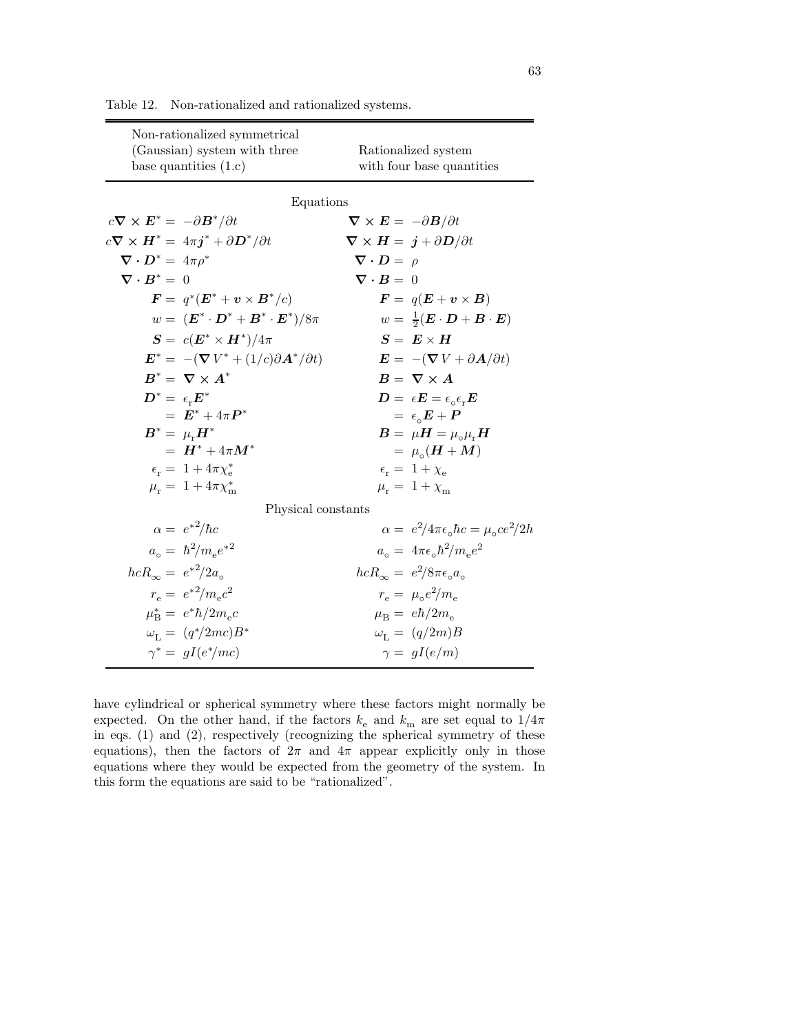|                                                   | Non-rationalized symmetrical<br>(Gaussian) system with three<br>base quantities $(1.c)$ |                                            | Rationalized system<br>with four base quantities                               |  |  |  |  |  |
|---------------------------------------------------|-----------------------------------------------------------------------------------------|--------------------------------------------|--------------------------------------------------------------------------------|--|--|--|--|--|
| Equations                                         |                                                                                         |                                            |                                                                                |  |  |  |  |  |
| $c\nabla \times E^* = -\partial B^* / \partial t$ |                                                                                         | $\nabla \times E = -\partial B/\partial t$ |                                                                                |  |  |  |  |  |
|                                                   | $c\nabla \times H^* = 4\pi j^* + \partial D^* / \partial t$                             |                                            | $\nabla \times H = j + \partial D / \partial t$                                |  |  |  |  |  |
| $\nabla \cdot \bm{D}^* = 4\pi \rho^*$             |                                                                                         | $\nabla \cdot D = \rho$                    |                                                                                |  |  |  |  |  |
| $\nabla \cdot \mathbf{B}^* = 0$                   |                                                                                         | $\nabla \cdot \mathbf{B} = 0$              |                                                                                |  |  |  |  |  |
|                                                   | $\bm{F} = q^*(\bm{E}^* + \bm{v} \times \bm{B}^*/c)$                                     |                                            | $\mathbf{F} = q(\mathbf{E} + \mathbf{v} \times \mathbf{B})$                    |  |  |  |  |  |
|                                                   | $w = (E^* \cdot D^* + B^* \cdot E^*)/8\pi$                                              |                                            | $w = \frac{1}{2} (E \cdot D + B \cdot E)$                                      |  |  |  |  |  |
|                                                   | $S = c(E^* \times H^*)/4\pi$                                                            |                                            | $S = E \times H$                                                               |  |  |  |  |  |
|                                                   | $\mathbf{E}^* = -(\boldsymbol{\nabla} V^* + (1/c)\partial \mathbf{A}^* / \partial t)$   |                                            | $\mathbf{E} = -(\nabla V + \partial \mathbf{A}/\partial t)$                    |  |  |  |  |  |
|                                                   | $B^* = \nabla \times A^*$                                                               |                                            | $B = \nabla \times A$                                                          |  |  |  |  |  |
| $D^* = \epsilon E^*$                              |                                                                                         |                                            | $D = \epsilon E = \epsilon_{\alpha} \epsilon_{r} E$                            |  |  |  |  |  |
|                                                   | $= E^* + 4\pi P^*$                                                                      |                                            | $= \epsilon_{\alpha} E + P$                                                    |  |  |  |  |  |
| $B^* = \mu_r H^*$                                 |                                                                                         |                                            | $\boldsymbol{B} = \mu \boldsymbol{H} = \mu_{\circ} \mu_{\rm r} \boldsymbol{H}$ |  |  |  |  |  |
|                                                   | $= H^* + 4\pi M^*$                                                                      |                                            | $= \mu_{\circ}(H+M)$                                                           |  |  |  |  |  |
|                                                   | $\epsilon_r = 1 + 4\pi \chi^*$                                                          |                                            | $\epsilon_r = 1 + \chi_e$                                                      |  |  |  |  |  |
|                                                   | $\mu_r = 1 + 4\pi \chi_m^*$                                                             |                                            | $\mu_r = 1 + \chi_m$                                                           |  |  |  |  |  |
| Physical constants                                |                                                                                         |                                            |                                                                                |  |  |  |  |  |
|                                                   | $\alpha = e^{*2}/\hbar c$                                                               |                                            | $\alpha = e^2/4\pi\epsilon_0\hbar c = \mu_0 c e^2/2\hbar$                      |  |  |  |  |  |
|                                                   | $a_{\circ} = \hbar^2/m_{\circ}e^{*2}$                                                   |                                            | $a_{\circ} = 4\pi\epsilon_{\circ}\hbar^2/m_{\circ}e^2$                         |  |  |  |  |  |
| $hcR_{\infty} = e^{*2}/2a_{\circ}$                |                                                                                         |                                            | $hcR_{\infty} = e^2/8\pi\epsilon_{0}a_{0}$                                     |  |  |  |  |  |
|                                                   | $r_e = e^{*2}/m_e c^2$                                                                  |                                            | $r_e = \mu_0 e^2/m_e$                                                          |  |  |  |  |  |
|                                                   | $\mu_{\rm B}^* = e^* \hbar / 2 m_e c$                                                   |                                            | $\mu_{\rm B} = e\hbar/2m_e$                                                    |  |  |  |  |  |
|                                                   | $\omega_{\rm L} = (q^* / 2mc) B^*$                                                      |                                            | $\omega_{\rm L} = (q/2m)B$                                                     |  |  |  |  |  |
|                                                   | $\gamma^* = gI(e^*/mc)$                                                                 |                                            | $\gamma = qI(e/m)$                                                             |  |  |  |  |  |

Table 12. Non-rationalized and rationalized systems.

have cylindrical or spherical symmetry where these factors might normally be expected. On the other hand, if the factors  $k_{\text{e}}$  and  $k_{\text{m}}$  are set equal to  $1/4\pi$ in eqs. (1) and (2), respectively (recognizing the spherical symmetry of these equations), then the factors of  $2\pi$  and  $4\pi$  appear explicitly only in those equations where they would be expected from the geometry of the system. In this form the equations are said to be "rationalized".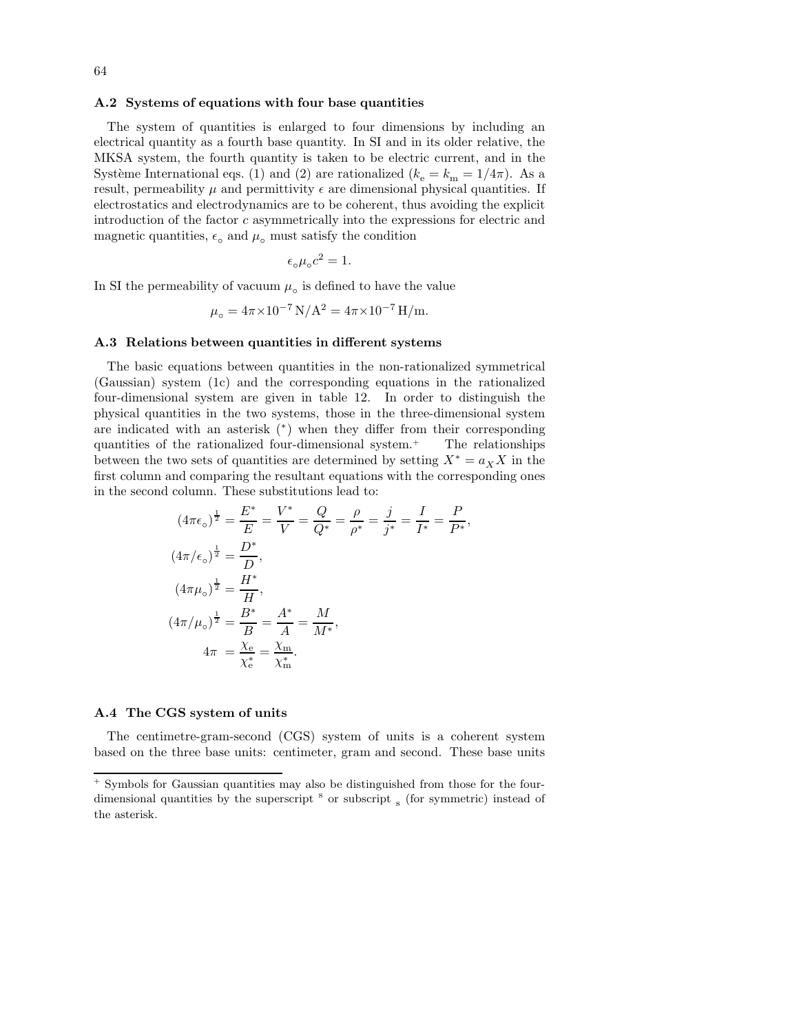#### A.2 Systems of equations with four base quantities

The system of quantities is enlarged to four dimensions by including an electrical quantity as a fourth base quantity. In SI and in its older relative, the MKSA system, the fourth quantity is taken to be electric current, and in the Système International eqs. (1) and (2) are rationalized ( $k_e = k_m = 1/4\pi$ ). As a result, permeability  $\mu$  and permittivity  $\epsilon$  are dimensional physical quantities. If electrostatics and electrodynamics are to be coherent, thus avoiding the explicit introduction of the factor  $c$  asymmetrically into the expressions for electric and magnetic quantities,  $\epsilon_0$  and  $\mu_0$  must satisfy the condition

$$
\epsilon_{\circ}\mu_{\circ}c^2 = 1.
$$

In SI the permeability of vacuum  $\mu_{\circ}$  is defined to have the value

$$
\mu_{\rm o} = 4\pi \times 10^{-7} \,\mathrm{N/A^2} = 4\pi \times 10^{-7} \,\mathrm{H/m}.
$$

#### A.3 Relations between quantities in different systems

The basic equations between quantities in the non-rationalized symmetrical (Gaussian) system (1c) and the corresponding equations in the rationalized four-dimensional system are given in table 12. In order to distinguish the physical quantities in the two systems, those in the three-dimensional system are indicated with an asterisk (<sup>∗</sup> ) when they differ from their corresponding quantities of the rationalized four-dimensional system.<sup>+</sup> The relationships between the two sets of quantities are determined by setting  $X^* = a_X X$  in the first column and comparing the resultant equations with the corresponding ones in the second column. These substitutions lead to:

$$
(4\pi\epsilon_0)^{\frac{1}{2}} = \frac{E^*}{E} = \frac{V^*}{V} = \frac{Q}{Q^*} = \frac{\rho}{\rho^*} = \frac{j}{j^*} = \frac{I}{I^*} = \frac{P}{P^*},
$$
  

$$
(4\pi/\epsilon_0)^{\frac{1}{2}} = \frac{D^*}{H},
$$
  

$$
(4\pi/\mu_0)^{\frac{1}{2}} = \frac{B^*}{B} = \frac{A^*}{A} = \frac{M}{M^*},
$$
  

$$
4\pi = \frac{\chi_e}{\chi_e^*} = \frac{\chi_m}{\chi_m^*}.
$$

#### A.4 The CGS system of units

The centimetre-gram-second (CGS) system of units is a coherent system based on the three base units: centimeter, gram and second. These base units

<sup>+</sup> Symbols for Gaussian quantities may also be distinguished from those for the fourdimensional quantities by the superscript  $\,$  s or subscript  $\,$   $\,$  (for symmetric) instead of the asterisk.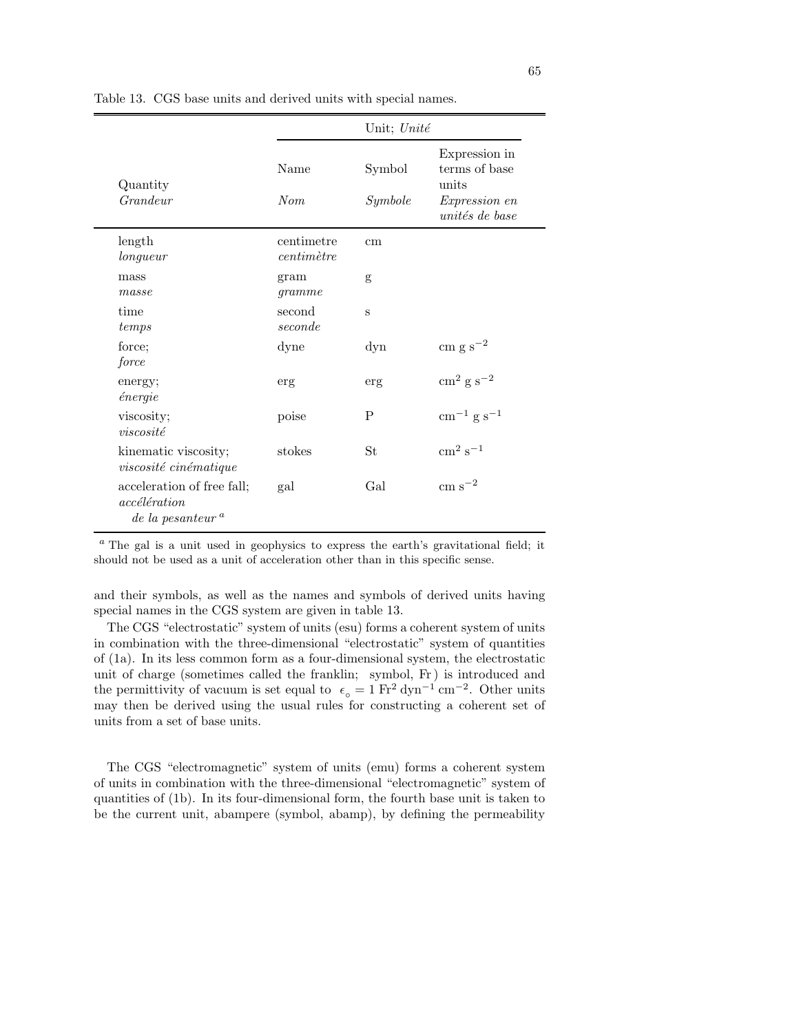|                                                                                  |                          | Unit; Unité       |                                                                            |
|----------------------------------------------------------------------------------|--------------------------|-------------------|----------------------------------------------------------------------------|
| Quantity<br>Grandeur                                                             | Name<br>$N \circ m$      | Symbol<br>Symbole | Expression in<br>terms of base<br>units<br>Expression en<br>unités de base |
| length<br>longueur                                                               | centimetre<br>centimètre | cm                |                                                                            |
| mass<br>masse                                                                    | gram<br>gramme           | g                 |                                                                            |
| time<br>temps                                                                    | second<br>seconde        | $\mathbf S$       |                                                                            |
| force;<br>force                                                                  | dyne                     | dyn               | $\rm cm\ g\ s^{-2}$                                                        |
| energy;<br>énergie                                                               | erg                      | erg               | $\rm cm^2~g~s^{-2}$                                                        |
| viscosity;<br>vis costé                                                          | poise                    | $\mathbf P$       | $\rm cm^{-1}~g~s^{-1}$                                                     |
| kinematic viscosity;<br>viscosité cinématique                                    | stokes                   | St                | $\rm cm^2~s^{-1}$                                                          |
| acceleration of free fall;<br>$accé l$ ération<br>$de$ la pesanteur <sup>a</sup> | gal                      | Gal               | $\rm cm~s^{-2}$                                                            |

Table 13. CGS base units and derived units with special names.

<sup>a</sup> The gal is a unit used in geophysics to express the earth's gravitational field; it should not be used as a unit of acceleration other than in this specific sense.

and their symbols, as well as the names and symbols of derived units having special names in the CGS system are given in table 13.

The CGS "electrostatic" system of units (esu) forms a coherent system of units in combination with the three-dimensional "electrostatic" system of quantities of (1a). In its less common form as a four-dimensional system, the electrostatic unit of charge (sometimes called the franklin; symbol, Fr ) is introduced and the permittivity of vacuum is set equal to  $\epsilon_{\circ} = 1 \text{ Fr}^2 \text{ dyn}^{-1} \text{ cm}^{-2}$ . Other units may then be derived using the usual rules for constructing a coherent set of units from a set of base units.

The CGS "electromagnetic" system of units (emu) forms a coherent system of units in combination with the three-dimensional "electromagnetic" system of quantities of (1b). In its four-dimensional form, the fourth base unit is taken to be the current unit, abampere (symbol, abamp), by defining the permeability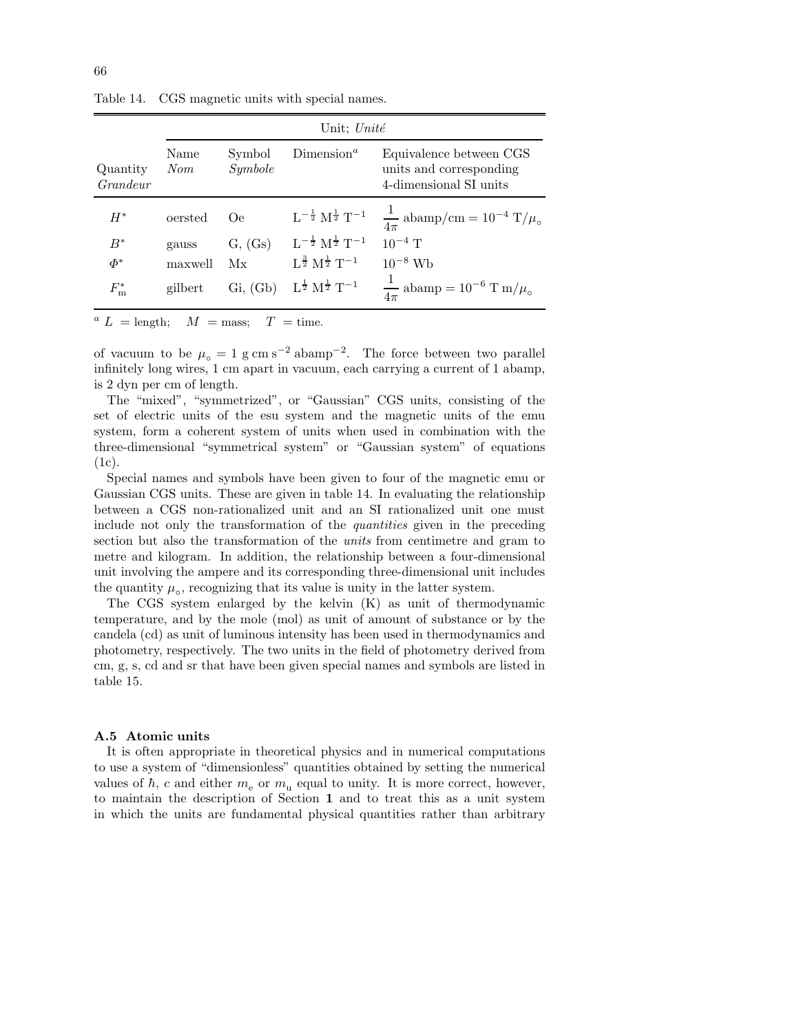|                      | Unit; Unité |                   |                                           |                                                                                                         |  |
|----------------------|-------------|-------------------|-------------------------------------------|---------------------------------------------------------------------------------------------------------|--|
| Quantity<br>Grandeur | Name<br>Nom | Symbol<br>Symbole | Dimension <sup>a</sup>                    | Equivalence between CGS<br>units and corresponding<br>4-dimensional SI units                            |  |
| $H^*$                | oersted     | Oe.               |                                           | $L^{-\frac{1}{2}} M^{\frac{1}{2}} T^{-1}$ $\frac{1}{4\pi}$ abamp/cm = 10 <sup>-4</sup> T/ $\mu_{\circ}$ |  |
| $B^*$                | gauss       | G, (Gs)           | $L^{-\frac{1}{2}} M^{\frac{1}{2}} T^{-1}$ | $10^{-4}$ T                                                                                             |  |
| $\Phi^*$             | maxwell     | Mx                | $L^{\frac{3}{2}} M^{\frac{1}{2}} T^{-1}$  | $10^{-8}$ Wb                                                                                            |  |
| $F_{\rm m}^*$        | gilbert     | Gi, (Gb)          | $L^{\frac{1}{2}} M^{\frac{1}{2}} T^{-1}$  | $\frac{1}{4\pi} \text{ abamp} = 10^{-6} \text{ T m}/\mu_{\circ}$                                        |  |

Table 14. CGS magnetic units with special names.

<sup>*a*</sup>  $L =$  length;  $M =$  mass;  $T =$  time.

of vacuum to be  $\mu_{\circ} = 1 \text{ g cm s}^{-2}$  abamp<sup>-2</sup>. The force between two parallel infinitely long wires, 1 cm apart in vacuum, each carrying a current of 1 abamp, is 2 dyn per cm of length.

The "mixed", "symmetrized", or "Gaussian" CGS units, consisting of the set of electric units of the esu system and the magnetic units of the emu system, form a coherent system of units when used in combination with the three-dimensional "symmetrical system" or "Gaussian system" of equations  $(1c).$ 

Special names and symbols have been given to four of the magnetic emu or Gaussian CGS units. These are given in table 14. In evaluating the relationship between a CGS non-rationalized unit and an SI rationalized unit one must include not only the transformation of the quantities given in the preceding section but also the transformation of the units from centimetre and gram to metre and kilogram. In addition, the relationship between a four-dimensional unit involving the ampere and its corresponding three-dimensional unit includes the quantity  $\mu_{\circ}$ , recognizing that its value is unity in the latter system.

The CGS system enlarged by the kelvin (K) as unit of thermodynamic temperature, and by the mole (mol) as unit of amount of substance or by the candela (cd) as unit of luminous intensity has been used in thermodynamics and photometry, respectively. The two units in the field of photometry derived from cm, g, s, cd and sr that have been given special names and symbols are listed in table 15.

## A.5 Atomic units

It is often appropriate in theoretical physics and in numerical computations to use a system of "dimensionless" quantities obtained by setting the numerical values of  $\hbar$ , c and either  $m_e$  or  $m_u$  equal to unity. It is more correct, however, to maintain the description of Section 1 and to treat this as a unit system in which the units are fundamental physical quantities rather than arbitrary